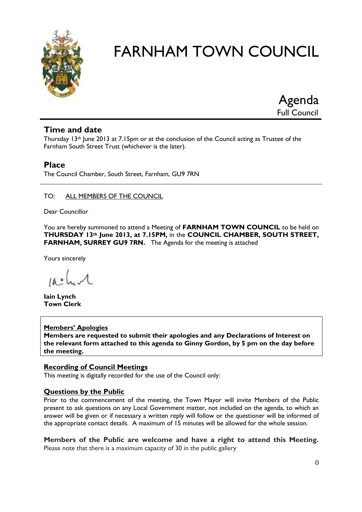

Agenda Full Council

# **Time and date**

Thursday 13th June 2013 at 7.15pm or at the conclusion of the Council acting as Trustee of the Farnham South Street Trust (whichever is the later).

# **Place**

The Council Chamber, South Street, Farnham, GU9 7RN

#### TO: ALL MEMBERS OF THE COUNCIL

Dear Councillor

You are hereby summoned to attend a Meeting of **FARNHAM TOWN COUNCIL** to be held on **THURSDAY 13th June 2013, at 7.15PM,** in the **COUNCIL CHAMBER, SOUTH STREET, FARNHAM, SURREY GU9 7RN.** The Agenda for the meeting is attached

Yours sincerely

 $10.0$ 

**Iain Lynch Town Clerk**

#### **Members' Apologies**

**Members are requested to submit their apologies and any Declarations of Interest on the relevant form attached to this agenda to Ginny Gordon, by 5 pm on the day before the meeting.**

## **Recording of Council Meetings**

This meeting is digitally recorded for the use of the Council only:

#### **Questions by the Public**

Prior to the commencement of the meeting, the Town Mayor will invite Members of the Public present to ask questions on any Local Government matter, not included on the agenda, to which an answer will be given or if necessary a written reply will follow or the questioner will be informed of the appropriate contact details. A maximum of 15 minutes will be allowed for the whole session.

**Members of the Public are welcome and have a right to attend this Meeting.**  Please note that there is a maximum capacity of 30 in the public gallery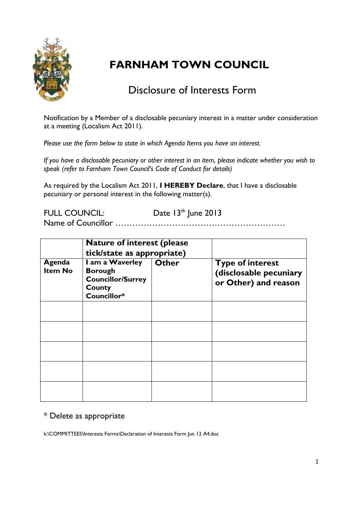

# Disclosure of Interests Form

Notification by a Member of a disclosable pecuniary interest in a matter under consideration at a meeting (Localism Act 2011).

*Please use the form below to state in which Agenda Items you have an interest.* 

*If you have a disclosable pecuniary or other interest in an item, please indicate whether you wish to speak (refer to Farnham Town Council's Code of Conduct for details)*

As required by the Localism Act 2011, **I HEREBY Declare**, that I have a disclosable pecuniary or personal interest in the following matter(s).

FULL COUNCIL: Date 13<sup>th</sup> June 2013 Name of Councillor ……………………………………………………

|                          | <b>Nature of interest (please)</b><br>tick/state as appropriate)                       |              |                                                                           |  |
|--------------------------|----------------------------------------------------------------------------------------|--------------|---------------------------------------------------------------------------|--|
| Agenda<br><b>Item No</b> | I am a Waverley<br><b>Borough</b><br><b>Councillor/Surrey</b><br>County<br>Councillor* | <b>Other</b> | <b>Type of interest</b><br>(disclosable pecuniary<br>or Other) and reason |  |
|                          |                                                                                        |              |                                                                           |  |
|                          |                                                                                        |              |                                                                           |  |
|                          |                                                                                        |              |                                                                           |  |
|                          |                                                                                        |              |                                                                           |  |
|                          |                                                                                        |              |                                                                           |  |

# \* Delete as appropriate

k:\COMMITTEES\Interests Forms\Declaration of Interests Form Jun 12 A4.doc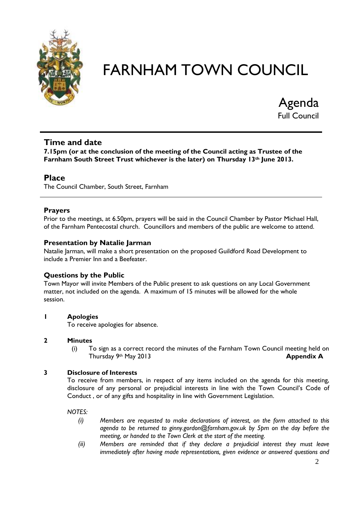

Agenda Full Council

# **Time and date**

**7.15pm (or at the conclusion of the meeting of the Council acting as Trustee of the Farnham South Street Trust whichever is the later) on Thursday 13th June 2013.** 

# **Place**

The Council Chamber, South Street, Farnham

#### **Prayers**

Prior to the meetings, at 6.50pm, prayers will be said in the Council Chamber by Pastor Michael Hall, of the Farnham Pentecostal church. Councillors and members of the public are welcome to attend.

#### **Presentation by Natalie Jarman**

Natalie Jarman, will make a short presentation on the proposed Guildford Road Development to include a Premier Inn and a Beefeater.

#### **Questions by the Public**

Town Mayor will invite Members of the Public present to ask questions on any Local Government matter, not included on the agenda. A maximum of 15 minutes will be allowed for the whole session.

#### **1 Apologies**

To receive apologies for absence.

#### **2 Minutes**

(i) To sign as a correct record the minutes of the Farnham Town Council meeting held on Thursday 9th May 2013 **Appendix A**

#### **3 Disclosure of Interests**

To receive from members, in respect of any items included on the agenda for this meeting, disclosure of any personal or prejudicial interests in line with the Town Council's Code of Conduct , or of any gifts and hospitality in line with Government Legislation.

*NOTES:*

- *(i) Members are requested to make declarations of interest, on the form attached to this agenda to be returned to ginny.gordon@farnham.gov.uk by 5pm on the day before the meeting, or handed to the Town Clerk at the start of the meeting.*
- *(ii) Members are reminded that if they declare a prejudicial interest they must leave immediately after having made representations, given evidence or answered questions and*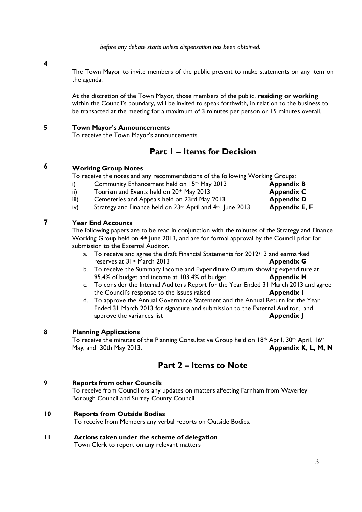*before any debate starts unless dispensation has been obtained.*

**4**

The Town Mayor to invite members of the public present to make statements on any item on the agenda.

At the discretion of the Town Mayor, those members of the public, **residing or working** within the Council's boundary, will be invited to speak forthwith, in relation to the business to be transacted at the meeting for a maximum of 3 minutes per person or 15 minutes overall.

#### **5 Town Mayor's Announcements**

To receive the Town Mayor's announcements.

# **Part 1 – Items for Decision**

#### **6 Working Group Notes**

To receive the notes and any recommendations of the following Working Groups:

- i) Community Enhancement held on 15<sup>th</sup> May 2013 **Appendix B**
- ii) Tourism and Events held on 20<sup>th</sup> May 2013 **Appendix C**

iii) Cemeteries and Appeals held on 23rd May 2013 **Appendix D** iv) Strategy and Finance held on 23rd April and 4th June 2013 **Appendix E, F**

#### **7 Year End Accounts**

The following papers are to be read in conjunction with the minutes of the Strategy and Finance Working Group held on 4<sup>th</sup> June 2013, and are for formal approval by the Council prior for submission to the External Auditor.

- a. To receive and agree the draft Financial Statements for 2012/13 and earmarked reserves at 31st March 2013 **Appendix G**
- b. To receive the Summary Income and Expenditure Outturn showing expenditure at 95.4% of budget and income at 103.4% of budget **Appendix H**
- c. To consider the Internal Auditors Report for the Year Ended 31 March 2013 and agree the Council's response to the issues raised **Appendix I**
- d. To approve the Annual Governance Statement and the Annual Return for the Year Ended 31 March 2013 for signature and submission to the External Auditor, and approve the variances list **Appendix J**

#### **8 Planning Applications**

To receive the minutes of the Planning Consultative Group held on 18<sup>th</sup> April, 30<sup>th</sup> April, 16<sup>th</sup> May, and 30th May 2013. **Appendix K, L, M, N**

# **Part 2 – Items to Note**

#### **9 Reports from other Councils**

To receive from Councillors any updates on matters affecting Farnham from Waverley Borough Council and Surrey County Council

#### **10 Reports from Outside Bodies**

To receive from Members any verbal reports on Outside Bodies.

**11 Actions taken under the scheme of delegation** Town Clerk to report on any relevant matters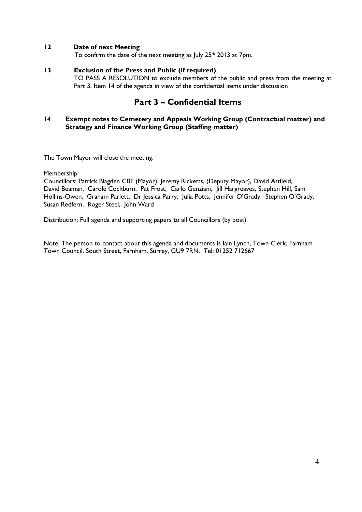#### **12 Date of next Meeting**

To confirm the date of the next meeting as July 25<sup>th</sup> 2013 at 7pm.

#### **13 Exclusion of the Press and Public (if required)**

TO PASS A RESOLUTION to exclude members of the public and press from the meeting at Part 3, Item 14 of the agenda in view of the confidential items under discussion

# **Part 3 – Confidential Items**

#### 14 **Exempt notes to Cemetery and Appeals Working Group (Contractual matter) and Strategy and Finance Working Group (Staffing matter)**

The Town Mayor will close the meeting.

Membership:

Councillors: Patrick Blagden CBE (Mayor), Jeremy Ricketts, (Deputy Mayor), David Attfield, David Beaman, Carole Cockburn, Pat Frost, Carlo Genziani, Jill Hargreaves, Stephen Hill, Sam Hollins-Owen, Graham Parlett, Dr Jessica Parry, Julia Potts, Jennifer O'Grady, Stephen O'Grady, Susan Redfern, Roger Steel, John Ward

Distribution: Full agenda and supporting papers to all Councillors (by post)

Note: The person to contact about this agenda and documents is Iain Lynch, Town Clerk, Farnham Town Council, South Street, Farnham, Surrey, GU9 7RN. Tel: 01252 712667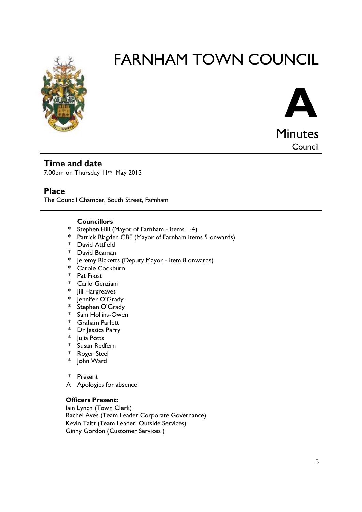



**Council** 

# **Time and date** 7.00pm on Thursday 11th May 2013

# **Place**

The Council Chamber, South Street, Farnham

#### **Councillors**

- \* Stephen Hill (Mayor of Farnham - items 1-4)
- \* Patrick Blagden CBE (Mayor of Farnham items 5 onwards)
- \* David Attfield
- \* David Beaman
- Jeremy Ricketts (Deputy Mayor item 8 onwards)
- \* Carole Cockburn
- \* Pat Frost
- \* Carlo Genziani
- Jill Hargreaves
- Jennifer O'Grady
- \* Stephen O'Grady
- \* Sam Hollins-Owen
- \* Graham Parlett
- \* Dr Jessica Parry
- **Iulia Potts**
- Susan Redfern
- \* Roger Steel
- \* John Ward
- \* Present
- A Apologies for absence

#### **Officers Present:**

Iain Lynch (Town Clerk) Rachel Aves (Team Leader Corporate Governance) Kevin Taitt (Team Leader, Outside Services) Ginny Gordon (Customer Services )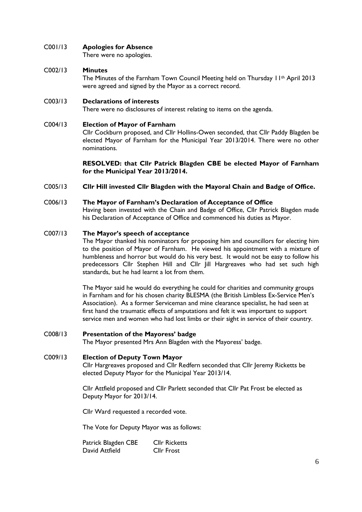#### C001/13 **Apologies for Absence**

There were no apologies.

#### C002/13 **Minutes**

The Minutes of the Farnham Town Council Meeting held on Thursday 11<sup>th</sup> April 2013 were agreed and signed by the Mayor as a correct record.

#### C003/13 **Declarations of interests**

There were no disclosures of interest relating to items on the agenda.

#### C004/13 **Election of Mayor of Farnham**

Cllr Cockburn proposed, and Cllr Hollins-Owen seconded, that Cllr Paddy Blagden be elected Mayor of Farnham for the Municipal Year 2013/2014. There were no other nominations.

**RESOLVED: that Cllr Patrick Blagden CBE be elected Mayor of Farnham for the Municipal Year 2013/2014.**

#### C005/13 **Cllr Hill invested Cllr Blagden with the Mayoral Chain and Badge of Office.**

his Declaration of Acceptance of Office and commenced his duties as Mayor.

#### C006/13 **The Mayor of Farnham's Declaration of Acceptance of Office** Having been invested with the Chain and Badge of Office, Cllr Patrick Blagden made

#### C007/13 **The Mayor's speech of acceptance**

The Mayor thanked his nominators for proposing him and councillors for electing him to the position of Mayor of Farnham. He viewed his appointment with a mixture of humbleness and horror but would do his very best. It would not be easy to follow his predecessors Cllr Stephen Hill and Cllr Jill Hargreaves who had set such high standards, but he had learnt a lot from them.

The Mayor said he would do everything he could for charities and community groups in Farnham and for his chosen charity BLESMA (the British Limbless Ex-Service Men's Association). As a former Serviceman and mine clearance specialist, he had seen at first hand the traumatic effects of amputations and felt it was important to support service men and women who had lost limbs or their sight in service of their country.

#### C008/13 **Presentation of the Mayoress' badge**

The Mayor presented Mrs Ann Blagden with the Mayoress' badge.

#### C009/13 **Election of Deputy Town Mayor**

Cllr Hargreaves proposed and Cllr Redfern seconded that Cllr Jeremy Ricketts be elected Deputy Mayor for the Municipal Year 2013/14.

Cllr Attfield proposed and Cllr Parlett seconded that Cllr Pat Frost be elected as Deputy Mayor for 2013/14.

Cllr Ward requested a recorded vote.

The Vote for Deputy Mayor was as follows:

Patrick Blagden CBE Cllr Ricketts David Attfield Cllr Frost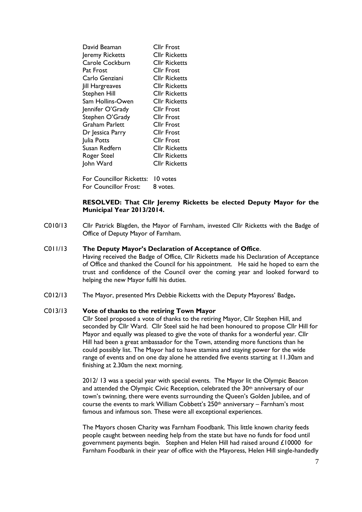| David Beaman        | Cllr Frost           |
|---------------------|----------------------|
| Jeremy Ricketts     | CIIr Ricketts        |
| Carole Cockburn     | <b>Cllr Ricketts</b> |
| Pat Frost           | CIIr Frost           |
| Carlo Genziani      | Cllr Ricketts        |
| Jill Hargreaves     | CIIr Ricketts        |
| <b>Stephen Hill</b> | CIIr Ricketts        |
| Sam Hollins-Owen    | Cllr Ricketts        |
| Jennifer O'Grady    | Cllr Frost           |
| Stephen O'Grady     | Cllr Frost           |
| Graham Parlett      | CIIr Frost           |
| Dr Jessica Parry    | <b>Cllr Frost</b>    |
| Julia Potts         | <b>Cllr Frost</b>    |
| Susan Redfern       | CIIr Ricketts        |
| Roger Steel         | CIIr Ricketts        |
| John Ward           | CIIr Ricketts        |
|                     |                      |

For Councillor Ricketts: 10 votes For Councillor Frost: 8 votes.

#### **RESOLVED: That Cllr Jeremy Ricketts be elected Deputy Mayor for the Municipal Year 2013/2014.**

C010/13 Cllr Patrick Blagden, the Mayor of Farnham, invested Cllr Ricketts with the Badge of Office of Deputy Mayor of Farnham.

#### C011/13 **The Deputy Mayor's Declaration of Acceptance of Office**.

Having received the Badge of Office, Cllr Ricketts made his Declaration of Acceptance of Office and thanked the Council for his appointment. He said he hoped to earn the trust and confidence of the Council over the coming year and looked forward to helping the new Mayor fulfil his duties.

C012/13 The Mayor, presented Mrs Debbie Ricketts with the Deputy Mayoress' Badge**.**

#### C013/13 **Vote of thanks to the retiring Town Mayor**

Cllr Steel proposed a vote of thanks to the retiring Mayor, Cllr Stephen Hill, and seconded by Cllr Ward. Cllr Steel said he had been honoured to propose Cllr Hill for Mayor and equally was pleased to give the vote of thanks for a wonderful year. Cllr Hill had been a great ambassador for the Town, attending more functions than he could possibly list. The Mayor had to have stamina and staying power for the wide range of events and on one day alone he attended five events starting at 11.30am and finishing at 2.30am the next morning.

2012/ 13 was a special year with special events. The Mayor lit the Olympic Beacon and attended the Olympic Civic Reception, celebrated the 30<sup>th</sup> anniversary of our town's twinning, there were events surrounding the Queen's Golden Jubilee, and of course the events to mark William Cobbett's 250th anniversary – Farnham's most famous and infamous son. These were all exceptional experiences.

The Mayors chosen Charity was Farnham Foodbank. This little known charity feeds people caught between needing help from the state but have no funds for food until government payments begin. Stephen and Helen Hill had raised around £10000 for Farnham Foodbank in their year of office with the Mayoress, Helen Hill single-handedly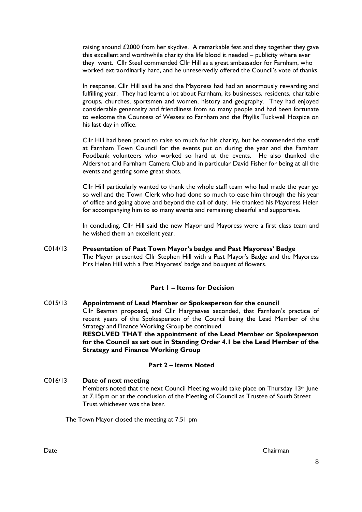raising around £2000 from her skydive. A remarkable feat and they together they gave this excellent and worthwhile charity the life blood it needed – publicity where ever they went. Cllr Steel commended Cllr Hill as a great ambassador for Farnham, who worked extraordinarily hard, and he unreservedly offered the Council's vote of thanks.

In response, Cllr Hill said he and the Mayoress had had an enormously rewarding and fulfilling year. They had learnt a lot about Farnham, its businesses, residents, charitable groups, churches, sportsmen and women, history and geography. They had enjoyed considerable generosity and friendliness from so many people and had been fortunate to welcome the Countess of Wessex to Farnham and the Phyllis Tuckwell Hospice on his last day in office.

Cllr Hill had been proud to raise so much for his charity, but he commended the staff at Farnham Town Council for the events put on during the year and the Farnham Foodbank volunteers who worked so hard at the events. He also thanked the Aldershot and Farnham Camera Club and in particular David Fisher for being at all the events and getting some great shots.

Cllr Hill particularly wanted to thank the whole staff team who had made the year go so well and the Town Clerk who had done so much to ease him through the his year of office and going above and beyond the call of duty. He thanked his Mayoress Helen for accompanying him to so many events and remaining cheerful and supportive.

In concluding, Cllr Hill said the new Mayor and Mayoress were a first class team and he wished them an excellent year.

C014/13 **Presentation of Past Town Mayor's badge and Past Mayoress' Badge** The Mayor presented Cllr Stephen Hill with a Past Mayor's Badge and the Mayoress Mrs Helen Hill with a Past Mayoress' badge and bouquet of flowers.

#### **Part 1 – Items for Decision**

C015/13 **Appointment of Lead Member or Spokesperson for the council**  Cllr Beaman proposed, and Cllr Hargreaves seconded, that Farnham's practice of recent years of the Spokesperson of the Council being the Lead Member of the Strategy and Finance Working Group be continued. **RESOLVED THAT the appointment of the Lead Member or Spokesperson** 

**for the Council as set out in Standing Order 4.1 be the Lead Member of the Strategy and Finance Working Group**

#### **Part 2 – Items Noted**

C016/13 **Date of next meeting** Members noted that the next Council Meeting would take place on Thursday 13th June at 7.15pm or at the conclusion of the Meeting of Council as Trustee of South Street Trust whichever was the later.

The Town Mayor closed the meeting at 7.51 pm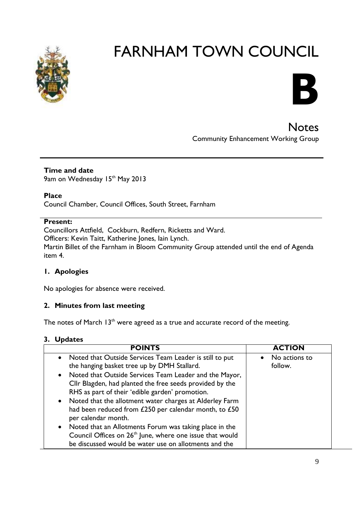



**Notes** Community Enhancement Working Group

## **Time and date** 9am on Wednesday 15<sup>th</sup> May 2013

**Place**

Council Chamber, Council Offices, South Street, Farnham

# **Present:**

Councillors Attfield, Cockburn, Redfern, Ricketts and Ward. Officers: Kevin Taitt, Katherine Jones, Iain Lynch. Martin Billet of the Farnham in Bloom Community Group attended until the end of Agenda item 4.

## **1. Apologies**

No apologies for absence were received.

## **2. Minutes from last meeting**

The notes of March  $13<sup>th</sup>$  were agreed as a true and accurate record of the meeting.

## **3. Updates**

| <b>POINTS</b>                                                        | <b>ACTION</b>              |
|----------------------------------------------------------------------|----------------------------|
| • Noted that Outside Services Team Leader is still to put            | No actions to<br>$\bullet$ |
| the hanging basket tree up by DMH Stallard.                          | follow.                    |
| • Noted that Outside Services Team Leader and the Mayor,             |                            |
| Cllr Blagden, had planted the free seeds provided by the             |                            |
| RHS as part of their 'edible garden' promotion.                      |                            |
| • Noted that the allotment water charges at Alderley Farm            |                            |
| had been reduced from £250 per calendar month, to £50                |                            |
| per calendar month.                                                  |                            |
| Noted that an Allotments Forum was taking place in the<br>$\bullet$  |                            |
| Council Offices on 26 <sup>th</sup> June, where one issue that would |                            |
| be discussed would be water use on allotments and the                |                            |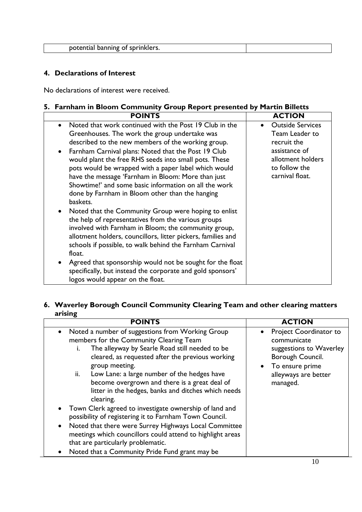# **4. Declarations of Interest**

No declarations of interest were received.

# **5. Farnham in Bloom Community Group Report presented by Martin Billetts**

| <b>POINTS</b>                                                                                                                                                                                                                                                                                                                                                   | <b>ACTION</b>                                                          |
|-----------------------------------------------------------------------------------------------------------------------------------------------------------------------------------------------------------------------------------------------------------------------------------------------------------------------------------------------------------------|------------------------------------------------------------------------|
| Noted that work continued with the Post 19 Club in the<br>$\bullet$<br>Greenhouses. The work the group undertake was                                                                                                                                                                                                                                            | <b>Outside Services</b><br>$\bullet$<br>Team Leader to                 |
| described to the new members of the working group.                                                                                                                                                                                                                                                                                                              | recruit the                                                            |
| Farnham Carnival plans: Noted that the Post 19 Club<br>$\bullet$<br>would plant the free RHS seeds into small pots. These<br>pots would be wrapped with a paper label which would<br>have the message 'Farnham in Bloom: More than just<br>Showtime!' and some basic information on all the work<br>done by Farnham in Bloom other than the hanging<br>baskets. | assistance of<br>allotment holders<br>to follow the<br>carnival float. |
| Noted that the Community Group were hoping to enlist<br>the help of representatives from the various groups<br>involved with Farnham in Bloom; the community group,<br>allotment holders, councillors, litter pickers, families and<br>schools if possible, to walk behind the Farnham Carnival<br>float.                                                       |                                                                        |
| Agreed that sponsorship would not be sought for the float<br>specifically, but instead the corporate and gold sponsors'<br>logos would appear on the float.                                                                                                                                                                                                     |                                                                        |

# **6. Waverley Borough Council Community Clearing Team and other clearing matters arising**

| Noted a number of suggestions from Working Group<br>members for the Community Clearing Team<br>The alleyway by Searle Road still needed to be<br>Ĺ.<br>cleared, as requested after the previous working<br>group meeting.<br>Low Lane: a large number of the hedges have<br>ii.<br>become overgrown and there is a great deal of<br>litter in the hedges, banks and ditches which needs<br>clearing. | Project Coordinator to<br>communicate<br>suggestions to Waverley<br>Borough Council.<br>• To ensure prime<br>alleyways are better<br>managed. |
|------------------------------------------------------------------------------------------------------------------------------------------------------------------------------------------------------------------------------------------------------------------------------------------------------------------------------------------------------------------------------------------------------|-----------------------------------------------------------------------------------------------------------------------------------------------|
| Town Clerk agreed to investigate ownership of land and<br>possibility of registering it to Farnham Town Council.<br>Noted that there were Surrey Highways Local Committee<br>$\bullet$<br>meetings which councillors could attend to highlight areas<br>that are particularly problematic.<br>Noted that a Community Pride Fund grant may be                                                         |                                                                                                                                               |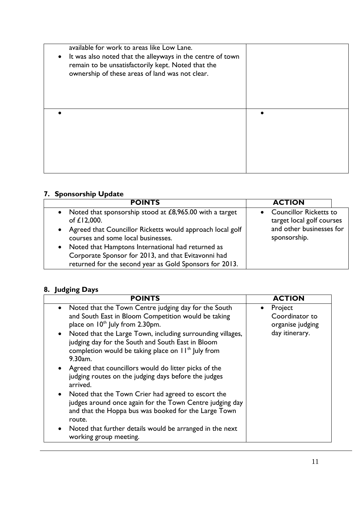| $\bullet$ | available for work to areas like Low Lane.<br>It was also noted that the alleyways in the centre of town<br>remain to be unsatisfactorily kept. Noted that the<br>ownership of these areas of land was not clear. |  |
|-----------|-------------------------------------------------------------------------------------------------------------------------------------------------------------------------------------------------------------------|--|
|           |                                                                                                                                                                                                                   |  |

# **7. Sponsorship Update**

| <b>POINTS</b>                                                                                              | <b>ACTION</b>                                              |
|------------------------------------------------------------------------------------------------------------|------------------------------------------------------------|
| • Noted that sponsorship stood at £8,965.00 with a target<br>of £12,000.                                   | <b>Councillor Ricketts to</b><br>target local golf courses |
| • Agreed that Councillor Ricketts would approach local golf<br>courses and some local businesses.          | and other businesses for<br>sponsorship.                   |
| • Noted that Hamptons International had returned as<br>Corporate Sponsor for 2013, and that Evitavonni had |                                                            |
| returned for the second year as Gold Sponsors for 2013.                                                    |                                                            |

# **8. Judging Days**

| <b>POINTS</b>                                                                                                                                                                                                                                                                                                                                                                                                                                                                                                                                                                                                                                                                                                                                                         | <b>ACTION</b>                                                                |
|-----------------------------------------------------------------------------------------------------------------------------------------------------------------------------------------------------------------------------------------------------------------------------------------------------------------------------------------------------------------------------------------------------------------------------------------------------------------------------------------------------------------------------------------------------------------------------------------------------------------------------------------------------------------------------------------------------------------------------------------------------------------------|------------------------------------------------------------------------------|
| Noted that the Town Centre judging day for the South<br>and South East in Bloom Competition would be taking<br>place on 10 <sup>th</sup> July from 2.30pm.<br>• Noted that the Large Town, including surrounding villages,<br>judging day for the South and South East in Bloom<br>completion would be taking place on $H^{\text{th}}$ July from<br>9.30am.<br>• Agreed that councillors would do litter picks of the<br>judging routes on the judging days before the judges<br>arrived.<br>• Noted that the Town Crier had agreed to escort the<br>judges around once again for the Town Centre judging day<br>and that the Hoppa bus was booked for the Large Town<br>route.<br>Noted that further details would be arranged in the next<br>working group meeting. | Project<br>$\bullet$<br>Coordinator to<br>organise judging<br>day itinerary. |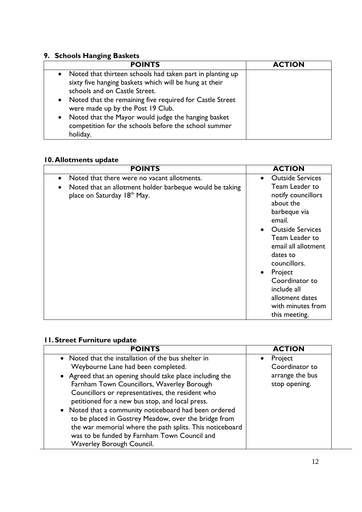# **9. Schools Hanging Baskets**

| <b>POINTS</b>                                                                                                                                                     | <b>ACTION</b> |
|-------------------------------------------------------------------------------------------------------------------------------------------------------------------|---------------|
| Noted that thirteen schools had taken part in planting up<br>$\bullet$<br>sixty five hanging baskets which will be hung at their<br>schools and on Castle Street. |               |
| • Noted that the remaining five required for Castle Street<br>were made up by the Post 19 Club.                                                                   |               |
| Noted that the Mayor would judge the hanging basket<br>$\bullet$<br>competition for the schools before the school summer<br>holiday.                              |               |

# **10.Allotments update**

| <b>POINTS</b>                                                                                                                         | <b>ACTION</b>                                                                                                                                                     |
|---------------------------------------------------------------------------------------------------------------------------------------|-------------------------------------------------------------------------------------------------------------------------------------------------------------------|
| Noted that there were no vacant allotments.<br>Noted that an allotment holder barbeque would be taking<br>place on Saturday 18th May. | <b>Outside Services</b><br>$\bullet$<br>Team Leader to<br>notify councillors<br>about the<br>barbeque via<br>email.<br><b>Outside Services</b><br>Team Leader to  |
|                                                                                                                                       | email all allotment<br>dates to<br>councillors.<br>Project<br>$\bullet$<br>Coordinator to<br>include all<br>allotment dates<br>with minutes from<br>this meeting. |

# **11.Street Furniture update**

| <b>POINTS</b>                                            | <b>ACTION</b>   |
|----------------------------------------------------------|-----------------|
| • Noted that the installation of the bus shelter in      | Project         |
| Weybourne Lane had been completed.                       | Coordinator to  |
| • Agreed that an opening should take place including the | arrange the bus |
| Farnham Town Councillors, Waverley Borough               | stop opening.   |
| Councillors or representatives, the resident who         |                 |
| petitioned for a new bus stop, and local press.          |                 |
| • Noted that a community noticeboard had been ordered    |                 |
| to be placed in Gostrey Meadow, over the bridge from     |                 |
| the war memorial where the path splits. This noticeboard |                 |
| was to be funded by Farnham Town Council and             |                 |
| Waverley Borough Council.                                |                 |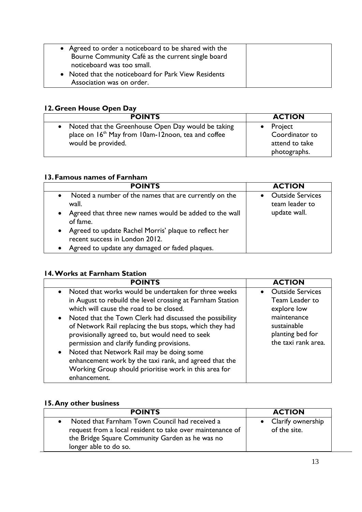| • Agreed to order a noticeboard to be shared with the |  |
|-------------------------------------------------------|--|
| Bourne Community Café as the current single board     |  |
| noticeboard was too small.                            |  |
| • Noted that the noticeboard for Park View Residents  |  |
| Association was on order.                             |  |
|                                                       |  |

# **12.Green House Open Day**

| <b>POINTS</b>                                                  | <b>ACTION</b>     |
|----------------------------------------------------------------|-------------------|
| • Noted that the Greenhouse Open Day would be taking           | $\bullet$ Project |
| place on 16 <sup>th</sup> May from 10am-12noon, tea and coffee | Coordinator to    |
| would be provided.                                             | attend to take    |
|                                                                | photographs.      |

# **13.Famous names of Farnham**

| <b>POINTS</b>                                                                                                                               | <b>ACTION</b>                                             |
|---------------------------------------------------------------------------------------------------------------------------------------------|-----------------------------------------------------------|
| Noted a number of the names that are currently on the<br>wall.<br>• Agreed that three new names would be added to the wall<br>of fame.      | <b>Outside Services</b><br>team leader to<br>update wall. |
| • Agreed to update Rachel Morris' plaque to reflect her<br>recent success in London 2012.<br>Agreed to update any damaged or faded plaques. |                                                           |

# **14.Works at Farnham Station**

| <b>POINTS</b>                                                                                                                                                                                                                                                                                                                                                                                           | <b>ACTION</b>                                                         |
|---------------------------------------------------------------------------------------------------------------------------------------------------------------------------------------------------------------------------------------------------------------------------------------------------------------------------------------------------------------------------------------------------------|-----------------------------------------------------------------------|
| • Noted that works would be undertaken for three weeks<br>in August to rebuild the level crossing at Farnham Station<br>which will cause the road to be closed.                                                                                                                                                                                                                                         | <b>Outside Services</b><br>$\bullet$<br>Team Leader to<br>explore low |
| • Noted that the Town Clerk had discussed the possibility<br>of Network Rail replacing the bus stops, which they had<br>provisionally agreed to, but would need to seek<br>permission and clarify funding provisions.<br>• Noted that Network Rail may be doing some<br>enhancement work by the taxi rank, and agreed that the<br>Working Group should prioritise work in this area for<br>enhancement. | maintenance<br>sustainable<br>planting bed for<br>the taxi rank area. |

# **15.Any other business**

| <b>POINTS</b>                                                                                                                                                                             | <b>ACTION</b>                       |
|-------------------------------------------------------------------------------------------------------------------------------------------------------------------------------------------|-------------------------------------|
| • Noted that Farnham Town Council had received a<br>request from a local resident to take over maintenance of<br>the Bridge Square Community Garden as he was no<br>longer able to do so. | • Clarify ownership<br>of the site. |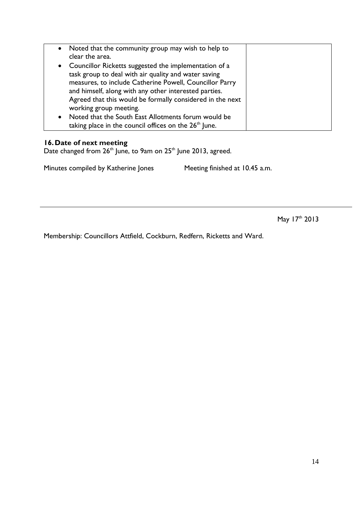| • Noted that the community group may wish to help to              |  |
|-------------------------------------------------------------------|--|
| clear the area.                                                   |  |
| • Councillor Ricketts suggested the implementation of a           |  |
| task group to deal with air quality and water saving              |  |
| measures, to include Catherine Powell, Councillor Parry           |  |
| and himself, along with any other interested parties.             |  |
| Agreed that this would be formally considered in the next         |  |
| working group meeting.                                            |  |
| • Noted that the South East Allotments forum would be             |  |
| taking place in the council offices on the 26 <sup>th</sup> June. |  |

#### **16.Date of next meeting**

Date changed from  $26<sup>th</sup>$  June, to 9am on  $25<sup>th</sup>$  June 2013, agreed.

Minutes compiled by Katherine Jones Meeting finished at 10.45 a.m.

May 17th 2013

Membership: Councillors Attfield, Cockburn, Redfern, Ricketts and Ward.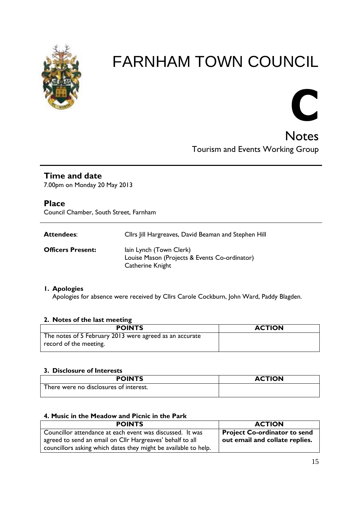



# **Time and date**

7.00pm on Monday 20 May 2013

# **Place**

Council Chamber, South Street, Farnham

| Cllrs Jill Hargreaves, David Beaman and Stephen Hill |
|------------------------------------------------------|
|                                                      |

**Officers Present:** Iain Lynch (Town Clerk) Louise Mason (Projects & Events Co-ordinator) Catherine Knight

## **1. Apologies**

Apologies for absence were received by Cllrs Carole Cockburn, John Ward, Paddy Blagden.

## **2. Notes of the last meeting**

| <b>POINTS</b>                                                                     | <b>ACTION</b> |
|-----------------------------------------------------------------------------------|---------------|
| The notes of 5 February 2013 were agreed as an accurate<br>record of the meeting. |               |

#### **3. Disclosure of Interests**

| <b>POINTS</b>                          | <b>ACTION</b> |
|----------------------------------------|---------------|
| There were no disclosures of interest. |               |

#### **4. Music in the Meadow and Picnic in the Park**

| <b>POINTS</b>                                                   | <b>ACTION</b>                       |
|-----------------------------------------------------------------|-------------------------------------|
| Councillor attendance at each event was discussed. It was       | <b>Project Co-ordinator to send</b> |
| agreed to send an email on Cllr Hargreaves' behalf to all       | out email and collate replies.      |
| councillors asking which dates they might be available to help. |                                     |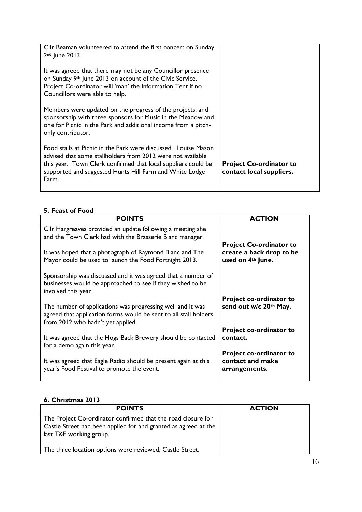| Cllr Beaman volunteered to attend the first concert on Sunday<br>$2nd$ June 2013.                                                                                                                                                                                  |                                                            |
|--------------------------------------------------------------------------------------------------------------------------------------------------------------------------------------------------------------------------------------------------------------------|------------------------------------------------------------|
| It was agreed that there may not be any Councillor presence<br>on Sunday 9th June 2013 on account of the Civic Service.<br>Project Co-ordinator will 'man' the Information Tent if no<br>Councillors were able to help.                                            |                                                            |
| Members were updated on the progress of the projects, and<br>sponsorship with three sponsors for Music in the Meadow and<br>one for Picnic in the Park and additional income from a pitch-<br>only contributor.                                                    |                                                            |
| Food stalls at Picnic in the Park were discussed. Louise Mason<br>advised that some stallholders from 2012 were not available<br>this year. Town Clerk confirmed that local suppliers could be<br>supported and suggested Hunts Hill Farm and White Lodge<br>Farm. | <b>Project Co-ordinator to</b><br>contact local suppliers. |

## **5. Feast of Food**

| <b>POINTS</b>                                                                                                                                                       | <b>ACTION</b>                                                       |
|---------------------------------------------------------------------------------------------------------------------------------------------------------------------|---------------------------------------------------------------------|
| Cllr Hargreaves provided an update following a meeting she<br>and the Town Clerk had with the Brasserie Blanc manager.                                              | <b>Project Co-ordinator to</b>                                      |
| It was hoped that a photograph of Raymond Blanc and The<br>Mayor could be used to launch the Food Fortnight 2013.                                                   | create a back drop to be<br>used on 4 <sup>th</sup> June.           |
| Sponsorship was discussed and it was agreed that a number of<br>businesses would be approached to see if they wished to be<br>involved this year.                   |                                                                     |
| The number of applications was progressing well and it was<br>agreed that application forms would be sent to all stall holders<br>from 2012 who hadn't yet applied. | <b>Project co-ordinator to</b><br>send out w/c 20th May.            |
| It was agreed that the Hogs Back Brewery should be contacted<br>for a demo again this year.                                                                         | Project co-ordinator to<br>contact.                                 |
| It was agreed that Eagle Radio should be present again at this<br>year's Food Festival to promote the event.                                                        | <b>Project co-ordinator to</b><br>contact and make<br>arrangements. |

# **6. Christmas 2013**

| <b>POINTS</b>                                                                                                                                              | <b>ACTION</b> |
|------------------------------------------------------------------------------------------------------------------------------------------------------------|---------------|
| The Project Co-ordinator confirmed that the road closure for<br>Castle Street had been applied for and granted as agreed at the<br>last T&E working group. |               |
| The three location options were reviewed; Castle Street,                                                                                                   |               |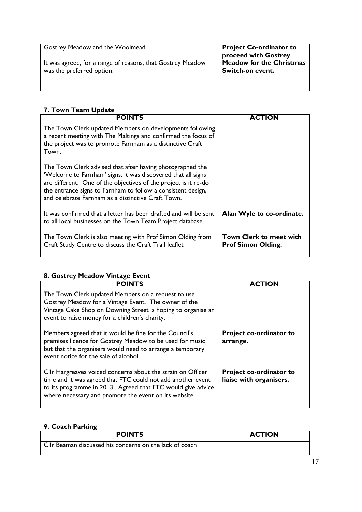| Gostrey Meadow and the Woolmead.<br>It was agreed, for a range of reasons, that Gostrey Meadow<br>was the preferred option. | <b>Project Co-ordinator to</b><br>proceed with Gostrey<br><b>Meadow for the Christmas</b><br>Switch-on event. |
|-----------------------------------------------------------------------------------------------------------------------------|---------------------------------------------------------------------------------------------------------------|
|                                                                                                                             |                                                                                                               |

# **7. Town Team Update**

| <b>POINTS</b>                                                                                                                                                                                                                                                                                                      | <b>ACTION</b>                                               |
|--------------------------------------------------------------------------------------------------------------------------------------------------------------------------------------------------------------------------------------------------------------------------------------------------------------------|-------------------------------------------------------------|
| The Town Clerk updated Members on developments following<br>a recent meeting with The Maltings and confirmed the focus of<br>the project was to promote Farnham as a distinctive Craft<br>Town.                                                                                                                    |                                                             |
| The Town Clerk advised that after having photographed the<br>'Welcome to Farnham' signs, it was discovered that all signs<br>are different. One of the objectives of the project is it re-do<br>the entrance signs to Farnham to follow a consistent design,<br>and celebrate Farnham as a distinctive Craft Town. |                                                             |
| It was confirmed that a letter has been drafted and will be sent<br>to all local businesses on the Town Team Project database.                                                                                                                                                                                     | Alan Wyle to co-ordinate.                                   |
| The Town Clerk is also meeting with Prof Simon Olding from<br>Craft Study Centre to discuss the Craft Trail leaflet                                                                                                                                                                                                | <b>Town Clerk to meet with</b><br><b>Prof Simon Olding.</b> |

# **8. Gostrey Meadow Vintage Event**

| <b>POINTS</b>                                                                                                                                                                                                                                      | <b>ACTION</b>                                             |
|----------------------------------------------------------------------------------------------------------------------------------------------------------------------------------------------------------------------------------------------------|-----------------------------------------------------------|
| The Town Clerk updated Members on a request to use<br>Gostrey Meadow for a Vintage Event. The owner of the<br>Vintage Cake Shop on Downing Street is hoping to organise an<br>event to raise money for a children's charity.                       |                                                           |
| Members agreed that it would be fine for the Council's<br>premises licence for Gostrey Meadow to be used for music<br>but that the organisers would need to arrange a temporary<br>event notice for the sale of alcohol.                           | <b>Project co-ordinator to</b><br>arrange.                |
| Cllr Hargreaves voiced concerns about the strain on Officer<br>time and it was agreed that FTC could not add another event<br>to its programme in 2013. Agreed that FTC would give advice<br>where necessary and promote the event on its website. | <b>Project co-ordinator to</b><br>liaise with organisers. |

# **9. Coach Parking**

| <b>POINTS</b>                                            | <b>ACTION</b> |
|----------------------------------------------------------|---------------|
| Gellr Beaman discussed his concerns on the lack of coach |               |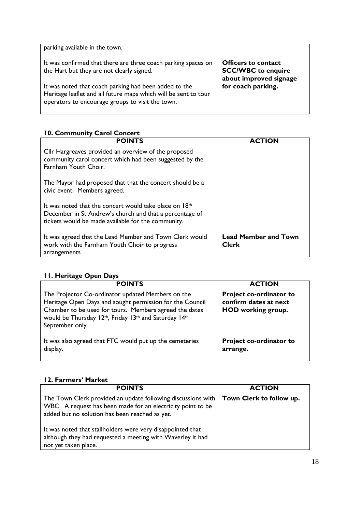| parking available in the town.                                                                                                                                               |                                                                                   |
|------------------------------------------------------------------------------------------------------------------------------------------------------------------------------|-----------------------------------------------------------------------------------|
| It was confirmed that there are three coach parking spaces on<br>the Hart but they are not clearly signed.                                                                   | <b>Officers to contact</b><br><b>SCC/WBC</b> to enquire<br>about improved signage |
| It was noted that coach parking had been added to the<br>Heritage leaflet and all future maps which will be sent to tour<br>operators to encourage groups to visit the town. | for coach parking.                                                                |

# **10. Community Carol Concert**

| <b>POINTS</b>                                                                                                                                                             | <b>ACTION</b>                               |
|---------------------------------------------------------------------------------------------------------------------------------------------------------------------------|---------------------------------------------|
| Cllr Hargreaves provided an overview of the proposed<br>community carol concert which had been suggested by the<br>Farnham Youth Choir.                                   |                                             |
| The Mayor had proposed that that the concert should be a<br>civic event. Members agreed.                                                                                  |                                             |
| It was noted that the concert would take place on $18th$<br>December in St Andrew's church and that a percentage of<br>tickets would be made available for the community. |                                             |
| It was agreed that the Lead Member and Town Clerk would<br>work with the Farnham Youth Choir to progress<br>arrangements                                                  | <b>Lead Member and Town</b><br><b>Clerk</b> |

## **11. Heritage Open Days**

| <b>POINTS</b>                                                                                                                                                                                                                                       | <b>ACTION</b>                                                                        |
|-----------------------------------------------------------------------------------------------------------------------------------------------------------------------------------------------------------------------------------------------------|--------------------------------------------------------------------------------------|
| The Projector Co-ordinator updated Members on the<br>Heritage Open Days and sought permission for the Council<br>Chamber to be used for tours. Members agreed the dates<br>would be Thursday 12th, Friday 13th and Saturday 14th<br>September only. | <b>Project co-ordinator to</b><br>confirm dates at next<br><b>HOD</b> working group. |
| It was also agreed that FTC would put up the cemeteries<br>display.                                                                                                                                                                                 | <b>Project co-ordinator to</b><br>arrange.                                           |

# **12. Farmers' Market**

| <b>POINTS</b>                                                                                                                                                                 | <b>ACTION</b>            |
|-------------------------------------------------------------------------------------------------------------------------------------------------------------------------------|--------------------------|
| The Town Clerk provided an update following discussions with<br>WBC. A request has been made for an electricity point to be<br>added but no solution has been reached as yet. | Town Clerk to follow up. |
| It was noted that stallholders were very disappointed that<br>although they had requested a meeting with Waverley it had<br>not yet taken place.                              |                          |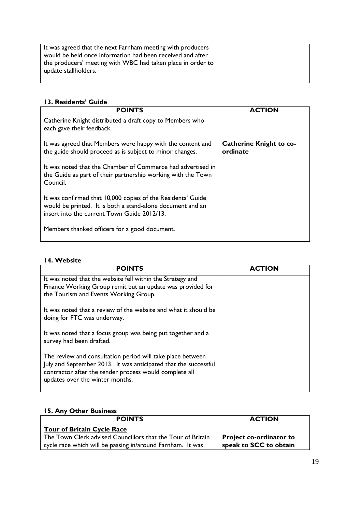| It was agreed that the next Farnham meeting with producers  |  |
|-------------------------------------------------------------|--|
| would be held once information had been received and after  |  |
| the producers' meeting with WBC had taken place in order to |  |
| update stallholders.                                        |  |
|                                                             |  |

# **13. Residents' Guide**

| <b>POINTS</b>                                                                                                                                                            | <b>ACTION</b>                              |
|--------------------------------------------------------------------------------------------------------------------------------------------------------------------------|--------------------------------------------|
| Catherine Knight distributed a draft copy to Members who<br>each gave their feedback.                                                                                    |                                            |
| It was agreed that Members were happy with the content and<br>the guide should proceed as is subject to minor changes.                                                   | <b>Catherine Knight to co-</b><br>ordinate |
| It was noted that the Chamber of Commerce had advertised in<br>the Guide as part of their partnership working with the Town<br>Council.                                  |                                            |
| It was confirmed that 10,000 copies of the Residents' Guide<br>would be printed. It is both a stand-alone document and an<br>insert into the current Town Guide 2012/13. |                                            |
| Members thanked officers for a good document.                                                                                                                            |                                            |

#### **14. Website**

| <b>POINTS</b>                                                                                                                                                                                                              | <b>ACTION</b> |
|----------------------------------------------------------------------------------------------------------------------------------------------------------------------------------------------------------------------------|---------------|
| It was noted that the website fell within the Strategy and<br>Finance Working Group remit but an update was provided for<br>the Tourism and Events Working Group.                                                          |               |
| It was noted that a review of the website and what it should be<br>doing for FTC was underway.                                                                                                                             |               |
| It was noted that a focus group was being put together and a<br>survey had been drafted.                                                                                                                                   |               |
| The review and consultation period will take place between<br>July and September 2013. It was anticipated that the successful<br>contractor after the tender process would complete all<br>updates over the winter months. |               |

# **15. Any Other Business**

| <b>POINTS</b>                                               | <b>ACTION</b>           |
|-------------------------------------------------------------|-------------------------|
| <b>Tour of Britain Cycle Race</b>                           |                         |
| The Town Clerk advised Councillors that the Tour of Britain | Project co-ordinator to |
| cycle race which will be passing in/around Farnham. It was  | speak to SCC to obtain  |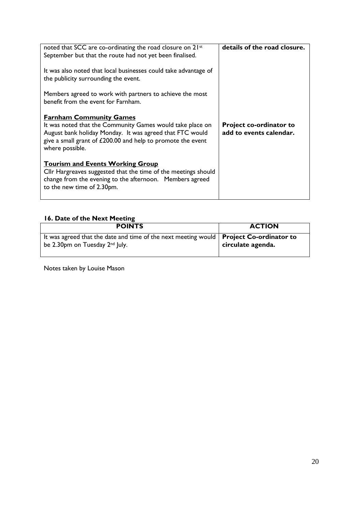| noted that SCC are co-ordinating the road closure on 21st<br>September but that the route had not yet been finalised.                                                                                                                     | details of the road closure.                              |
|-------------------------------------------------------------------------------------------------------------------------------------------------------------------------------------------------------------------------------------------|-----------------------------------------------------------|
| It was also noted that local businesses could take advantage of<br>the publicity surrounding the event.                                                                                                                                   |                                                           |
| Members agreed to work with partners to achieve the most<br>benefit from the event for Farnham.                                                                                                                                           |                                                           |
| <b>Farnham Community Games</b><br>It was noted that the Community Games would take place on<br>August bank holiday Monday. It was agreed that FTC would<br>give a small grant of £200.00 and help to promote the event<br>where possible. | <b>Project co-ordinator to</b><br>add to events calendar. |
| <u><b>Tourism and Events Working Group</b></u><br>Cllr Hargreaves suggested that the time of the meetings should<br>change from the evening to the afternoon. Members agreed<br>to the new time of 2.30pm.                                |                                                           |

# **16. Date of the Next Meeting**

| <b>POINTS</b>                                                                                                                          | <b>ACTION</b>     |
|----------------------------------------------------------------------------------------------------------------------------------------|-------------------|
| It was agreed that the date and time of the next meeting would   Project Co-ordinator to<br>be 2.30pm on Tuesday 2 <sup>nd</sup> July. | circulate agenda. |

Notes taken by Louise Mason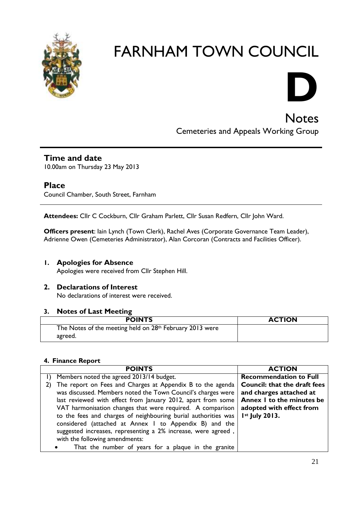



**Notes** Cemeteries and Appeals Working Group

# **Time and date**

10.00am on Thursday 23 May 2013

# **Place**

Council Chamber, South Street, Farnham

**Attendees:** Cllr C Cockburn, Cllr Graham Parlett, Cllr Susan Redfern, Cllr John Ward.

**Officers present**: Iain Lynch (Town Clerk), Rachel Aves (Corporate Governance Team Leader), Adrienne Owen (Cemeteries Administrator), Alan Corcoran (Contracts and Facilities Officer).

# **1. Apologies for Absence**

Apologies were received from Cllr Stephen Hill.

# **2. Declarations of Interest**

No declarations of interest were received.

## **3. Notes of Last Meeting**

| <b>POINTS</b>                                            | <b>ACTION</b> |
|----------------------------------------------------------|---------------|
| The Notes of the meeting held on 28th February 2013 were |               |
| agreed.                                                  |               |

## **4. Finance Report**

| <b>POINTS</b>                                                  | <b>ACTION</b>                       |
|----------------------------------------------------------------|-------------------------------------|
| Members noted the agreed 2013/14 budget.                       | <b>Recommendation to Full</b>       |
| The report on Fees and Charges at Appendix B to the agenda     | <b>Council: that the draft fees</b> |
| was discussed. Members noted the Town Council's charges were   | and charges attached at             |
| last reviewed with effect from January 2012, apart from some   | Annex I to the minutes be           |
| VAT harmonisation changes that were required. A comparison     | adopted with effect from            |
| to the fees and charges of neighbouring burial authorities was | Ist July 2013.                      |
| considered (attached at Annex I to Appendix B) and the         |                                     |
| suggested increases, representing a 2% increase, were agreed,  |                                     |
| with the following amendments:                                 |                                     |
| That the number of years for a plaque in the granite           |                                     |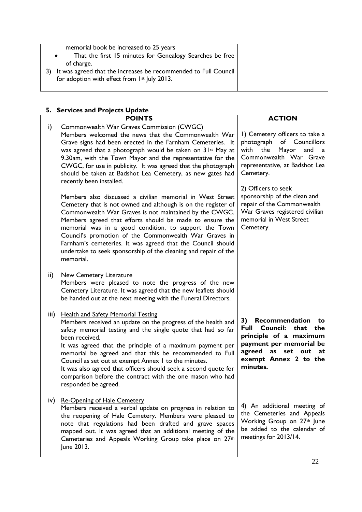| memorial book be increased to 25 years<br>That the first 15 minutes for Genealogy Searches be free<br>of charge. |  |
|------------------------------------------------------------------------------------------------------------------|--|
| It was agreed that the increases be recommended to Full Council<br>for adoption with effect from 1st July 2013.  |  |

# **5. Services and Projects Update**

|      | <b>POINTS</b>                                                                                                                                                                                                                                                                                                                                                                                                                                                                                                                       | <b>ACTION</b>                                                                                                                                                                                   |
|------|-------------------------------------------------------------------------------------------------------------------------------------------------------------------------------------------------------------------------------------------------------------------------------------------------------------------------------------------------------------------------------------------------------------------------------------------------------------------------------------------------------------------------------------|-------------------------------------------------------------------------------------------------------------------------------------------------------------------------------------------------|
| i)   | <b>Commonwealth War Graves Commission (CWGC)</b><br>Members welcomed the news that the Commonwealth War<br>Grave signs had been erected in the Farnham Cemeteries. It<br>was agreed that a photograph would be taken on 31 <sup>st</sup> May at<br>9.30am, with the Town Mayor and the representative for the<br>CWGC, for use in publicity. It was agreed that the photograph<br>should be taken at Badshot Lea Cemetery, as new gates had<br>recently been installed.                                                             | I) Cemetery officers to take a<br>photograph of Councillors<br>with<br>the<br>Mayor<br>and<br>a<br>Commonwealth War Grave<br>representative, at Badshot Lea<br>Cemetery.<br>2) Officers to seek |
|      | Members also discussed a civilian memorial in West Street<br>Cemetery that is not owned and although is on the register of<br>Commonwealth War Graves is not maintained by the CWGC.<br>Members agreed that efforts should be made to ensure the<br>memorial was in a good condition, to support the Town<br>Council's promotion of the Commonwealth War Graves in<br>Farnham's cemeteries. It was agreed that the Council should<br>undertake to seek sponsorship of the cleaning and repair of the<br>memorial.                   | sponsorship of the clean and<br>repair of the Commonwealth<br>War Graves registered civilian<br>memorial in West Street<br>Cemetery.                                                            |
| ii)  | <b>New Cemetery Literature</b><br>Members were pleased to note the progress of the new<br>Cemetery Literature. It was agreed that the new leaflets should<br>be handed out at the next meeting with the Funeral Directors.                                                                                                                                                                                                                                                                                                          |                                                                                                                                                                                                 |
| iii) | <b>Health and Safety Memorial Testing</b><br>Members received an update on the progress of the health and<br>safety memorial testing and the single quote that had so far<br>been received.<br>It was agreed that the principle of a maximum payment per<br>memorial be agreed and that this be recommended to Full<br>Council as set out at exempt Annex I to the minutes.<br>It was also agreed that officers should seek a second quote for<br>comparison before the contract with the one mason who had<br>responded be agreed. | Recommendation<br>3)<br>to<br><b>Full Council:</b><br>that<br>the<br>principle of a maximum<br>payment per memorial be<br>agreed as set out<br>at<br>exempt Annex 2 to the<br>minutes.          |
|      | iv) Re-Opening of Hale Cemetery<br>Members received a verbal update on progress in relation to<br>the reopening of Hale Cemetery. Members were pleased to<br>note that regulations had been drafted and grave spaces<br>mapped out. It was agreed that an additional meeting of the<br>Cemeteries and Appeals Working Group take place on 27th<br>June 2013.                                                                                                                                                                        | 4) An additional meeting of<br>the Cemeteries and Appeals<br>Working Group on 27th June<br>be added to the calendar of<br>meetings for 2013/14.                                                 |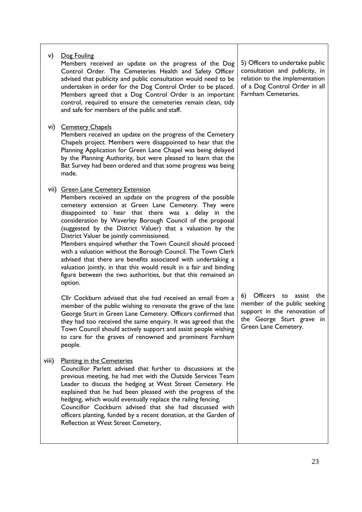| v)    | Dog Fouling<br>Members received an update on the progress of the Dog<br>Control Order. The Cemeteries Health and Safety Officer<br>advised that publicity and public consultation would need to be<br>undertaken in order for the Dog Control Order to be placed.<br>Members agreed that a Dog Control Order is an important<br>control, required to ensure the cemeteries remain clean, tidy<br>and safe for members of the public and staff.                                                                                                                                                                                                                                                                                       | 5) Officers to undertake public<br>consultation and publicity, in<br>relation to the implementation<br>of a Dog Control Order in all<br>Farnham Cemeteries. |
|-------|--------------------------------------------------------------------------------------------------------------------------------------------------------------------------------------------------------------------------------------------------------------------------------------------------------------------------------------------------------------------------------------------------------------------------------------------------------------------------------------------------------------------------------------------------------------------------------------------------------------------------------------------------------------------------------------------------------------------------------------|-------------------------------------------------------------------------------------------------------------------------------------------------------------|
|       | vi) Cemetery Chapels<br>Members received an update on the progress of the Cemetery<br>Chapels project. Members were disappointed to hear that the<br>Planning Application for Green Lane Chapel was being delayed<br>by the Planning Authority, but were pleased to learn that the<br>Bat Survey had been ordered and that some progress was being<br>made.                                                                                                                                                                                                                                                                                                                                                                          |                                                                                                                                                             |
|       | vii) Green Lane Cemetery Extension<br>Members received an update on the progress of the possible<br>cemetery extension at Green Lane Cemetery. They were<br>disappointed to hear that there was a delay in the<br>consideration by Waverley Borough Council of the proposal<br>(suggested by the District Valuer) that a valuation by the<br>District Valuer be jointly commissioned.<br>Members enquired whether the Town Council should proceed<br>with a valuation without the Borough Council. The Town Clerk<br>advised that there are benefits associated with undertaking a<br>valuation jointly, in that this would result in a fair and binding<br>figure between the two authorities, but that this remained an<br>option. |                                                                                                                                                             |
|       | Cllr Cockburn advised that she had received an email from a<br>member of the public wishing to renovate the grave of the late<br>George Sturt in Green Lane Cemetery. Officers confirmed that<br>they had too received the same enquiry. It was agreed that the<br>Town Council should actively support and assist people wishing<br>to care for the graves of renowned and prominent Farnham<br>people.                                                                                                                                                                                                                                                                                                                             | Officers to assist<br>6)<br>the<br>member of the public seeking<br>support in the renovation of<br>the George Sturt grave in<br>Green Lane Cemetery.        |
| viii) | <b>Planting in the Cemeteries</b><br>Councillor Parlett advised that further to discussions at the<br>previous meeting, he had met with the Outside Services Team<br>Leader to discuss the hedging at West Street Cemetery. He<br>explained that he had been pleased with the progress of the<br>hedging, which would eventually replace the railing fencing.<br>Councillor Cockburn advised that she had discussed with<br>officers planting, funded by a recent donation, at the Garden of<br>Reflection at West Street Cemetery,                                                                                                                                                                                                  |                                                                                                                                                             |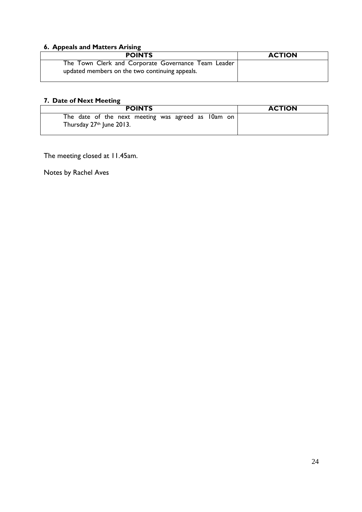# **6. Appeals and Matters Arising**

| <b>POINTS</b>                                                                                         | <b>ACTION</b> |
|-------------------------------------------------------------------------------------------------------|---------------|
| The Town Clerk and Corporate Governance Team Leader<br>updated members on the two continuing appeals. |               |

# **7. Date of Next Meeting**

| <b>POINTS</b>                                                                    | <b>ACTION</b> |
|----------------------------------------------------------------------------------|---------------|
| The date of the next meeting was agreed as 10am on  <br>Thursday 27th June 2013. |               |

The meeting closed at 11.45am.

Notes by Rachel Aves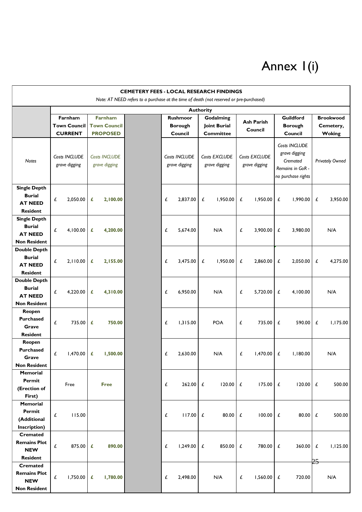# Annex 1(i)

| <b>CEMETERY FEES - LOCAL RESEARCH FINDINGS</b>                                                              |                                                  |          |                                                          |  |                                              |                     |                                                      |            |                              |              |                                                                              |          |                                                |          |                                        |  |  |                        |
|-------------------------------------------------------------------------------------------------------------|--------------------------------------------------|----------|----------------------------------------------------------|--|----------------------------------------------|---------------------|------------------------------------------------------|------------|------------------------------|--------------|------------------------------------------------------------------------------|----------|------------------------------------------------|----------|----------------------------------------|--|--|------------------------|
| Note: AT NEED refers to a purchase at the time of death (not reserved or pre-purchased)<br><b>Authority</b> |                                                  |          |                                                          |  |                                              |                     |                                                      |            |                              |              |                                                                              |          |                                                |          |                                        |  |  |                        |
|                                                                                                             | Farnham<br><b>Town Council</b><br><b>CURRENT</b> |          | <b>Farnham</b><br><b>Town Council</b><br><b>PROPOSED</b> |  | <b>Rushmoor</b><br><b>Borough</b><br>Council |                     | Godalming<br><b>loint Burial</b><br><b>Committee</b> |            | <b>Ash Parish</b><br>Council |              | Guildford<br><b>Borough</b><br>Council                                       |          | <b>Brookwood</b><br>Cemetery,<br><b>Woking</b> |          |                                        |  |  |                        |
| <b>Notes</b>                                                                                                | Costs INCLUDE<br>grave digging                   |          | Costs <b>INCLUDE</b><br>grave digging                    |  | Costs INCLUDE<br>grave digging               |                     | Costs EXCLUDE<br>grave digging                       |            |                              |              | Costs INCLUDE<br>grave digging<br>Costs EXCLUDE<br>Cremated<br>grave digging |          |                                                |          | Remains in GoR -<br>no purchase rights |  |  | <b>Privately Owned</b> |
| <b>Single Depth</b><br><b>Burial</b><br><b>AT NEED</b><br><b>Resident</b>                                   | £<br>2,050.00                                    |          | £<br>2,100.00                                            |  | £                                            | 2,837.00            | £                                                    | 1,950.00   | £                            | 1,950.00     | £                                                                            | 1,990.00 | £                                              | 3,950.00 |                                        |  |  |                        |
| <b>Single Depth</b><br><b>Burial</b><br><b>AT NEED</b><br><b>Non Resident</b>                               | 4,100.00<br>£                                    |          | £<br>4,200.00                                            |  | £                                            | 5,674.00            |                                                      | N/A        | £                            | 3,900.00     | £                                                                            | 3,980.00 |                                                | N/A      |                                        |  |  |                        |
| <b>Double Depth</b><br><b>Burial</b><br><b>AT NEED</b><br><b>Resident</b>                                   | £<br>2,110.00                                    |          | £<br>2,155.00                                            |  | £                                            | 3,475.00            | £                                                    | 1,950.00   | £                            | 2.860.00     | £                                                                            | 2,050.00 | £                                              | 4,275.00 |                                        |  |  |                        |
| <b>Double Depth</b><br><b>Burial</b><br><b>AT NEED</b><br><b>Non Resident</b>                               | £<br>4,220.00                                    |          | £<br>4,310.00                                            |  | £                                            | 6,950.00            |                                                      | N/A        | £                            | 5,720.00     | £                                                                            | 4,100.00 |                                                | N/A      |                                        |  |  |                        |
| Reopen<br><b>Purchased</b><br>Grave<br><b>Resident</b>                                                      | £                                                | 735.00   | £<br>750.00                                              |  | £                                            | 1,315.00            |                                                      | <b>POA</b> | £                            | 735.00       | £                                                                            | 590.00   | £                                              | 1,175.00 |                                        |  |  |                        |
| Reopen<br><b>Purchased</b><br>Grave<br><b>Non Resident</b>                                                  | £<br>1,470.00                                    |          | 1,500.00<br>£                                            |  | £                                            | 2,630.00            |                                                      | N/A        | £                            | 1,470.00     | £                                                                            | 1,180.00 |                                                | N/A      |                                        |  |  |                        |
| <b>Memorial</b><br>Permit<br>(Erection of<br>First)                                                         | Free                                             |          | <b>Free</b>                                              |  | £                                            | 262.00              | £                                                    | 120.00     | £                            | $175.00$ £   |                                                                              | 120.00   | £                                              | 500.00   |                                        |  |  |                        |
| <b>Memorial</b><br>Permit<br>(Additional<br>Inscription)                                                    | £                                                | 115.00   |                                                          |  | £                                            | $117.00$ $\epsilon$ |                                                      | 80.00      | £                            | $100.00$ £   |                                                                              | 80.00    | £                                              | 500.00   |                                        |  |  |                        |
| <b>Cremated</b><br><b>Remains Plot</b><br><b>NEW</b><br><b>Resident</b>                                     | £                                                | 875.00   | 890.00<br>£                                              |  | £                                            | 1,249.00            | £                                                    | 850.00     | £                            | 780.00 £     |                                                                              | 360.00   | £<br>25                                        | 1,125.00 |                                        |  |  |                        |
| <b>Cremated</b><br><b>Remains Plot</b><br><b>NEW</b><br><b>Non Resident</b>                                 | £                                                | 1,750.00 | £<br>1,780.00                                            |  | £                                            | 2,498.00            |                                                      | N/A        | £                            | $1,560.00$ £ |                                                                              | 720.00   |                                                | N/A      |                                        |  |  |                        |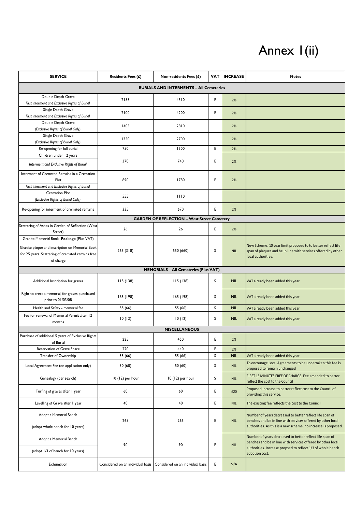# Annex I(ii)

| <b>SERVICE</b>                                                       | <b>Residents Fees (£)</b><br>Non-residents Fees (£)<br>VAT |                                                                       |   | <b>INCREASE</b> | <b>Notes</b>                                                                                                                  |  |  |  |
|----------------------------------------------------------------------|------------------------------------------------------------|-----------------------------------------------------------------------|---|-----------------|-------------------------------------------------------------------------------------------------------------------------------|--|--|--|
|                                                                      | <b>BURIALS AND INTERMENTS - All Cemeteries</b>             |                                                                       |   |                 |                                                                                                                               |  |  |  |
| Double Depth Grave                                                   | 2155                                                       | 4310                                                                  | E | 2%              |                                                                                                                               |  |  |  |
| First interment and Exclusive Rights of Burial<br>Single Depth Grave |                                                            |                                                                       |   |                 |                                                                                                                               |  |  |  |
| First interment and Exclusive Rights of Burial                       | 2100                                                       | 4200                                                                  | E | 2%              |                                                                                                                               |  |  |  |
| Double Depth Grave                                                   | 1405                                                       | 2810                                                                  |   | 2%              |                                                                                                                               |  |  |  |
| (Exclusive Rights of Burial Only)                                    |                                                            |                                                                       |   |                 |                                                                                                                               |  |  |  |
| Single Depth Grave                                                   | 1350                                                       | 2700                                                                  |   | 2%              |                                                                                                                               |  |  |  |
| (Exclusive Rights of Burial Only)<br>Re-opening for full burial      | 750                                                        | 1500                                                                  | E | 2%              |                                                                                                                               |  |  |  |
| Children under 12 years                                              |                                                            |                                                                       |   |                 |                                                                                                                               |  |  |  |
| Interment and Exclusive Rights of Burial                             | 370                                                        | 740                                                                   | Ε | 2%              |                                                                                                                               |  |  |  |
|                                                                      |                                                            |                                                                       |   |                 |                                                                                                                               |  |  |  |
| Interment of Cremated Remains in a Cremation<br>Plot                 | 890                                                        | 1780                                                                  | E | 2%              |                                                                                                                               |  |  |  |
| First interment and Exclusive Rights of Burial                       |                                                            |                                                                       |   |                 |                                                                                                                               |  |  |  |
| <b>Cremation Plot</b>                                                | 555                                                        | 1110                                                                  |   |                 |                                                                                                                               |  |  |  |
| (Exclusive Rights of Burial Only)                                    |                                                            |                                                                       |   |                 |                                                                                                                               |  |  |  |
| Re-opening for interment of cremated remains                         | 335                                                        | 670                                                                   | E | 2%              |                                                                                                                               |  |  |  |
|                                                                      |                                                            | <b>GARDEN OF REFLECTION - West Street Cemetery</b>                    |   |                 |                                                                                                                               |  |  |  |
| Scattering of Ashes in Garden of Reflection (West<br>Street)         | 26                                                         | 26                                                                    | E | 2%              |                                                                                                                               |  |  |  |
| Granite Memorial Book Package (Plus VAT)                             |                                                            |                                                                       |   |                 |                                                                                                                               |  |  |  |
| Granite plaque and inscription on Memorial Book                      |                                                            |                                                                       |   |                 | New Scheme. 10 year limit proposed to to better reflect life                                                                  |  |  |  |
| for 25 years. Scattering of cremated remains free                    | 265(318)                                                   | 550 (660)                                                             | S | <b>NIL</b>      | span of plaques and be in line with services offered by other<br>ocal authorities.                                            |  |  |  |
| of charge                                                            |                                                            |                                                                       |   |                 |                                                                                                                               |  |  |  |
| <b>MEMORIALS - All Cemeteries (Plus VAT)</b>                         |                                                            |                                                                       |   |                 |                                                                                                                               |  |  |  |
| Additional Inscription for graves                                    | 115(138)                                                   | 115(138)                                                              | S | <b>NIL</b>      | VAT already been added this year                                                                                              |  |  |  |
| Right to erect a memorial, for graves purchased<br>prior to 01/03/08 | 165 (198)                                                  | 165 (198)                                                             | S | <b>NIL</b>      | VAT already been added this year                                                                                              |  |  |  |
| Health and Safety - memorial fee                                     | 55 (66)                                                    | 55 (66)                                                               | S | <b>NIL</b>      | VAT already been added this year                                                                                              |  |  |  |
| Fee for renewal of Memorial Permit after 12                          | 10(12)                                                     | 10(12)                                                                | S | <b>NIL</b>      | VAT already been added this year                                                                                              |  |  |  |
| months                                                               |                                                            |                                                                       |   |                 |                                                                                                                               |  |  |  |
|                                                                      |                                                            | <b>MISCELLANEOUS</b>                                                  |   |                 |                                                                                                                               |  |  |  |
| Purchase of additional 5 years of Exclusive Rights<br>of Burial      | 225                                                        | 450                                                                   | Ε | 2%              |                                                                                                                               |  |  |  |
| Reservation of Grave Space                                           | 220                                                        | 440                                                                   | E | 2%              |                                                                                                                               |  |  |  |
| Transfer of Ownership                                                | 55 (66)                                                    | 55 (66)                                                               | S | <b>NIL</b>      | VAT already been added this year                                                                                              |  |  |  |
| Local Agreement Fee (on application only)                            | 50(60)                                                     | 50(60)                                                                | s | <b>NIL</b>      | To encourage Local Agreements to be undertaken this fee is<br>proposed to remain unchanged                                    |  |  |  |
| Genealogy (per search)                                               | 10 (12) per hour                                           | 10 (12) per hour                                                      | S | <b>NIL</b>      | FIRST 15 MINUTES FREE OF CHARGE. Fee amended to better<br>reflect the cost to the Council                                     |  |  |  |
| Turfing of graves after 1 year                                       | 60                                                         | 60                                                                    | E | £20             | Proposed increase to better reflect cost to the Council of<br>providing this service.                                         |  |  |  |
| Levelling of Grave after 1 year                                      | 40                                                         | 40                                                                    | E | <b>NIL</b>      | The existing fee reflects the cost to the Council                                                                             |  |  |  |
| Adopt a Memorial Bench                                               |                                                            |                                                                       |   |                 | Number of years decreased to better reflect life span of                                                                      |  |  |  |
| (adopt whole bench for 10 years)                                     | 265                                                        | 265                                                                   | E | <b>NIL</b>      | benches and be in line with services offered by other local<br>authorities. As this is a new scheme, no increase is proposed. |  |  |  |
| Adopt a Memorial Bench                                               |                                                            |                                                                       |   |                 | Number of years decreased to better reflect life span of<br>benches and be in line with services offered by other local       |  |  |  |
| (adopt 1/3 of bench for 10 years)                                    | 90                                                         | 90                                                                    | Ε | <b>NIL</b>      | authorities. Increase propsed to reflect 1/3 of whole bench<br>adoption cost.                                                 |  |  |  |
| Exhumation                                                           |                                                            | Considered on an individual basis   Considered on an individual basis | E | N/A             |                                                                                                                               |  |  |  |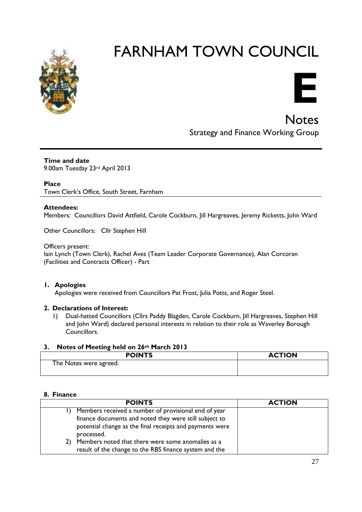



Notes Strategy and Finance Working Group

**Time and date** 9.00am Tuesday 23rd April 2013

#### **Place**

Town Clerk's Office, South Street, Farnham

#### **Attendees:**

Members: Councillors David Attfield, Carole Cockburn, Jill Hargreaves, Jeremy Ricketts, John Ward

Other Councillors: Cllr Stephen Hill

#### Officers present:

Iain Lynch (Town Clerk), Rachel Aves (Team Leader Corporate Governance), Alan Corcoran (Facilities and Contracts Officer) - Part

#### **1. Apologies**

Apologies were received from Councillors Pat Frost, Julia Potts, and Roger Steel.

#### **2. Declarations of Interest:**

1) Dual-hatted Councillors (Cllrs Paddy Blagden, Carole Cockburn, Jill Hargreaves, Stephen Hill and John Ward) declared personal interests in relation to their role as Waverley Borough Councillors.

#### **3. Notes of Meeting held on 26th March 2013**

| <b>POINTS</b>          | <b>ACTION</b> |
|------------------------|---------------|
| The Notes were agreed. |               |
|                        |               |

#### **8. Finance**

|     | <b>POINTS</b>                                            | <b>ACTION</b> |
|-----|----------------------------------------------------------|---------------|
|     | Members received a number of provisional end of year     |               |
|     | finance documents and noted they were still subject to   |               |
|     | potential change as the final receipts and payments were |               |
|     | processed.                                               |               |
| 2). | Members noted that there were some anomalies as a        |               |
|     | result of the change to the RBS finance system and the   |               |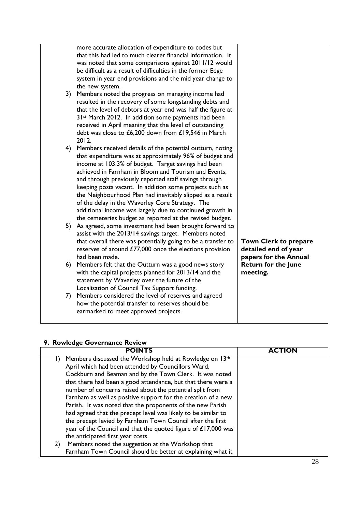| more accurate allocation of expenditure to codes but<br>that this had led to much clearer financial information. It<br>was noted that some comparisons against 2011/12 would<br>be difficult as a result of difficulties in the former Edge<br>system in year end provisions and the mid year change to<br>the new system.                                                                                                                                                                                                                                                                         |                                                                               |
|----------------------------------------------------------------------------------------------------------------------------------------------------------------------------------------------------------------------------------------------------------------------------------------------------------------------------------------------------------------------------------------------------------------------------------------------------------------------------------------------------------------------------------------------------------------------------------------------------|-------------------------------------------------------------------------------|
| 3) Members noted the progress on managing income had<br>resulted in the recovery of some longstanding debts and<br>that the level of debtors at year end was half the figure at<br>31 <sup>st</sup> March 2012. In addition some payments had been<br>received in April meaning that the level of outstanding<br>debt was close to £6,200 down from £19,546 in March<br>2012.                                                                                                                                                                                                                      |                                                                               |
| 4) Members received details of the potential outturn, noting<br>that expenditure was at approximately 96% of budget and<br>income at 103.3% of budget. Target savings had been<br>achieved in Farnham in Bloom and Tourism and Events,<br>and through previously reported staff savings through<br>keeping posts vacant. In addition some projects such as<br>the Neighbourhood Plan had inevitably slipped as a result<br>of the delay in the Waverley Core Strategy. The<br>additional income was largely due to continued growth in<br>the cemeteries budget as reported at the revised budget. |                                                                               |
| 5) As agreed, some investment had been brought forward to<br>assist with the 2013/14 savings target. Members noted<br>that overall there was potentially going to be a transfer to<br>reserves of around £77,000 once the elections provision<br>had been made.                                                                                                                                                                                                                                                                                                                                    | <b>Town Clerk to prepare</b><br>detailed end of year<br>papers for the Annual |
| 6) Members felt that the Outturn was a good news story<br>with the capital projects planned for 2013/14 and the<br>statement by Waverley over the future of the<br>Localisation of Council Tax Support funding.                                                                                                                                                                                                                                                                                                                                                                                    | <b>Return for the June</b><br>meeting.                                        |
| 7) Members considered the level of reserves and agreed<br>how the potential transfer to reserves should be<br>earmarked to meet approved projects.                                                                                                                                                                                                                                                                                                                                                                                                                                                 |                                                                               |

# **9. Rowledge Governance Review**

| <b>POINTS</b>                                                           | <b>ACTION</b> |
|-------------------------------------------------------------------------|---------------|
| Members discussed the Workshop held at Rowledge on 13th<br>$\mathsf{D}$ |               |
| April which had been attended by Councillors Ward,                      |               |
| Cockburn and Beaman and by the Town Clerk. It was noted                 |               |
| that there had been a good attendance, but that there were a            |               |
| number of concerns raised about the potential split from                |               |
| Farnham as well as positive support for the creation of a new           |               |
| Parish. It was noted that the proponents of the new Parish              |               |
| had agreed that the precept level was likely to be similar to           |               |
| the precept levied by Farnham Town Council after the first              |               |
| year of the Council and that the quoted figure of £17,000 was           |               |
| the anticipated first year costs.                                       |               |
| Members noted the suggestion at the Workshop that<br>2)                 |               |
| Farnham Town Council should be better at explaining what it             |               |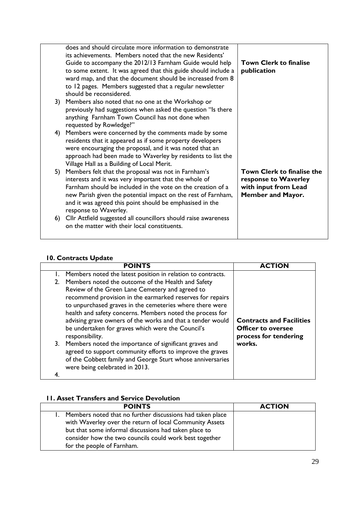|    | does and should circulate more information to demonstrate<br>its achievements. Members noted that the new Residents'<br>Guide to accompany the 2012/13 Farnham Guide would help | <b>Town Clerk to finalise</b> |
|----|---------------------------------------------------------------------------------------------------------------------------------------------------------------------------------|-------------------------------|
|    | to some extent. It was agreed that this guide should include a                                                                                                                  | publication                   |
|    | ward map, and that the document should be increased from 8                                                                                                                      |                               |
|    | to 12 pages. Members suggested that a regular newsletter                                                                                                                        |                               |
|    | should be reconsidered.                                                                                                                                                         |                               |
|    | 3) Members also noted that no one at the Workshop or                                                                                                                            |                               |
|    | previously had suggestions when asked the question "Is there                                                                                                                    |                               |
|    | anything Farnham Town Council has not done when                                                                                                                                 |                               |
|    | requested by Rowledge?"                                                                                                                                                         |                               |
| 4) | Members were concerned by the comments made by some                                                                                                                             |                               |
|    | residents that it appeared as if some property developers                                                                                                                       |                               |
|    | were encouraging the proposal, and it was noted that an                                                                                                                         |                               |
|    | approach had been made to Waverley by residents to list the                                                                                                                     |                               |
|    | Village Hall as a Building of Local Merit.                                                                                                                                      |                               |
| 5) | Members felt that the proposal was not in Farnham's                                                                                                                             | Town Clerk to finalise the    |
|    | interests and it was very important that the whole of                                                                                                                           | response to Waverley          |
|    | Earnham should be included in the vote on the creation of a                                                                                                                     | with input from Lead          |
|    | new Parish given the potential impact on the rest of Farnham,                                                                                                                   | <b>Member and Mayor.</b>      |
|    | and it was agreed this point should be emphasised in the                                                                                                                        |                               |
|    | response to Waverley.                                                                                                                                                           |                               |
|    | 6) Cllr Attfield suggested all councillors should raise awareness<br>on the matter with their local constituents.                                                               |                               |
|    |                                                                                                                                                                                 |                               |
|    |                                                                                                                                                                                 |                               |

# **10. Contracts Update**

| <b>POINTS</b>                                                                                                                                                                                                                                                                                                                                                                                                                                                                                                                                                                                                                                                                                                                 | ΊΟΝ                                                                                             |
|-------------------------------------------------------------------------------------------------------------------------------------------------------------------------------------------------------------------------------------------------------------------------------------------------------------------------------------------------------------------------------------------------------------------------------------------------------------------------------------------------------------------------------------------------------------------------------------------------------------------------------------------------------------------------------------------------------------------------------|-------------------------------------------------------------------------------------------------|
| Members noted the latest position in relation to contracts.<br>2. Members noted the outcome of the Health and Safety<br>Review of the Green Lane Cemetery and agreed to<br>recommend provision in the earmarked reserves for repairs<br>to unpurchased graves in the cemeteries where there were<br>health and safety concerns. Members noted the process for<br>advising grave owners of the works and that a tender would<br>be undertaken for graves which were the Council's<br>responsibility.<br>3. Members noted the importance of significant graves and<br>agreed to support community efforts to improve the graves<br>of the Cobbett family and George Sturt whose anniversaries<br>were being celebrated in 2013. | <b>Contracts and Facilities</b><br><b>Officer to oversee</b><br>process for tendering<br>works. |
|                                                                                                                                                                                                                                                                                                                                                                                                                                                                                                                                                                                                                                                                                                                               |                                                                                                 |

# **11. Asset Transfers and Service Devolution**

| <b>POINTS</b>                                                                                                                                                                                                                           | <b>ACTION</b> |
|-----------------------------------------------------------------------------------------------------------------------------------------------------------------------------------------------------------------------------------------|---------------|
| Members noted that no further discussions had taken place<br>with Waverley over the return of local Community Assets<br>but that some informal discussions had taken place to<br>consider how the two councils could work best together |               |
| for the people of Farnham.                                                                                                                                                                                                              |               |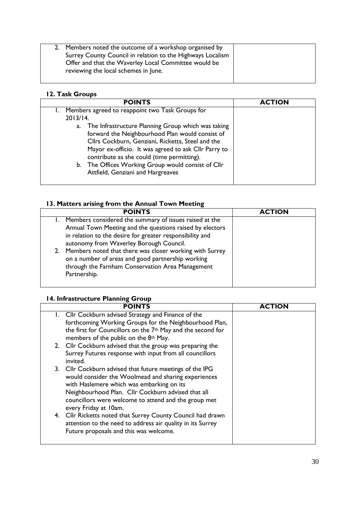| Members noted the outcome of a workshop organised by<br>Surrey County Council in relation to the Highways Localism<br>Offer and that the Waverley Local Committee would be<br>reviewing the local schemes in June. |  |
|--------------------------------------------------------------------------------------------------------------------------------------------------------------------------------------------------------------------|--|
|                                                                                                                                                                                                                    |  |

# **12. Task Groups**

| <b>POINTS</b>                                                                                                                                                                                                                                                                                                                                                     | <b>ACTION</b> |
|-------------------------------------------------------------------------------------------------------------------------------------------------------------------------------------------------------------------------------------------------------------------------------------------------------------------------------------------------------------------|---------------|
| Members agreed to reappoint two Task Groups for                                                                                                                                                                                                                                                                                                                   |               |
| 2013/14.                                                                                                                                                                                                                                                                                                                                                          |               |
| The Infrastructure Planning Group which was taking<br>a.<br>forward the Neighbourhood Plan would consist of<br>Cllrs Cockburn, Genziani, Ricketts, Steel and the<br>Mayor ex-officio. It was agreed to ask Cllr Parry to<br>contribute as she could (time permitting).<br>b. The Offices Working Group would consist of Cllr<br>Attfield, Genziani and Hargreaves |               |

# **13. Matters arising from the Annual Town Meeting**

| <b>POINTS</b>                                                                                                                                                                                                                | <b>ACTION</b> |
|------------------------------------------------------------------------------------------------------------------------------------------------------------------------------------------------------------------------------|---------------|
| 1. Members considered the summary of issues raised at the<br>Annual Town Meeting and the questions raised by electors<br>in relation to the desire for greater responsibility and<br>autonomy from Waverley Borough Council. |               |
| 2. Members noted that there was closer working with Surrey<br>on a number of areas and good partnership working<br>through the Farnham Conservation Area Management<br>Partnership.                                          |               |

# **14. Infrastructure Planning Group**

| <b>POINTS</b>                                                                                                                                                                                                                                                                                       | <b>ACTION</b> |
|-----------------------------------------------------------------------------------------------------------------------------------------------------------------------------------------------------------------------------------------------------------------------------------------------------|---------------|
| 1. Cllr Cockburn advised Strategy and Finance of the<br>forthcoming Working Groups for the Neighbourhood Plan,<br>the first for Councillors on the 7 <sup>th</sup> May and the second for<br>members of the public on the 8th May.                                                                  |               |
| 2. Cllr Cockburn advised that the group was preparing the<br>Surrey Futures response with input from all councillors<br>invited.                                                                                                                                                                    |               |
| 3. Cllr Cockburn advised that future meetings of the IPG<br>would consider the Woolmead and sharing experiences<br>with Haslemere which was embarking on its<br>Neighbourhood Plan. Cllr Cockburn advised that all<br>councillors were welcome to attend and the group met<br>every Friday at 10am. |               |
| 4. Cllr Ricketts noted that Surrey County Council had drawn<br>attention to the need to address air quality in its Surrey<br>Future proposals and this was welcome.                                                                                                                                 |               |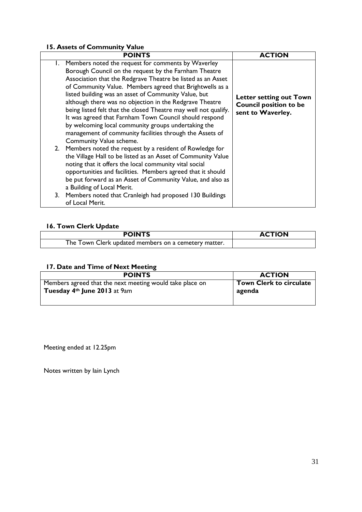# **15. Assets of Community Value**

| <b>POINTS</b>                                                                                                                                                                                                                                                                                                                                                                                                                                                                                                                                                                                                | <b>ACTION</b>                                                                 |
|--------------------------------------------------------------------------------------------------------------------------------------------------------------------------------------------------------------------------------------------------------------------------------------------------------------------------------------------------------------------------------------------------------------------------------------------------------------------------------------------------------------------------------------------------------------------------------------------------------------|-------------------------------------------------------------------------------|
| 1. Members noted the request for comments by Waverley<br>Borough Council on the request by the Farnham Theatre<br>Association that the Redgrave Theatre be listed as an Asset<br>of Community Value. Members agreed that Brightwells as a<br>listed building was an asset of Community Value, but<br>although there was no objection in the Redgrave Theatre<br>being listed felt that the closed Theatre may well not qualify.<br>It was agreed that Farnham Town Council should respond<br>by welcoming local community groups undertaking the<br>management of community facilities through the Assets of | Letter setting out Town<br><b>Council position to be</b><br>sent to Waverley. |
| Community Value scheme.<br>2. Members noted the request by a resident of Rowledge for<br>the Village Hall to be listed as an Asset of Community Value<br>noting that it offers the local community vital social<br>opportunities and facilities. Members agreed that it should<br>be put forward as an Asset of Community Value, and also as<br>a Building of Local Merit.<br>3. Members noted that Cranleigh had proposed 130 Buildings<br>of Local Merit.                                                                                                                                                  |                                                                               |

# **16. Town Clerk Update**

| <b>POINTS</b>                                        | <b>ACTION</b> |
|------------------------------------------------------|---------------|
| The Town Clerk updated members on a cemetery matter. |               |

# **17. Date and Time of Next Meeting**

| <b>POINTS</b>                                            | <b>ACTION</b>                  |
|----------------------------------------------------------|--------------------------------|
| Members agreed that the next meeting would take place on | <b>Town Clerk to circulate</b> |
| Tuesday 4th June 2013 at 9am                             | agenda                         |
|                                                          |                                |

Meeting ended at 12.25pm

Notes written by Iain Lynch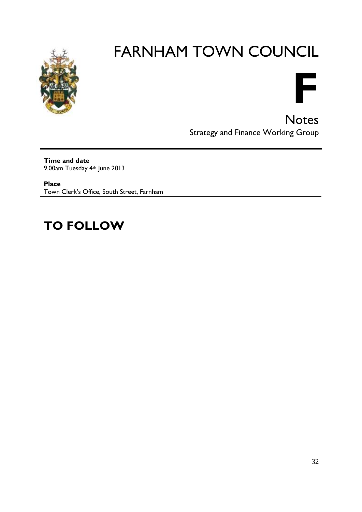



**Notes** Strategy and Finance Working Group

**Time and date** 9.00am Tuesday 4th June 2013

**Place** Town Clerk's Office, South Street, Farnham

# **TO FOLLOW**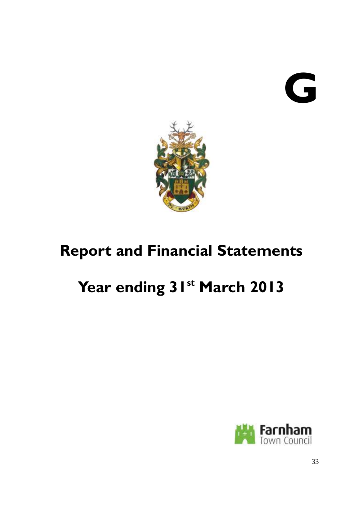# **G**



# **Report and Financial Statements**

# **Year ending 31st March 2013**

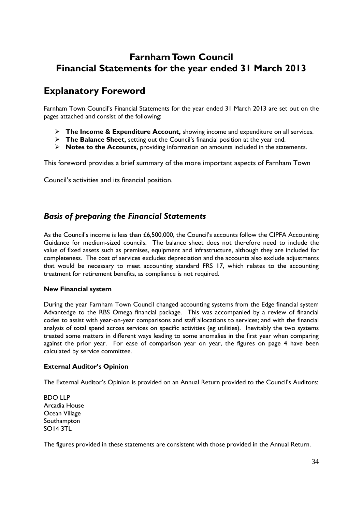# **Farnham Town Council Financial Statements for the year ended 31 March 2013**

# **Explanatory Foreword**

Farnham Town Council's Financial Statements for the year ended 31 March 2013 are set out on the pages attached and consist of the following:

- **The Income & Expenditure Account,** showing income and expenditure on all services.
- **The Balance Sheet,** setting out the Council's financial position at the year end.
- **Notes to the Accounts,** providing information on amounts included in the statements.

This foreword provides a brief summary of the more important aspects of Farnham Town

Council's activities and its financial position.

# *Basis of preparing the Financial Statements*

As the Council's income is less than £6,500,000, the Council's accounts follow the CIPFA Accounting Guidance for medium-sized councils. The balance sheet does not therefore need to include the value of fixed assets such as premises, equipment and infrastructure, although they are included for completeness. The cost of services excludes depreciation and the accounts also exclude adjustments that would be necessary to meet accounting standard FRS 17, which relates to the accounting treatment for retirement benefits, as compliance is not required.

#### **New Financial system**

During the year Farnham Town Council changed accounting systems from the Edge financial system Advantedge to the RBS Omega financial package. This was accompanied by a review of financial codes to assist with year-on-year comparisons and staff allocations to services; and with the financial analysis of total spend across services on specific activities (eg utilities). Inevitably the two systems treated some matters in different ways leading to some anomalies in the first year when comparing against the prior year. For ease of comparison year on year, the figures on page 4 have been calculated by service committee.

#### **External Auditor's Opinion**

The External Auditor's Opinion is provided on an Annual Return provided to the Council's Auditors:

BDO LLP Arcadia House Ocean Village Southampton SO14 3TL

The figures provided in these statements are consistent with those provided in the Annual Return.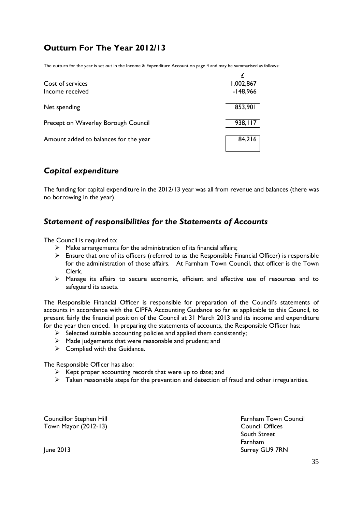# **Outturn For The Year 2012/13**

The outturn for the year is set out in the Income & Expenditure Account on page 4 and may be summarised as follows:

| Cost of services<br>Income received   | 1,002,867<br>$-148,966$ |
|---------------------------------------|-------------------------|
| Net spending                          | 853,901                 |
| Precept on Waverley Borough Council   | 938,117                 |
| Amount added to balances for the year | 84,216                  |

# *Capital expenditure*

The funding for capital expenditure in the 2012/13 year was all from revenue and balances (there was no borrowing in the year).

# *Statement of responsibilities for the Statements of Accounts*

The Council is required to:

- $\triangleright$  Make arrangements for the administration of its financial affairs;
- $\triangleright$  Ensure that one of its officers (referred to as the Responsible Financial Officer) is responsible for the administration of those affairs. At Farnham Town Council, that officer is the Town Clerk.
- Manage its affairs to secure economic, efficient and effective use of resources and to safeguard its assets.

The Responsible Financial Officer is responsible for preparation of the Council's statements of accounts in accordance with the CIPFA Accounting Guidance so far as applicable to this Council, to present fairly the financial position of the Council at 31 March 2013 and its income and expenditure for the year then ended. In preparing the statements of accounts, the Responsible Officer has:

- $\triangleright$  Selected suitable accounting policies and applied them consistently;
- Made judgements that were reasonable and prudent; and
- $\triangleright$  Complied with the Guidance.

The Responsible Officer has also:

- $\triangleright$  Kept proper accounting records that were up to date; and
- $\triangleright$  Taken reasonable steps for the prevention and detection of fraud and other irregularities.

Town Mayor (2012-13) Council Offices

Councillor Stephen Hill **Farnham Town Council** South Street Farnham June 2013 Surrey GU9 7RN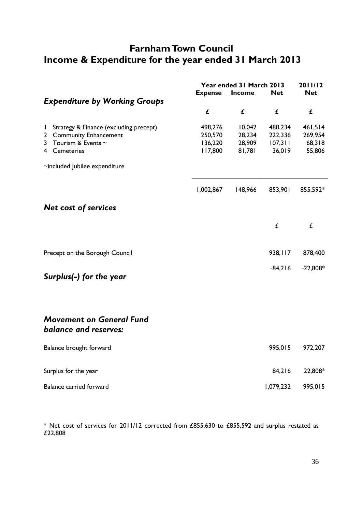# **Farnham Town Council Income & Expenditure for the year ended 31 March 2013**

|              |                                        | 2011/12<br>Year ended 31 March 2013 |         |            |            |
|--------------|----------------------------------------|-------------------------------------|---------|------------|------------|
|              |                                        | <b>Expense</b>                      | Income  | <b>Net</b> | <b>Net</b> |
|              | <b>Expenditure by Working Groups</b>   |                                     |         |            |            |
|              |                                        | £                                   | £       | £          | £          |
| $\mathbf{I}$ | Strategy & Finance (excluding precept) | 498,276                             | 10,042  | 488,234    | 461,514    |
|              | 2 Community Enhancement                | 250,570                             | 28,234  | 222,336    | 269,954    |
| 3            | Tourism & Events $\sim$                | 136,220                             | 28,909  | 107,311    | 68,318     |
|              | 4 Cemeteries                           | 117,800                             | 81,781  | 36,019     | 55,806     |
|              | ~included Jubilee expenditure          |                                     |         |            |            |
|              |                                        | 1,002,867                           | 148,966 | 853,901    | 855,592*   |
|              | <b>Net cost of services</b>            |                                     |         |            |            |
|              |                                        |                                     |         | £          | £          |
|              | Precept on the Borough Council         |                                     |         | 938,117    | 878,400    |
|              |                                        |                                     |         |            |            |
|              | Surplus(-) for the year                |                                     |         | $-84,216$  | $-22,808*$ |
|              |                                        |                                     |         |            |            |
|              | <b>Movement on General Fund</b>        |                                     |         |            |            |
|              | <b>balance and reserves:</b>           |                                     |         |            |            |
|              | Balance brought forward                |                                     |         | 995,015    | 972,207    |
|              | Surplus for the year                   |                                     |         | 84,216     | 22,808*    |
|              | Balance carried forward                |                                     |         | 1,079,232  | 995,015    |

\* Net cost of services for 2011/12 corrected from £855,630 to £855,592 and surplus restated as £22,808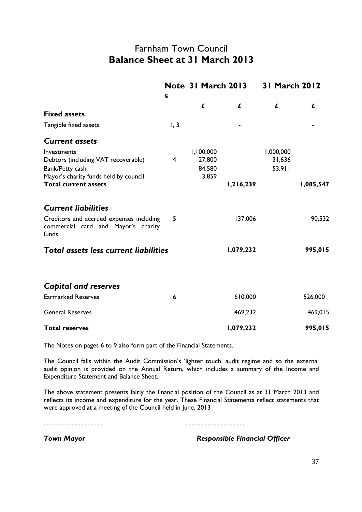### Farnham Town Council **Balance Sheet at 31 March 2013**

|                                                                                                                | S    |                                        | Note 31 March 2013 | <b>31 March 2012</b>          |           |
|----------------------------------------------------------------------------------------------------------------|------|----------------------------------------|--------------------|-------------------------------|-----------|
|                                                                                                                |      | £                                      | £                  | £                             | £         |
| <b>Fixed assets</b>                                                                                            |      |                                        |                    |                               |           |
| Tangible fixed assets                                                                                          | 1, 3 |                                        |                    |                               |           |
| <b>Current assets</b>                                                                                          |      |                                        |                    |                               |           |
| Investments<br>Debtors (including VAT recoverable)<br>Bank/Petty cash<br>Mayor's charity funds held by council | 4    | 1,100,000<br>27,800<br>84,580<br>3,859 |                    | 1,000,000<br>31,636<br>53,911 |           |
| <b>Total current assets</b>                                                                                    |      |                                        | 1,216,239          |                               | 1,085,547 |
| <b>Current liabilities</b>                                                                                     |      |                                        |                    |                               |           |
| Creditors and accrued expenses including<br>commercial card and Mayor's charity<br>funds                       | 5    |                                        | 137,006            |                               | 90,532    |
| <b>Total assets less current liabilities</b>                                                                   |      |                                        | 1,079,232          |                               | 995,015   |
|                                                                                                                |      |                                        |                    |                               |           |
| <b>Capital and reserves</b>                                                                                    |      |                                        |                    |                               |           |
| <b>Earmarked Reserves</b>                                                                                      | 6    |                                        | 610,000            |                               | 526,000   |
| <b>General Reserves</b>                                                                                        |      |                                        | 469,232            |                               | 469,015   |
| <b>Total reserves</b>                                                                                          |      |                                        | 1,079,232          |                               | 995,015   |

The Notes on pages 6 to 9 also form part of the Financial Statements.

The Council falls within the Audit Commission's 'lighter touch' audit regime and so the external audit opinion is provided on the Annual Return, which includes a summary of the Income and Expenditure Statement and Balance Sheet.

The above statement presents fairly the financial position of the Council as at 31 March 2013 and reflects its income and expenditure for the year. These Financial Statements reflect statements that were approved at a meeting of the Council held in June, 2013

......................................... .........................................

*Town Mayor Responsible Financial Officer*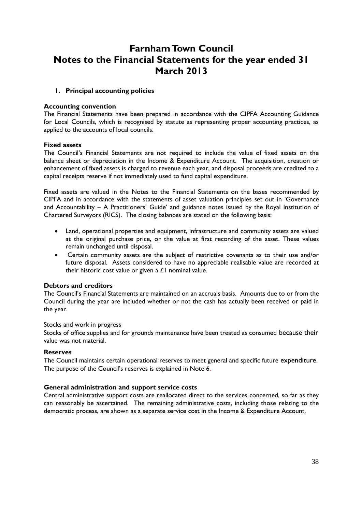# **Farnham Town Council Notes to the Financial Statements for the year ended 31 March 2013**

### **1. Principal accounting policies**

### **Accounting convention**

The Financial Statements have been prepared in accordance with the CIPFA Accounting Guidance for Local Councils, which is recognised by statute as representing proper accounting practices, as applied to the accounts of local councils.

### **Fixed assets**

The Council's Financial Statements are not required to include the value of fixed assets on the balance sheet or depreciation in the Income & Expenditure Account. The acquisition, creation or enhancement of fixed assets is charged to revenue each year, and disposal proceeds are credited to a capital receipts reserve if not immediately used to fund capital expenditure.

Fixed assets are valued in the Notes to the Financial Statements on the bases recommended by CIPFA and in accordance with the statements of asset valuation principles set out in 'Governance and Accountability – A Practitioners' Guide' and guidance notes issued by the Royal Institution of Chartered Surveyors (RICS). The closing balances are stated on the following basis:

- Land, operational properties and equipment, infrastructure and community assets are valued at the original purchase price, or the value at first recording of the asset. These values remain unchanged until disposal.
- Certain community assets are the subject of restrictive covenants as to their use and/or future disposal. Assets considered to have no appreciable realisable value are recorded at their historic cost value or given a  $£1$  nominal value.

### **Debtors and creditors**

The Council's Financial Statements are maintained on an accruals basis. Amounts due to or from the Council during the year are included whether or not the cash has actually been received or paid in the year.

#### Stocks and work in progress

Stocks of office supplies and for grounds maintenance have been treated as consumed because their value was not material.

### **Reserves**

The Council maintains certain operational reserves to meet general and specific future expenditure. The purpose of the Council's reserves is explained in Note 6.

### **General administration and support service costs**

Central administrative support costs are reallocated direct to the services concerned, so far as they can reasonably be ascertained. The remaining administrative costs, including those relating to the democratic process, are shown as a separate service cost in the Income & Expenditure Account.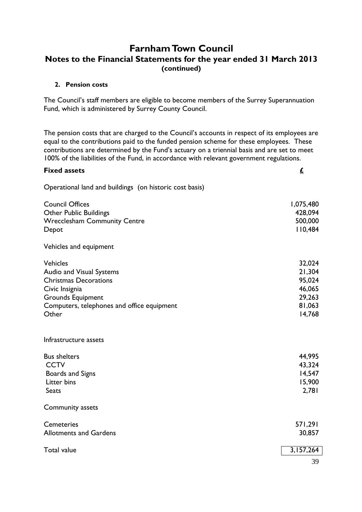### **Farnham Town Council Notes to the Financial Statements for the year ended 31 March 2013 (continued)**

### **2. Pension costs**

The Council's staff members are eligible to become members of the Surrey Superannuation Fund, which is administered by Surrey County Council.

The pension costs that are charged to the Council's accounts in respect of its employees are equal to the contributions paid to the funded pension scheme for these employees. These contributions are determined by the Fund's actuary on a triennial basis and are set to meet 100% of the liabilities of the Fund, in accordance with relevant government regulations.

| <b>Fixed assets</b>                                                                                                                                                              | $\underline{\mathbf{f}}$                                           |
|----------------------------------------------------------------------------------------------------------------------------------------------------------------------------------|--------------------------------------------------------------------|
| Operational land and buildings (on historic cost basis)                                                                                                                          |                                                                    |
| <b>Council Offices</b><br><b>Other Public Buildings</b><br><b>Wrecclesham Community Centre</b><br>Depot                                                                          | 1,075,480<br>428,094<br>500,000<br>110,484                         |
| Vehicles and equipment                                                                                                                                                           |                                                                    |
| <b>Vehicles</b><br>Audio and Visual Systems<br><b>Christmas Decorations</b><br>Civic Insignia<br><b>Grounds Equipment</b><br>Computers, telephones and office equipment<br>Other | 32,024<br>21,304<br>95,024<br>46,065<br>29,263<br>81,063<br>14,768 |
| Infrastructure assets                                                                                                                                                            |                                                                    |
| <b>Bus shelters</b><br><b>CCTV</b><br>Boards and Signs<br>Litter bins<br><b>Seats</b>                                                                                            | 44,995<br>43,324<br>14,547<br>15,900<br>2,781                      |
| Community assets                                                                                                                                                                 |                                                                    |
| Cemeteries<br><b>Allotments and Gardens</b>                                                                                                                                      | 571,291<br>30,857                                                  |
| <b>Total value</b>                                                                                                                                                               | 3,157,264                                                          |
|                                                                                                                                                                                  | 39                                                                 |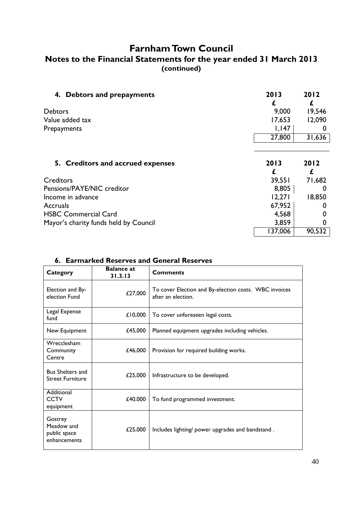# **Farnham Town Council**

### **Notes to the Financial Statements for the year ended 31 March 2013 (continued)**

| 4. Debtors and prepayments            | 2013    | 2012   |
|---------------------------------------|---------|--------|
| <b>Debtors</b>                        | 9,000   | 19,546 |
| Value added tax                       | 17,653  | 12,090 |
| Prepayments                           | 1,147   |        |
|                                       | 27,800  | 31,636 |
|                                       |         |        |
| 5. Creditors and accrued expenses     | 2013    | 2012   |
|                                       |         | £      |
| <b>Creditors</b>                      | 39,551  | 71,682 |
| Pensions/PAYE/NIC creditor            | 8,805   |        |
| Income in advance                     | 12,271  | 18,850 |
| Accruals                              | 67,952  |        |
| <b>HSBC Commercial Card</b>           | 4,568   |        |
| Mayor's charity funds held by Council | 3,859   |        |
|                                       | 137,006 | 90,532 |

| Category                                              | <b>Balance at</b><br>31.3.13 | <b>Comments</b>                                                             |
|-------------------------------------------------------|------------------------------|-----------------------------------------------------------------------------|
| Election and By-<br>election Fund                     | £27,000                      | To cover Election and By-election costs. WBC invoices<br>after an election. |
| Legal Expense<br>fund                                 | £10,000                      | To cover unforeseen legal costs.                                            |
| New Equipment                                         | £45,000                      | Planned equipment upgrades including vehicles.                              |
| Wrecclesham<br>Community<br>Centre                    | £46,000                      | Provision for required building works.                                      |
| <b>Bus Shelters and</b><br><b>Street Furniture</b>    | £25,000                      | Infrastructure to be developed.                                             |
| Additional<br><b>CCTV</b><br>equipment                | £40,000                      | To fund programmed investment.                                              |
| Gostrey<br>Meadow and<br>public space<br>enhancements | £25,000                      | Includes lighting/ power upgrades and bandstand.                            |

### **6. Earmarked Reserves and General Reserves**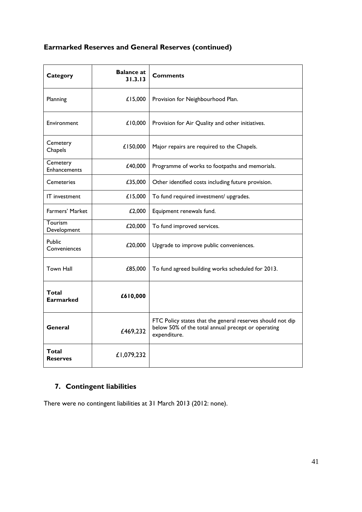## **Earmarked Reserves and General Reserves (continued)**

| Category                        | <b>Balance at</b><br>31.3.13 | <b>Comments</b>                                                                                                                  |
|---------------------------------|------------------------------|----------------------------------------------------------------------------------------------------------------------------------|
| Planning                        | £15,000                      | Provision for Neighbourhood Plan.                                                                                                |
| Environment                     | £10,000                      | Provision for Air Quality and other initiatives.                                                                                 |
| Cemetery<br>Chapels             | £150,000                     | Major repairs are required to the Chapels.                                                                                       |
| Cemetery<br><b>Enhancements</b> | £40,000                      | Programme of works to footpaths and memorials.                                                                                   |
| <b>Cemeteries</b>               | £35,000                      | Other identified costs including future provision.                                                                               |
| IT investment                   | £15,000                      | To fund required investment/ upgrades.                                                                                           |
| Farmers' Market                 | £2,000                       | Equipment renewals fund.                                                                                                         |
| Tourism<br>Development          | £20,000                      | To fund improved services.                                                                                                       |
| Public<br>Conveniences          | £20,000                      | Upgrade to improve public conveniences.                                                                                          |
| <b>Town Hall</b>                | £85,000                      | To fund agreed building works scheduled for 2013.                                                                                |
| Total<br><b>Earmarked</b>       | £610,000                     |                                                                                                                                  |
| General                         | £469,232                     | FTC Policy states that the general reserves should not dip<br>below 50% of the total annual precept or operating<br>expenditure. |
| Total<br><b>Reserves</b>        | £1,079,232                   |                                                                                                                                  |

### **7. Contingent liabilities**

There were no contingent liabilities at 31 March 2013 (2012: none).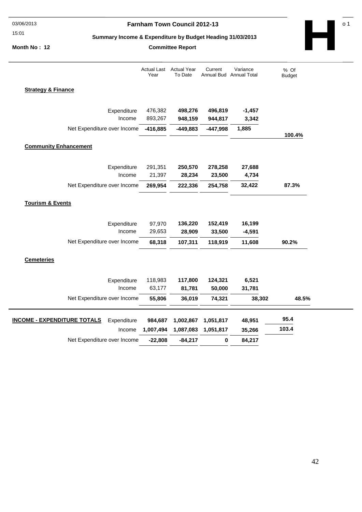#### 15:01

### 03/06/2013 **Farnham Town Council 2012-13 Page No 1 12012-13**

**Committee Report** 

#### **Summary Income & Expenditure by Budget Heading 31/03/2013**

**Month No : 12** 

% Of Budget **95.4 35,266 6,521 103.4** Actual Year To Date **Current** Annual Bud Annual Total Variance Actual Last Year **Strategy & Finance -416,885**  Income **498,276 496,819 -1,457 948,159 944,817 3,342**  Expenditure Net Expenditure over Income **-449,883 -447,998 1,885 100.4%**  476,382 893,267 **Community Enhancement 269,954**  Income **250,570 278,258 27,688 28,234 23,500 4,734**  Expenditure Net Expenditure over Income **222,336 254,758 32,422 87.3%** 291,351 21,397 **Tourism & Events 68,318**  Income **136,220 152,419 16,199 28,909 33,500 -4,591**  Expenditure Net Expenditure over Income **107,311 118,919 11,608 90.2%**  97,970 29,653 **Cemeteries 55,806**  Income **117,800 124,321 81,781 50,000 31,781**  Expenditure Net Expenditure over Income **36,019 74,321 38,302 48.5%**  118,983 63,177 **984,687 1,007,494 1,002,867 1,051,817 48,951 1,087,083 1,051,817 INCOME - EXPENDITURE TOTALS**  Net Expenditure over Income Expenditure Income **-22,808 -84,217 0 84,217** 

**H**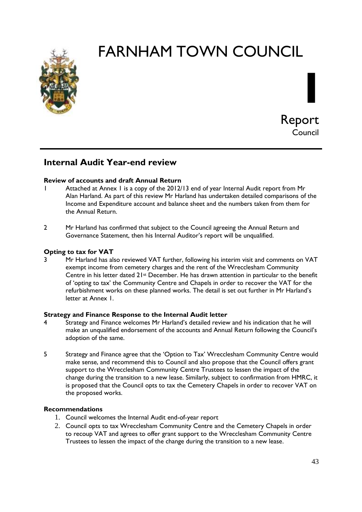



### **Internal Audit Year-end review**

### **Review of accounts and draft Annual Return**

- 1 Attached at Annex 1 is a copy of the 2012/13 end of year Internal Audit report from Mr Alan Harland. As part of this review Mr Harland has undertaken detailed comparisons of the Income and Expenditure account and balance sheet and the numbers taken from them for the Annual Return.
- 2 Mr Harland has confirmed that subject to the Council agreeing the Annual Return and Governance Statement, then his Internal Auditor's report will be unqualified.

### **Opting to tax for VAT**

3 Mr Harland has also reviewed VAT further, following his interim visit and comments on VAT exempt income from cemetery charges and the rent of the Wrecclesham Community Centre in his letter dated 21<sup>st</sup> December. He has drawn attention in particular to the benefit of 'opting to tax' the Community Centre and Chapels in order to recover the VAT for the refurbishment works on these planned works. The detail is set out further in Mr Harland's letter at Annex 1.

### **Strategy and Finance Response to the Internal Audit letter**

- 4 Strategy and Finance welcomes Mr Harland's detailed review and his indication that he will make an unqualified endorsement of the accounts and Annual Return following the Council's adoption of the same.
- 5 Strategy and Finance agree that the 'Option to Tax' Wrecclesham Community Centre would make sense, and recommend this to Council and also propose that the Council offers grant support to the Wrecclesham Community Centre Trustees to lessen the impact of the change during the transition to a new lease. Similarly, subject to confirmation from HMRC, it is proposed that the Council opts to tax the Cemetery Chapels in order to recover VAT on the proposed works.

### **Recommendations**

- 1. Council welcomes the Internal Audit end-of-year report
- 2. Council opts to tax Wrecclesham Community Centre and the Cemetery Chapels in order to recoup VAT and agrees to offer grant support to the Wrecclesham Community Centre Trustees to lessen the impact of the change during the transition to a new lease.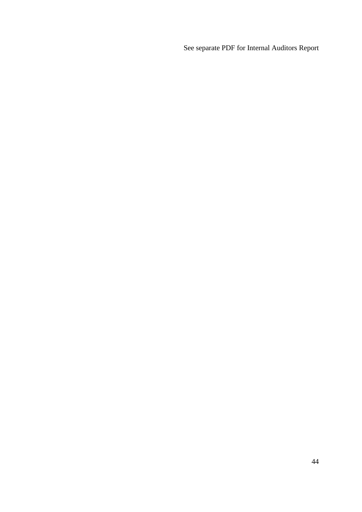See separate PDF for Internal Auditors Report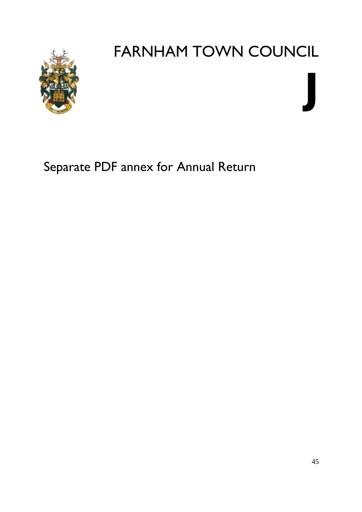

# **J**

Separate PDF annex for Annual Return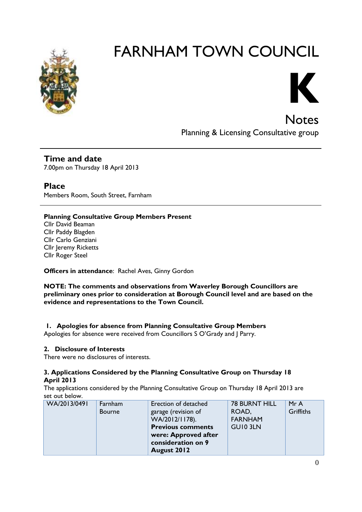



**Notes** Planning & Licensing Consultative group

**Time and date** 7.00pm on Thursday 18 April 2013

**Place** Members Room, South Street, Farnham

### **Planning Consultative Group Members Present**

Cllr David Beaman Cllr Paddy Blagden Cllr Carlo Genziani Cllr Jeremy Ricketts Cllr Roger Steel

**Officers in attendance**: Rachel Aves, Ginny Gordon

**NOTE: The comments and observations from Waverley Borough Councillors are preliminary ones prior to consideration at Borough Council level and are based on the evidence and representations to the Town Council.**

### **1. Apologies for absence from Planning Consultative Group Members**

Apologies for absence were received from Councillors S O'Grady and J Parry.

### **2. Disclosure of Interests**

There were no disclosures of interests.

### **3. Applications Considered by the Planning Consultative Group on Thursday 18 April 2013**

The applications considered by the Planning Consultative Group on Thursday 18 April 2013 are set out below.

| WA/2013/0491 | Farnham       | Erection of detached     | <b>78 BURNT HILL</b> | Mr A      |
|--------------|---------------|--------------------------|----------------------|-----------|
|              | <b>Bourne</b> | garage (revision of      | ROAD,                | Griffiths |
|              |               | WA/2012/1178).           | <b>FARNHAM</b>       |           |
|              |               | <b>Previous comments</b> | <b>GUIO 3LN</b>      |           |
|              |               | were: Approved after     |                      |           |
|              |               | consideration on 9       |                      |           |
|              |               | August 2012              |                      |           |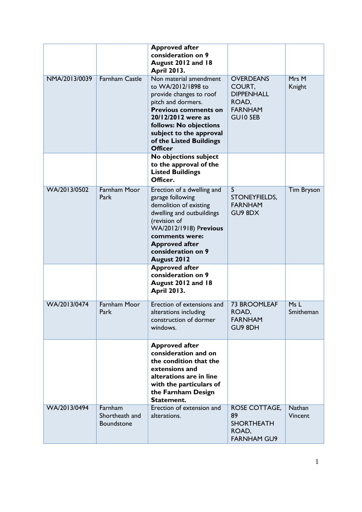|               |                                         | <b>Approved after</b><br>consideration on 9<br>August 2012 and 18<br><b>April 2013.</b>                                                                                                                                                              |                                                                                        |                   |
|---------------|-----------------------------------------|------------------------------------------------------------------------------------------------------------------------------------------------------------------------------------------------------------------------------------------------------|----------------------------------------------------------------------------------------|-------------------|
| NMA/2013/0039 | Farnham Castle                          | Non material amendment<br>to WA/2012/1898 to<br>provide changes to roof<br>pitch and dormers.<br><b>Previous comments on</b><br>20/12/2012 were as<br>follows: No objections<br>subject to the approval<br>of the Listed Buildings<br><b>Officer</b> | <b>OVERDEANS</b><br>COURT,<br><b>DIPPENHALL</b><br>ROAD,<br><b>FARNHAM</b><br>GUI0 5EB | Mrs M<br>Knight   |
|               |                                         | No objections subject<br>to the approval of the<br><b>Listed Buildings</b><br>Officer.                                                                                                                                                               |                                                                                        |                   |
| WA/2013/0502  | <b>Farnham Moor</b><br>Park             | Erection of a dwelling and<br>garage following<br>demolition of existing<br>dwelling and outbuildings<br>(revision of<br>WA/2012/1918) Previous<br>comments were:<br><b>Approved after</b><br>consideration on 9<br><b>August 2012</b>               | 5<br>STONEYFIELDS,<br><b>FARNHAM</b><br>GU9 8DX                                        | <b>Tim Bryson</b> |
|               |                                         | <b>Approved after</b><br>consideration on 9<br>August 2012 and 18<br><b>April 2013.</b>                                                                                                                                                              |                                                                                        |                   |
| WA/2013/0474  | Farnham Moor<br>Park                    | Erection of extensions and<br>alterations including<br>construction of dormer<br>windows.                                                                                                                                                            | <b>73 BROOMLEAF</b><br>ROAD,<br><b>FARNHAM</b><br>GU9 8DH                              | Ms L<br>Smitheman |
|               |                                         | <b>Approved after</b><br>consideration and on<br>the condition that the<br>extensions and<br>alterations are in line<br>with the particulars of<br>the Farnham Design<br>Statement.                                                                  |                                                                                        |                   |
| WA/2013/0494  | Farnham<br>Shortheath and<br>Boundstone | Erection of extension and<br>alterations.                                                                                                                                                                                                            | ROSE COTTAGE,<br>89<br><b>SHORTHEATH</b><br>ROAD,<br><b>FARNHAM GU9</b>                | Nathan<br>Vincent |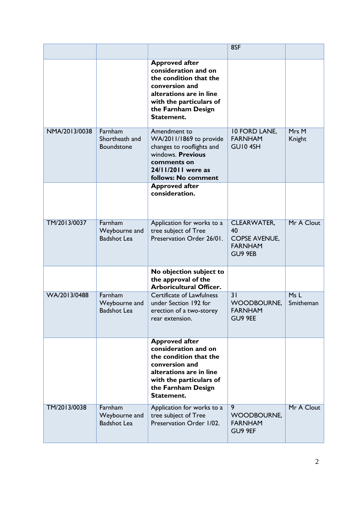|               |                                                |                                                                                                                                                                                     | 8SF                                                                    |                  |
|---------------|------------------------------------------------|-------------------------------------------------------------------------------------------------------------------------------------------------------------------------------------|------------------------------------------------------------------------|------------------|
|               |                                                | <b>Approved after</b><br>consideration and on<br>the condition that the<br>conversion and<br>alterations are in line<br>with the particulars of<br>the Farnham Design<br>Statement. |                                                                        |                  |
| NMA/2013/0038 | Farnham<br>Shortheath and<br>Boundstone        | Amendment to<br>WA/2011/1869 to provide<br>changes to rooflights and<br>windows. Previous<br>comments on<br>24/11/2011 were as<br>follows: No comment                               | 10 FORD LANE,<br><b>FARNHAM</b><br>GUI04SH                             | Mrs M<br>Knight  |
|               |                                                | <b>Approved after</b><br>consideration.                                                                                                                                             |                                                                        |                  |
| TM/2013/0037  | Farnham<br>Weybourne and<br><b>Badshot Lea</b> | Application for works to a<br>tree subject of Tree<br>Preservation Order 26/01.                                                                                                     | CLEARWATER,<br>40<br><b>COPSE AVENUE,</b><br><b>FARNHAM</b><br>GU9 9EB | Mr A Clout       |
|               |                                                | No objection subject to<br>the approval of the<br><b>Arboricultural Officer.</b>                                                                                                    |                                                                        |                  |
| WA/2013/0488  | Farnham<br>Weybourne and<br><b>Badshot Lea</b> | <b>Certificate of Lawfulness</b><br>under Section 192 for<br>erection of a two-storey<br>rear extension.                                                                            | 31<br><b>WOODBOURNE,</b><br><b>FARNHAM</b><br>GU9 9EE                  | MsL<br>Smitheman |
|               |                                                | <b>Approved after</b><br>consideration and on<br>the condition that the<br>conversion and<br>alterations are in line<br>with the particulars of<br>the Farnham Design<br>Statement. |                                                                        |                  |
| TM/2013/0038  | Farnham<br>Weybourne and<br><b>Badshot Lea</b> | Application for works to a<br>tree subject of Tree<br>Preservation Order 1/02.                                                                                                      | $\overline{9}$<br><b>WOODBOURNE,</b><br><b>FARNHAM</b><br>GU9 9EF      | Mr A Clout       |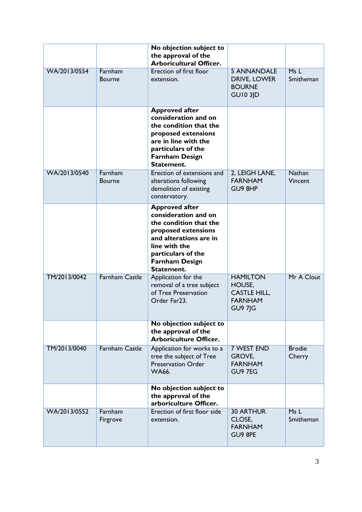|              |                          | No objection subject to<br>the approval of the<br><b>Arboricultural Officer.</b>                                                                                                                       |                                                                                      |                          |
|--------------|--------------------------|--------------------------------------------------------------------------------------------------------------------------------------------------------------------------------------------------------|--------------------------------------------------------------------------------------|--------------------------|
| WA/2013/0554 | Farnham<br><b>Bourne</b> | Erection of first floor<br>extension.                                                                                                                                                                  | <b>5 ANNANDALE</b><br>DRIVE, LOWER<br><b>BOURNE</b><br><b>GUI0 3JD</b>               | MsL<br>Smitheman         |
|              |                          | <b>Approved after</b><br>consideration and on<br>the condition that the<br>proposed extensions<br>are in line with the<br>particulars of the<br><b>Farnham Design</b><br>Statement.                    |                                                                                      |                          |
| WA/2013/0540 | Farnham<br><b>Bourne</b> | Erection of extensions and<br>alterations following<br>demolition of existing<br>conservatory.                                                                                                         | 2, LEIGH LANE,<br><b>FARNHAM</b><br>GU9 8HP                                          | <b>Nathan</b><br>Vincent |
|              |                          | <b>Approved after</b><br>consideration and on<br>the condition that the<br>proposed extensions<br>and alterations are in<br>line with the<br>particulars of the<br><b>Farnham Design</b><br>Statement. |                                                                                      |                          |
| TM/2013/0042 | <b>Farnham Castle</b>    | Application for the<br>removal of a tree subject<br>of Tree Preservation<br>Order Far23.                                                                                                               | <b>HAMILTON</b><br>HOUSE,<br><b>CASTLE HILL,</b><br><b>FARNHAM</b><br><b>GU9 7JG</b> | Mr A Clout               |
|              |                          | No objection subject to<br>the approval of the<br><b>Arboriculture Officer.</b>                                                                                                                        |                                                                                      |                          |
| TM/2013/0040 | <b>Farnham Castle</b>    | Application for works to a<br>tree the subject of Tree<br><b>Preservation Order</b><br><b>WA66.</b>                                                                                                    | <b>7 WEST END</b><br>GROVE,<br><b>FARNHAM</b><br>GU9 7EG                             | <b>Brodie</b><br>Cherry  |
|              |                          | No objection subject to<br>the approval of the<br>arboriculture Officer.                                                                                                                               |                                                                                      |                          |
| WA/2013/0552 | Farnham<br>Firgrove      | Erection of first floor side<br>extension.                                                                                                                                                             | <b>30 ARTHUR</b><br>CLOSE,<br><b>FARNHAM</b><br>GU9 8PE                              | Ms L<br>Smitheman        |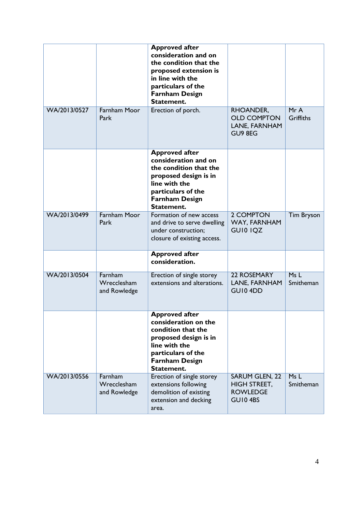| WA/2013/0527 | Farnham Moor<br>Park                   | <b>Approved after</b><br>consideration and on<br>the condition that the<br>proposed extension is<br>in line with the<br>particulars of the<br><b>Farnham Design</b><br>Statement.<br>Erection of porch. | RHOANDER,<br><b>OLD COMPTON</b><br>LANE, FARNHAM<br>GU9 8EG                | MrA<br>Griffiths  |
|--------------|----------------------------------------|---------------------------------------------------------------------------------------------------------------------------------------------------------------------------------------------------------|----------------------------------------------------------------------------|-------------------|
|              |                                        | <b>Approved after</b><br>consideration and on<br>the condition that the<br>proposed design is in<br>line with the<br>particulars of the<br><b>Farnham Design</b><br>Statement.                          |                                                                            |                   |
| WA/2013/0499 | <b>Farnham Moor</b><br>Park            | Formation of new access<br>and drive to serve dwelling<br>under construction;<br>closure of existing access.                                                                                            | 2 COMPTON<br>WAY, FARNHAM<br>GUI0 IQZ                                      | <b>Tim Bryson</b> |
|              |                                        | <b>Approved after</b><br>consideration.                                                                                                                                                                 |                                                                            |                   |
| WA/2013/0504 | Farnham<br>Wrecclesham<br>and Rowledge | Erection of single storey<br>extensions and alterations.                                                                                                                                                | 22 ROSEMARY<br>LANE, FARNHAM<br>GUI04DD                                    | MsL<br>Smitheman  |
|              |                                        | <b>Approved after</b><br>consideration on the<br>condition that the<br>proposed design is in<br>line with the<br>particulars of the<br><b>Farnham Design</b><br>Statement.                              |                                                                            |                   |
| WA/2013/0556 | Farnham<br>Wrecclesham<br>and Rowledge | Erection of single storey<br>extensions following<br>demolition of existing<br>extension and decking<br>area.                                                                                           | <b>SARUM GLEN, 22</b><br><b>HIGH STREET,</b><br><b>ROWLEDGE</b><br>GUI04BS | Ms L<br>Smitheman |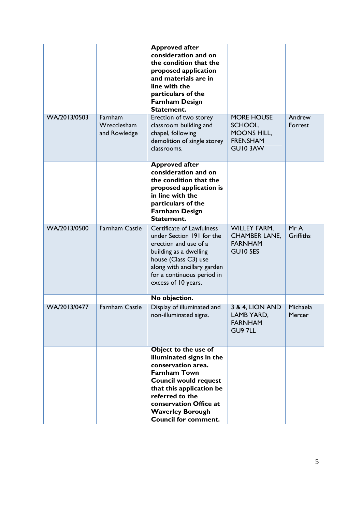|              |                                        | <b>Approved after</b><br>consideration and on<br>the condition that the<br>proposed application<br>and materials are in<br>line with the<br>particulars of the<br><b>Farnham Design</b><br>Statement.                                                            |                                                                                  |                         |
|--------------|----------------------------------------|------------------------------------------------------------------------------------------------------------------------------------------------------------------------------------------------------------------------------------------------------------------|----------------------------------------------------------------------------------|-------------------------|
| WA/2013/0503 | Farnham<br>Wrecclesham<br>and Rowledge | Erection of two storey<br>classroom building and<br>chapel, following<br>demolition of single storey<br>classrooms.                                                                                                                                              | <b>MORE HOUSE</b><br>SCHOOL,<br><b>MOONS HILL,</b><br><b>FRENSHAM</b><br>GUI03AW | Andrew<br>Forrest       |
|              |                                        | <b>Approved after</b><br>consideration and on<br>the condition that the<br>proposed application is<br>in line with the<br>particulars of the<br><b>Farnham Design</b><br>Statement.                                                                              |                                                                                  |                         |
| WA/2013/0500 | <b>Farnham Castle</b>                  | <b>Certificate of Lawfulness</b><br>under Section 191 for the<br>erection and use of a<br>building as a dwelling<br>house (Class C3) use<br>along with ancillary garden<br>for a continuous period in<br>excess of 10 years.                                     | <b>WILLEY FARM,</b><br><b>CHAMBER LANE,</b><br><b>FARNHAM</b><br>GUI0 5ES        | MrA<br><b>Griffiths</b> |
|              |                                        | No objection.                                                                                                                                                                                                                                                    |                                                                                  |                         |
| WA/2013/0477 | <b>Farnham Castle</b>                  | Display of illuminated and<br>non-illuminated signs.                                                                                                                                                                                                             | 3 & 4, LION AND<br>LAMB YARD,<br><b>FARNHAM</b><br>GU9 7LL                       | Michaela<br>Mercer      |
|              |                                        | Object to the use of<br>illuminated signs in the<br>conservation area.<br><b>Farnham Town</b><br><b>Council would request</b><br>that this application be<br>referred to the<br>conservation Office at<br><b>Waverley Borough</b><br><b>Council for comment.</b> |                                                                                  |                         |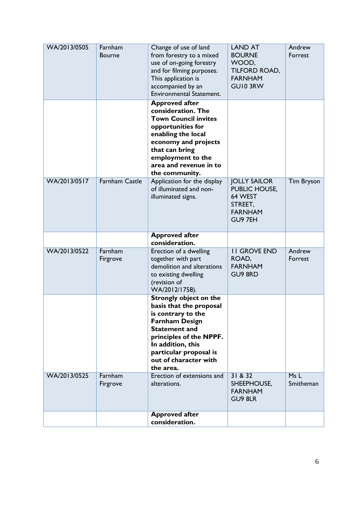| WA/2013/0505 | Farnham<br><b>Bourne</b> | Change of use of land<br>from forestry to a mixed<br>use of on-going forestry<br>and for filming purposes.<br>This application is<br>accompanied by an<br><b>Environmental Statement.</b>                                                       | <b>LAND AT</b><br><b>BOURNE</b><br>WOOD,<br>TILFORD ROAD,<br><b>FARNHAM</b><br><b>GUIO 3RW</b> | Andrew<br>Forrest |
|--------------|--------------------------|-------------------------------------------------------------------------------------------------------------------------------------------------------------------------------------------------------------------------------------------------|------------------------------------------------------------------------------------------------|-------------------|
|              |                          | <b>Approved after</b><br>consideration. The<br><b>Town Council invites</b><br>opportunities for<br>enabling the local<br>economy and projects<br>that can bring<br>employment to the<br>area and revenue in to<br>the community.                |                                                                                                |                   |
| WA/2013/0517 | <b>Farnham Castle</b>    | Application for the display<br>of illuminated and non-<br>illuminated signs.                                                                                                                                                                    | <b>JOLLY SAILOR</b><br>PUBLIC HOUSE,<br>64 WEST<br>STREET,<br><b>FARNHAM</b><br>GU9 7EH        | <b>Tim Bryson</b> |
|              |                          | <b>Approved after</b><br>consideration.                                                                                                                                                                                                         |                                                                                                |                   |
| WA/2013/0522 | Farnham<br>Firgrove      | Erection of a dwelling<br>together with part<br>demolition and alterations<br>to existing dwelling<br>(revision of<br>WA/2012/1758).                                                                                                            | <b>II GROVE END</b><br>ROAD,<br><b>FARNHAM</b><br>GU9 8RD                                      | Andrew<br>Forrest |
|              |                          | <b>Strongly object on the</b><br>basis that the proposal<br>is contrary to the<br><b>Farnham Design</b><br><b>Statement and</b><br>principles of the NPPF.<br>In addition, this<br>particular proposal is<br>out of character with<br>the area. |                                                                                                |                   |
| WA/2013/0525 | Farnham<br>Firgrove      | Erection of extensions and<br>alterations.                                                                                                                                                                                                      | 31 & 832<br>SHEEPHOUSE,<br><b>FARNHAM</b><br>GU9 8LR                                           | MsL<br>Smitheman  |
|              |                          | <b>Approved after</b><br>consideration.                                                                                                                                                                                                         |                                                                                                |                   |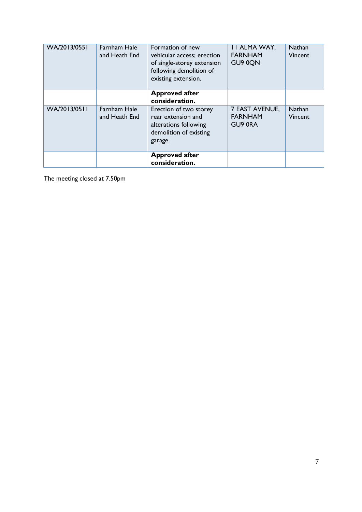| WA/2013/0551 | <b>Farnham Hale</b><br>and Heath End | Formation of new<br>vehicular access; erection<br>of single-storey extension<br>following demolition of<br>existing extension. | <b>II ALMA WAY,</b><br><b>FARNHAM</b><br>GU9 0QN | <b>Nathan</b><br>Vincent |
|--------------|--------------------------------------|--------------------------------------------------------------------------------------------------------------------------------|--------------------------------------------------|--------------------------|
|              |                                      | <b>Approved after</b><br>consideration.                                                                                        |                                                  |                          |
| WA/2013/0511 | <b>Farnham Hale</b><br>and Heath End | Erection of two storey<br>rear extension and<br>alterations following<br>demolition of existing<br>garage.                     | 7 EAST AVENUE,<br><b>FARNHAM</b><br>GU9 ORA      | <b>Nathan</b><br>Vincent |
|              |                                      | <b>Approved after</b><br>consideration.                                                                                        |                                                  |                          |

The meeting closed at 7.50pm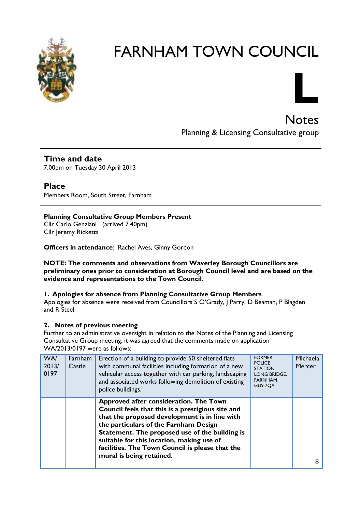



Notes Planning & Licensing Consultative group

**Time and date** 7.00pm on Tuesday 30 April 2013

**Place** Members Room, South Street, Farnham

### **Planning Consultative Group Members Present**

Cllr Carlo Genziani (arrived 7.40pm) Cllr Jeremy Ricketts

**Officers in attendance**: Rachel Aves, Ginny Gordon

**NOTE: The comments and observations from Waverley Borough Councillors are preliminary ones prior to consideration at Borough Council level and are based on the evidence and representations to the Town Council.**

### **1. Apologies for absence from Planning Consultative Group Members**

Apologies for absence were received from Councillors S O'Grady, J Parry, D Beaman, P Blagden and R Steel

### **2. Notes of previous meeting**

Further to an administrative oversight in relation to the Notes of the Planning and Licensing Consultative Group meeting, it was agreed that the comments made on application WA/2013/0197 were as follows:

| WA/<br>2013/<br>0197 | Farnham<br>Castle | Erection of a building to provide 50 sheltered flats<br>with communal facilities including formation of a new<br>vehicular access together with car parking, landscaping<br>and associated works following demolition of existing<br>police buildings.                                                                                                              | <b>FORMER</b><br><b>POLICE</b><br>STATION,<br><b>LONG BRIDGE.</b><br><b>FARNHAM</b><br><b>GU9 7QA</b> | Michaela<br><b>Mercer</b> |
|----------------------|-------------------|---------------------------------------------------------------------------------------------------------------------------------------------------------------------------------------------------------------------------------------------------------------------------------------------------------------------------------------------------------------------|-------------------------------------------------------------------------------------------------------|---------------------------|
|                      |                   | Approved after consideration. The Town<br>Council feels that this is a prestigious site and<br>that the proposed development is in line with<br>the particulars of the Farnham Design<br>Statement. The proposed use of the building is<br>suitable for this location, making use of<br>facilities. The Town Council is please that the<br>mural is being retained. |                                                                                                       | 8                         |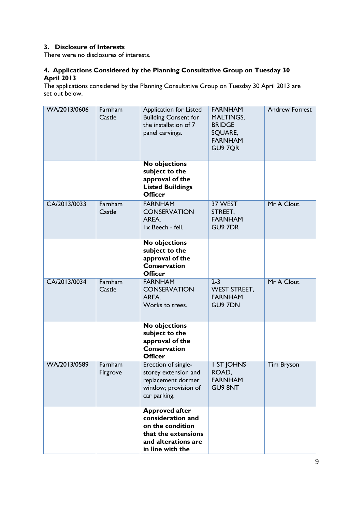### **3. Disclosure of Interests**

There were no disclosures of interests.

### **4. Applications Considered by the Planning Consultative Group on Tuesday 30 April 2013**

The applications considered by the Planning Consultative Group on Tuesday 30 April 2013 are set out below.

| WA/2013/0606 | Farnham<br>Castle   | Application for Listed<br><b>Building Consent for</b><br>the installation of 7<br>panel carvings.                                | <b>FARNHAM</b><br><b>MALTINGS,</b><br><b>BRIDGE</b><br>SQUARE,<br><b>FARNHAM</b><br>GU9 7QR | <b>Andrew Forrest</b> |
|--------------|---------------------|----------------------------------------------------------------------------------------------------------------------------------|---------------------------------------------------------------------------------------------|-----------------------|
|              |                     | No objections<br>subject to the<br>approval of the<br><b>Listed Buildings</b><br><b>Officer</b>                                  |                                                                                             |                       |
| CA/2013/0033 | Farnham<br>Castle   | <b>FARNHAM</b><br><b>CONSERVATION</b><br>AREA.<br>Ix Beech - fell.                                                               | 37 WEST<br>STREET,<br><b>FARNHAM</b><br><b>GU9 7DR</b>                                      | Mr A Clout            |
|              |                     | <b>No objections</b><br>subject to the<br>approval of the<br><b>Conservation</b><br><b>Officer</b>                               |                                                                                             |                       |
| CA/2013/0034 | Farnham<br>Castle   | <b>FARNHAM</b><br><b>CONSERVATION</b><br>AREA.<br>Works to trees.                                                                | $2 - 3$<br><b>WEST STREET,</b><br><b>FARNHAM</b><br><b>GU9 7DN</b>                          | Mr A Clout            |
|              |                     | No objections<br>subject to the<br>approval of the<br><b>Conservation</b><br><b>Officer</b>                                      |                                                                                             |                       |
| WA/2013/0589 | Farnham<br>Firgrove | Erection of single-<br>storey extension and<br>replacement dormer<br>window; provision of<br>car parking.                        | I ST JOHNS<br>ROAD,<br><b>FARNHAM</b><br><b>GU9 8NT</b>                                     | <b>Tim Bryson</b>     |
|              |                     | <b>Approved after</b><br>consideration and<br>on the condition<br>that the extensions<br>and alterations are<br>in line with the |                                                                                             |                       |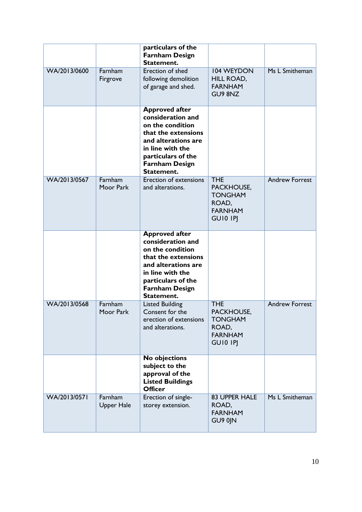|              |                              | particulars of the<br><b>Farnham Design</b><br>Statement.                                                                                                                                     |                                                                                          |                       |
|--------------|------------------------------|-----------------------------------------------------------------------------------------------------------------------------------------------------------------------------------------------|------------------------------------------------------------------------------------------|-----------------------|
| WA/2013/0600 | Farnham<br>Firgrove          | <b>Erection of shed</b><br>following demolition<br>of garage and shed.                                                                                                                        | <b>104 WEYDON</b><br>HILL ROAD,<br><b>FARNHAM</b><br>GU9 8NZ                             | Ms L Smitheman        |
|              |                              | <b>Approved after</b><br>consideration and<br>on the condition<br>that the extensions<br>and alterations are<br>in line with the<br>particulars of the<br><b>Farnham Design</b><br>Statement. |                                                                                          |                       |
| WA/2013/0567 | Farnham<br>Moor Park         | <b>Erection of extensions</b><br>and alterations.                                                                                                                                             | <b>THE</b><br>PACKHOUSE,<br><b>TONGHAM</b><br>ROAD,<br><b>FARNHAM</b><br><b>GUIO IPJ</b> | <b>Andrew Forrest</b> |
|              |                              | <b>Approved after</b><br>consideration and<br>on the condition<br>that the extensions<br>and alterations are<br>in line with the<br>particulars of the<br><b>Farnham Design</b><br>Statement. |                                                                                          |                       |
| WA/2013/0568 | Farnham<br>Moor Park         | <b>Listed Building</b><br>Consent for the<br>erection of extensions<br>and alterations.                                                                                                       | <b>THE</b><br>PACKHOUSE,<br><b>TONGHAM</b><br>ROAD,<br><b>FARNHAM</b><br><b>GUIO IPI</b> | <b>Andrew Forrest</b> |
|              |                              | No objections<br>subject to the<br>approval of the<br><b>Listed Buildings</b><br><b>Officer</b>                                                                                               |                                                                                          |                       |
| WA/2013/0571 | Farnham<br><b>Upper Hale</b> | Erection of single-<br>storey extension.                                                                                                                                                      | <b>83 UPPER HALE</b><br>ROAD,<br><b>FARNHAM</b><br>GU9 0JN                               | Ms L Smitheman        |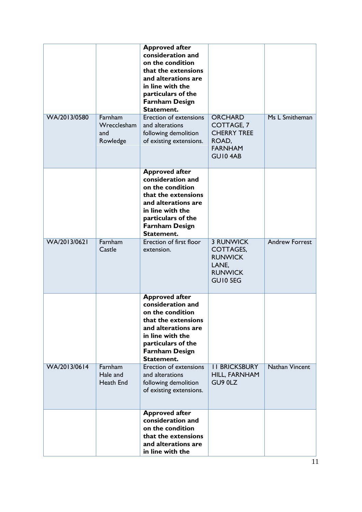|              |                                           | <b>Approved after</b><br>consideration and<br>on the condition<br>that the extensions<br>and alterations are<br>in line with the<br>particulars of the<br><b>Farnham Design</b><br>Statement. |                                                                                                         |                       |
|--------------|-------------------------------------------|-----------------------------------------------------------------------------------------------------------------------------------------------------------------------------------------------|---------------------------------------------------------------------------------------------------------|-----------------------|
| WA/2013/0580 | Farnham<br>Wrecclesham<br>and<br>Rowledge | <b>Erection of extensions</b><br>and alterations<br>following demolition<br>of existing extensions.                                                                                           | <b>ORCHARD</b><br><b>COTTAGE, 7</b><br><b>CHERRY TREE</b><br>ROAD,<br><b>FARNHAM</b><br><b>GU10 4AB</b> | Ms L Smitheman        |
|              |                                           | <b>Approved after</b><br>consideration and<br>on the condition<br>that the extensions<br>and alterations are<br>in line with the<br>particulars of the<br><b>Farnham Design</b><br>Statement. |                                                                                                         |                       |
| WA/2013/0621 | Farnham<br>Castle                         | <b>Erection of first floor</b><br>extension.                                                                                                                                                  | <b>3 RUNWICK</b><br><b>COTTAGES,</b><br><b>RUNWICK</b><br>LANE,<br><b>RUNWICK</b><br>GUI0 5EG           | <b>Andrew Forrest</b> |
|              |                                           | <b>Approved after</b><br>consideration and<br>on the condition<br>that the extensions<br>and alterations are<br>in line with the<br>particulars of the<br><b>Farnham Design</b><br>Statement. |                                                                                                         |                       |
| WA/2013/0614 | Farnham<br>Hale and<br>Heath End          | <b>Erection of extensions</b><br>and alterations<br>following demolition<br>of existing extensions.                                                                                           | <b>II BRICKSBURY</b><br>HILL, FARNHAM<br>GU9 0LZ                                                        | <b>Nathan Vincent</b> |
|              |                                           | <b>Approved after</b><br>consideration and<br>on the condition<br>that the extensions<br>and alterations are<br>in line with the                                                              |                                                                                                         |                       |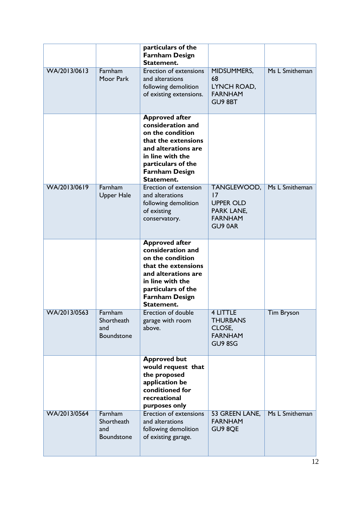|              |                                            | particulars of the<br><b>Farnham Design</b><br>Statement.                                                                                                                                     |                                                                                  |                |
|--------------|--------------------------------------------|-----------------------------------------------------------------------------------------------------------------------------------------------------------------------------------------------|----------------------------------------------------------------------------------|----------------|
| WA/2013/0613 | Farnham<br>Moor Park                       | <b>Erection of extensions</b><br>and alterations<br>following demolition<br>of existing extensions.                                                                                           | MIDSUMMERS,<br>68<br>LYNCH ROAD,<br><b>FARNHAM</b><br>GU9 8BT                    | Ms L Smitheman |
|              |                                            | <b>Approved after</b><br>consideration and<br>on the condition<br>that the extensions<br>and alterations are<br>in line with the<br>particulars of the<br><b>Farnham Design</b><br>Statement. |                                                                                  |                |
| WA/2013/0619 | Farnham<br><b>Upper Hale</b>               | Erection of extension<br>and alterations<br>following demolition<br>of existing<br>conservatory.                                                                                              | TANGLEWOOD,<br>17<br><b>UPPER OLD</b><br>PARK LANE,<br><b>FARNHAM</b><br>GU9 0AR | Ms L Smitheman |
|              |                                            | <b>Approved after</b><br>consideration and<br>on the condition<br>that the extensions<br>and alterations are<br>in line with the<br>particulars of the<br><b>Farnham Design</b><br>Statement. |                                                                                  |                |
| WA/2013/0563 | Farnham<br>Shortheath<br>and<br>Boundstone | Erection of double<br>garage with room<br>above.                                                                                                                                              | <b>4 LITTLE</b><br><b>THURBANS</b><br>CLOSE,<br><b>FARNHAM</b><br>GU9 8SG        | Tim Bryson     |
|              |                                            | <b>Approved but</b><br>would request that<br>the proposed<br>application be<br>conditioned for<br>recreational<br>purposes only                                                               |                                                                                  |                |
| WA/2013/0564 | Farnham<br>Shortheath<br>and<br>Boundstone | Erection of extensions<br>and alterations<br>following demolition<br>of existing garage.                                                                                                      | 53 GREEN LANE,<br><b>FARNHAM</b><br>GU9 8QE                                      | Ms L Smitheman |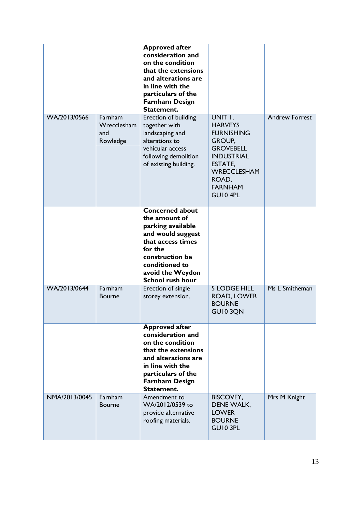|               |                                           | <b>Approved after</b><br>consideration and<br>on the condition<br>that the extensions<br>and alterations are<br>in line with the<br>particulars of the<br><b>Farnham Design</b><br>Statement.         |                                                                                                                                                                          |                       |
|---------------|-------------------------------------------|-------------------------------------------------------------------------------------------------------------------------------------------------------------------------------------------------------|--------------------------------------------------------------------------------------------------------------------------------------------------------------------------|-----------------------|
| WA/2013/0566  | Farnham<br>Wrecclesham<br>and<br>Rowledge | Erection of building<br>together with<br>landscaping and<br>alterations to<br>vehicular access<br>following demolition<br>of existing building.                                                       | UNIT I,<br><b>HARVEYS</b><br><b>FURNISHING</b><br>GROUP,<br><b>GROVEBELL</b><br><b>INDUSTRIAL</b><br>ESTATE,<br><b>WRECCLESHAM</b><br>ROAD,<br><b>FARNHAM</b><br>GUI04PL | <b>Andrew Forrest</b> |
|               |                                           | <b>Concerned about</b><br>the amount of<br>parking available<br>and would suggest<br>that access times<br>for the<br>construction be<br>conditioned to<br>avoid the Weydon<br><b>School rush hour</b> |                                                                                                                                                                          |                       |
| WA/2013/0644  | Farnham<br><b>Bourne</b>                  | Erection of single<br>storey extension.                                                                                                                                                               | <b>5 LODGE HILL</b><br>ROAD, LOWER<br><b>BOURNE</b><br>GUI03QN                                                                                                           | Ms L Smitheman        |
|               |                                           | <b>Approved after</b><br>consideration and<br>on the condition<br>that the extensions<br>and alterations are<br>in line with the<br>particulars of the<br><b>Farnham Design</b><br>Statement.         |                                                                                                                                                                          |                       |
| NMA/2013/0045 | Farnham<br><b>Bourne</b>                  | Amendment to<br>WA/2012/0539 to<br>provide alternative<br>roofing materials.                                                                                                                          | <b>BISCOVEY,</b><br>DENE WALK,<br><b>LOWER</b><br><b>BOURNE</b><br>GUI0 3PL                                                                                              | Mrs M Knight          |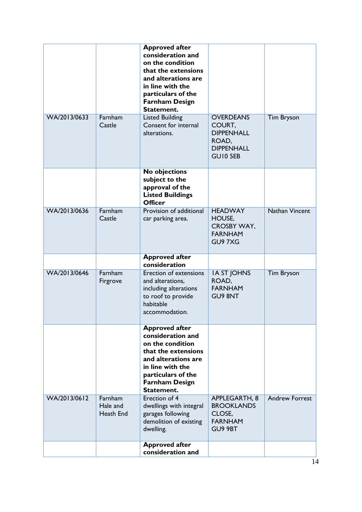|              |                                  | <b>Approved after</b><br>consideration and<br>on the condition<br>that the extensions<br>and alterations are<br>in line with the<br>particulars of the<br><b>Farnham Design</b><br>Statement. |                                                                                           |                       |
|--------------|----------------------------------|-----------------------------------------------------------------------------------------------------------------------------------------------------------------------------------------------|-------------------------------------------------------------------------------------------|-----------------------|
| WA/2013/0633 | Farnham<br>Castle                | <b>Listed Building</b><br>Consent for internal<br>alterations.                                                                                                                                | <b>OVERDEANS</b><br>COURT,<br><b>DIPPENHALL</b><br>ROAD,<br><b>DIPPENHALL</b><br>GUI0 5EB | <b>Tim Bryson</b>     |
|              |                                  | No objections<br>subject to the<br>approval of the<br><b>Listed Buildings</b><br><b>Officer</b>                                                                                               |                                                                                           |                       |
| WA/2013/0636 | Farnham<br>Castle                | Provision of additional<br>car parking area.                                                                                                                                                  | <b>HEADWAY</b><br>HOUSE,<br><b>CROSBY WAY,</b><br><b>FARNHAM</b><br>GU97XG                | <b>Nathan Vincent</b> |
|              |                                  | <b>Approved after</b><br>consideration                                                                                                                                                        |                                                                                           |                       |
| WA/2013/0646 | Farnham<br>Firgrove              | Erection of extensions<br>and alterations,<br>including alterations<br>to roof to provide<br>habitable<br>accommodation.                                                                      | <b>IA ST JOHNS</b><br>ROAD,<br><b>FARNHAM</b><br><b>GU9 8NT</b>                           | <b>Tim Bryson</b>     |
|              |                                  | <b>Approved after</b><br>consideration and<br>on the condition<br>that the extensions<br>and alterations are<br>in line with the<br>particulars of the<br><b>Farnham Design</b><br>Statement. |                                                                                           |                       |
| WA/2013/0612 | Farnham<br>Hale and<br>Heath End | <b>Erection of 4</b><br>dwellings with integral<br>garages following<br>demolition of existing<br>dwelling.                                                                                   | APPLEGARTH, 8<br><b>BROOKLANDS</b><br>CLOSE,<br><b>FARNHAM</b><br>GU9 9BT                 | <b>Andrew Forrest</b> |
|              |                                  | <b>Approved after</b><br>consideration and                                                                                                                                                    |                                                                                           |                       |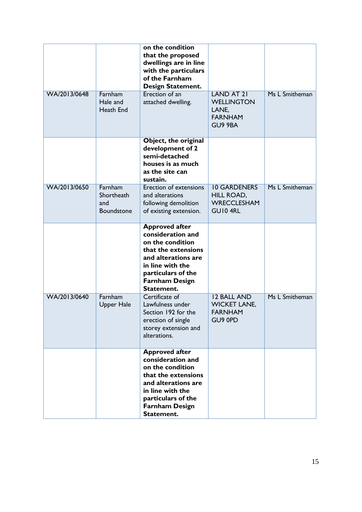|              |                                                   | on the condition<br>that the proposed<br>dwellings are in line<br>with the particulars<br>of the Farnham<br><b>Design Statement.</b>                                                          |                                                                              |                |
|--------------|---------------------------------------------------|-----------------------------------------------------------------------------------------------------------------------------------------------------------------------------------------------|------------------------------------------------------------------------------|----------------|
| WA/2013/0648 | Farnham<br>Hale and<br>Heath End                  | Erection of an<br>attached dwelling.                                                                                                                                                          | <b>LAND AT 21</b><br><b>WELLINGTON</b><br>LANE,<br><b>FARNHAM</b><br>GU9 9BA | Ms L Smitheman |
|              |                                                   | Object, the original<br>development of 2<br>semi-detached<br>houses is as much<br>as the site can<br>sustain.                                                                                 |                                                                              |                |
| WA/2013/0650 | Farnham<br>Shortheath<br>and<br><b>Boundstone</b> | Erection of extensions<br>and alterations<br>following demolition<br>of existing extension.                                                                                                   | <b>10 GARDENERS</b><br>HILL ROAD,<br><b>WRECCLESHAM</b><br>GUI04RL           | Ms L Smitheman |
|              |                                                   | <b>Approved after</b><br>consideration and<br>on the condition<br>that the extensions<br>and alterations are<br>in line with the<br>particulars of the<br><b>Farnham Design</b><br>Statement. |                                                                              |                |
| WA/2013/0640 | Farnham<br><b>Upper Hale</b>                      | Certificate of<br>Lawfulness under<br>Section 192 for the<br>erection of single<br>storey extension and<br>alterations.                                                                       | <b>12 BALL AND</b><br><b>WICKET LANE,</b><br><b>FARNHAM</b><br>GU9 0PD       | Ms L Smitheman |
|              |                                                   | <b>Approved after</b><br>consideration and<br>on the condition<br>that the extensions<br>and alterations are<br>in line with the<br>particulars of the<br><b>Farnham Design</b><br>Statement. |                                                                              |                |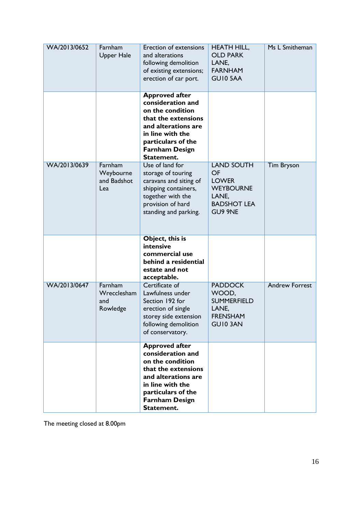| WA/2013/0652 | Farnham<br><b>Upper Hale</b>               | <b>Erection of extensions</b><br>and alterations<br>following demolition<br>of existing extensions;<br>erection of car port.                                                                  | <b>HEATH HILL,</b><br><b>OLD PARK</b><br>LANE,<br><b>FARNHAM</b><br><b>GUI0 5AA</b>                          | Ms L Smitheman        |
|--------------|--------------------------------------------|-----------------------------------------------------------------------------------------------------------------------------------------------------------------------------------------------|--------------------------------------------------------------------------------------------------------------|-----------------------|
|              |                                            | <b>Approved after</b><br>consideration and<br>on the condition<br>that the extensions<br>and alterations are<br>in line with the<br>particulars of the<br><b>Farnham Design</b><br>Statement. |                                                                                                              |                       |
| WA/2013/0639 | Farnham<br>Weybourne<br>and Badshot<br>Lea | Use of land for<br>storage of touring<br>caravans and siting of<br>shipping containers,<br>together with the<br>provision of hard<br>standing and parking.                                    | <b>LAND SOUTH</b><br>OF<br><b>LOWER</b><br><b>WEYBOURNE</b><br>LANE,<br><b>BADSHOT LEA</b><br><b>GU9 9NE</b> | <b>Tim Bryson</b>     |
|              |                                            | Object, this is<br>intensive<br>commercial use<br>behind a residential<br>estate and not<br>acceptable.                                                                                       |                                                                                                              |                       |
| WA/2013/0647 | Farnham<br>Wrecclesham<br>and<br>Rowledge  | Certificate of<br>Lawfulness under<br>Section 192 for<br>erection of single<br>storey side extension<br>following demolition<br>of conservatory.                                              | <b>PADDOCK</b><br>WOOD,<br><b>SUMMERFIELD</b><br>LANE,<br><b>FRENSHAM</b><br><b>GUI0 3AN</b>                 | <b>Andrew Forrest</b> |
|              |                                            | <b>Approved after</b><br>consideration and<br>on the condition<br>that the extensions<br>and alterations are<br>in line with the<br>particulars of the<br><b>Farnham Design</b><br>Statement. |                                                                                                              |                       |

The meeting closed at 8.00pm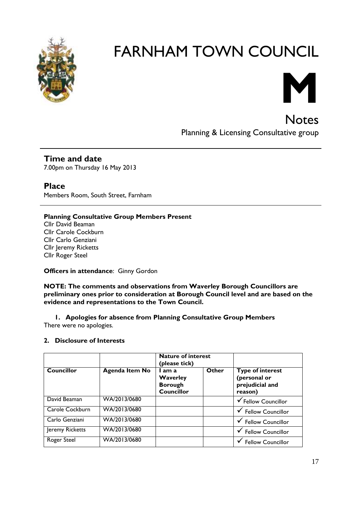



Notes Planning & Licensing Consultative group

**Time and date** 7.00pm on Thursday 16 May 2013

**Place** Members Room, South Street, Farnham

### **Planning Consultative Group Members Present**

Cllr David Beaman Cllr Carole Cockburn Cllr Carlo Genziani Cllr Jeremy Ricketts Cllr Roger Steel

**Officers in attendance**: Ginny Gordon

**NOTE: The comments and observations from Waverley Borough Councillors are preliminary ones prior to consideration at Borough Council level and are based on the evidence and representations to the Town Council.**

**1. Apologies for absence from Planning Consultative Group Members** There were no apologies.

### **2. Disclosure of Interests**

|                   |                       | Nature of interest<br>(please tick)                       |       |                                                                       |
|-------------------|-----------------------|-----------------------------------------------------------|-------|-----------------------------------------------------------------------|
| <b>Councillor</b> | <b>Agenda Item No</b> | l am a<br>Waverley<br><b>Borough</b><br><b>Councillor</b> | Other | <b>Type of interest</b><br>(personal or<br>prejudicial and<br>reason) |
| David Beaman      | WA/2013/0680          |                                                           |       | ✔ Fellow Councillor                                                   |
| Carole Cockburn   | WA/2013/0680          |                                                           |       | ✔ Fellow Councillor                                                   |
| Carlo Genziani    | WA/2013/0680          |                                                           |       | ✔ Fellow Councillor                                                   |
| Jeremy Ricketts   | WA/2013/0680          |                                                           |       | <b>Fellow Councillor</b>                                              |
| Roger Steel       | WA/2013/0680          |                                                           |       | <b>Fellow Councillor</b>                                              |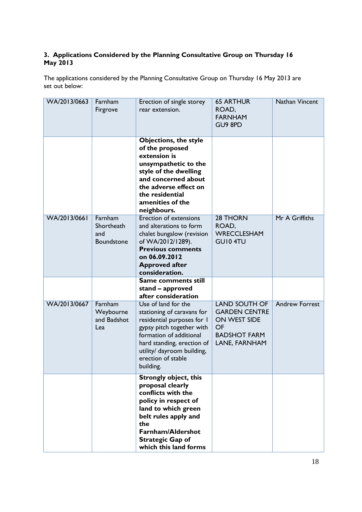### **3. Applications Considered by the Planning Consultative Group on Thursday 16 May 2013**

The applications considered by the Planning Consultative Group on Thursday 16 May 2013 are set out below:

| WA/2013/0663 | Farnham<br>Firgrove                        | Erection of single storey<br>rear extension.                                                                                                                                                                                           | <b>65 ARTHUR</b><br>ROAD,<br><b>FARNHAM</b><br>GU9 8PD                                                     | Nathan Vincent        |
|--------------|--------------------------------------------|----------------------------------------------------------------------------------------------------------------------------------------------------------------------------------------------------------------------------------------|------------------------------------------------------------------------------------------------------------|-----------------------|
|              |                                            | <b>Objections, the style</b><br>of the proposed<br>extension is<br>unsympathetic to the<br>style of the dwelling<br>and concerned about<br>the adverse effect on<br>the residential<br>amenities of the<br>neighbours.                 |                                                                                                            |                       |
| WA/2013/0661 | Farnham<br>Shortheath<br>and<br>Boundstone | <b>Erection of extensions</b><br>and alterations to form<br>chalet bungalow (revision<br>of WA/2012/1289).<br><b>Previous comments</b><br>on 06.09.2012<br><b>Approved after</b><br>consideration.                                     | 28 THORN<br>ROAD,<br><b>WRECCLESHAM</b><br><b>GUI0 4TU</b>                                                 | Mr A Griffiths        |
|              |                                            | Same comments still<br>stand - approved<br>after consideration                                                                                                                                                                         |                                                                                                            |                       |
| WA/2013/0667 | Farnham<br>Weybourne<br>and Badshot<br>Lea | Use of land for the<br>stationing of caravans for<br>residential purposes for I<br>gypsy pitch together with<br>formation of additional<br>hard standing, erection of<br>utility/ dayroom building,<br>erection of stable<br>building. | <b>LAND SOUTH OF</b><br><b>GARDEN CENTRE</b><br>ON WEST SIDE<br>OF<br><b>BADSHOT FARM</b><br>LANE, FARNHAM | <b>Andrew Forrest</b> |
|              |                                            | <b>Strongly object, this</b><br>proposal clearly<br>conflicts with the<br>policy in respect of<br>land to which green<br>belt rules apply and<br>the<br><b>Farnham/Aldershot</b><br><b>Strategic Gap of</b><br>which this land forms   |                                                                                                            |                       |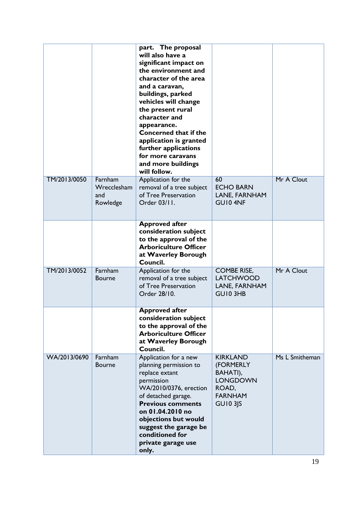|              |                                           | part. The proposal<br>will also have a<br>significant impact on<br>the environment and<br>character of the area<br>and a caravan,<br>buildings, parked<br>vehicles will change<br>the present rural<br>character and<br>appearance.<br><b>Concerned that if the</b><br>application is granted<br>further applications<br>for more caravans<br>and more buildings<br>will follow. |                                                                                                           |                |
|--------------|-------------------------------------------|----------------------------------------------------------------------------------------------------------------------------------------------------------------------------------------------------------------------------------------------------------------------------------------------------------------------------------------------------------------------------------|-----------------------------------------------------------------------------------------------------------|----------------|
| TM/2013/0050 | Farnham<br>Wrecclesham<br>and<br>Rowledge | Application for the<br>removal of a tree subject<br>of Tree Preservation<br>Order 03/11.                                                                                                                                                                                                                                                                                         | 60<br><b>ECHO BARN</b><br>LANE, FARNHAM<br>GUI04NF                                                        | Mr A Clout     |
|              |                                           | <b>Approved after</b><br>consideration subject<br>to the approval of the<br><b>Arboriculture Officer</b><br>at Waverley Borough<br>Council.                                                                                                                                                                                                                                      |                                                                                                           |                |
| TM/2013/0052 | Farnham<br><b>Bourne</b>                  | Application for the<br>removal of a tree subject<br>of Tree Preservation<br>Order 28/10.                                                                                                                                                                                                                                                                                         | <b>COMBE RISE,</b><br><b>LATCHWOOD</b><br>LANE, FARNHAM<br>GUI0 3HB                                       | Mr A Clout     |
|              |                                           | <b>Approved after</b><br>consideration subject<br>to the approval of the<br><b>Arboriculture Officer</b><br>at Waverley Borough<br>Council.                                                                                                                                                                                                                                      |                                                                                                           |                |
| WA/2013/0690 | Farnham<br><b>Bourne</b>                  | Application for a new<br>planning permission to<br>replace extant<br>permission<br>WA/2010/0376, erection<br>of detached garage.<br><b>Previous comments</b><br>on 01.04.2010 no<br>objections but would<br>suggest the garage be<br>conditioned for<br>private garage use<br>only.                                                                                              | <b>KIRKLAND</b><br>(FORMERLY<br>BAHATI),<br><b>LONGDOWN</b><br>ROAD,<br><b>FARNHAM</b><br><b>GU10 3JS</b> | Ms L Smitheman |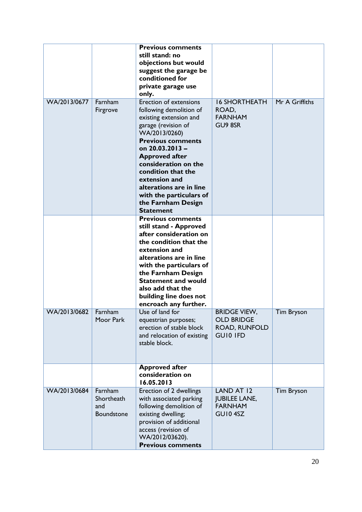|              |                                            | <b>Previous comments</b><br>still stand: no<br>objections but would<br>suggest the garage be<br>conditioned for<br>private garage use<br>only.                                                                                                                                                                                                                    |                                                                                     |                   |
|--------------|--------------------------------------------|-------------------------------------------------------------------------------------------------------------------------------------------------------------------------------------------------------------------------------------------------------------------------------------------------------------------------------------------------------------------|-------------------------------------------------------------------------------------|-------------------|
| WA/2013/0677 | Farnham<br>Firgrove                        | <b>Erection of extensions</b><br>following demolition of<br>existing extension and<br>garage (revision of<br>WA/2013/0260)<br><b>Previous comments</b><br>on 20.03.2013 -<br><b>Approved after</b><br>consideration on the<br>condition that the<br>extension and<br>alterations are in line<br>with the particulars of<br>the Farnham Design<br><b>Statement</b> | <b>16 SHORTHEATH</b><br>ROAD,<br><b>FARNHAM</b><br>GU9 8SR                          | Mr A Griffiths    |
|              |                                            | <b>Previous comments</b><br>still stand - Approved<br>after consideration on<br>the condition that the<br>extension and<br>alterations are in line<br>with the particulars of<br>the Farnham Design<br><b>Statement and would</b><br>also add that the<br>building line does not<br>encroach any further.                                                         |                                                                                     |                   |
| WA/2013/0682 | Farnham<br>Moor Park                       | Use of land for<br>equestrian purposes;<br>erection of stable block<br>and relocation of existing<br>stable block.                                                                                                                                                                                                                                                | <b>BRIDGE VIEW.</b><br><b>OLD BRIDGE</b><br><b>ROAD, RUNFOLD</b><br><b>GUIO IFD</b> | <b>Tim Bryson</b> |
|              |                                            | <b>Approved after</b><br>consideration on<br>16.05.2013                                                                                                                                                                                                                                                                                                           |                                                                                     |                   |
| WA/2013/0684 | Farnham<br>Shortheath<br>and<br>Boundstone | Erection of 2 dwellings<br>with associated parking<br>following demolition of<br>existing dwelling;<br>provision of additional<br>access (revision of<br>WA/2012/03620).<br><b>Previous comments</b>                                                                                                                                                              | LAND AT 12<br><b>JUBILEE LANE,</b><br><b>FARNHAM</b><br>GUI04SZ                     | <b>Tim Bryson</b> |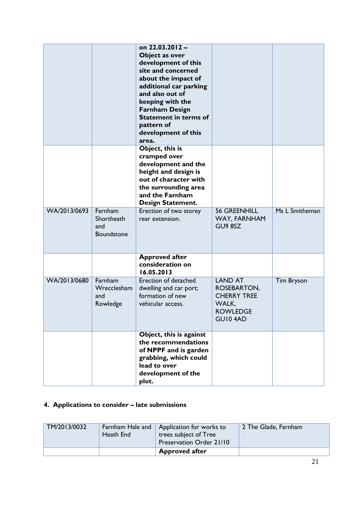|              |                                                   | on 22.03.2012 -<br>Object as over<br>development of this<br>site and concerned<br>about the impact of<br>additional car parking<br>and also out of<br>keeping with the<br><b>Farnham Design</b><br><b>Statement in terms of</b><br>pattern of<br>development of this<br>area. |                                                                                            |                   |
|--------------|---------------------------------------------------|-------------------------------------------------------------------------------------------------------------------------------------------------------------------------------------------------------------------------------------------------------------------------------|--------------------------------------------------------------------------------------------|-------------------|
|              |                                                   | Object, this is<br>cramped over<br>development and the<br>height and design is<br>out of character with<br>the surrounding area<br>and the Farnham<br><b>Design Statement.</b>                                                                                                |                                                                                            |                   |
| WA/2013/0693 | Farnham<br>Shortheath<br>and<br><b>Boundstone</b> | Erection of two storey<br>rear extension.                                                                                                                                                                                                                                     | <b>56 GREENHILL</b><br>WAY, FARNHAM<br>GU9 8SZ                                             | Ms L Smitheman    |
|              |                                                   | <b>Approved after</b><br>consideration on<br>16.05.2013                                                                                                                                                                                                                       |                                                                                            |                   |
| WA/2013/0680 | Farnham<br>Wrecclesham<br>and<br>Rowledge         | Erection of detached<br>dwelling and car port;<br>formation of new<br>vehicular access.                                                                                                                                                                                       | <b>LAND AT</b><br>ROSEBARTON,<br><b>CHERRY TREE</b><br>WALK,<br><b>ROWLEDGE</b><br>GUI04AD | <b>Tim Bryson</b> |
|              |                                                   | Object, this is against<br>the recommendations<br>of NPPF and is garden<br>grabbing, which could<br>lead to over<br>development of the<br>plot.                                                                                                                               |                                                                                            |                   |

### **4. Applications to consider – late submissions**

| TM/2013/0032 | Heath End | Farnham Hale and   Application for works to<br>trees subject of Tree<br>Preservation Order 21/10 | 2 The Glade, Farnham |
|--------------|-----------|--------------------------------------------------------------------------------------------------|----------------------|
|              |           | <b>Approved after</b>                                                                            |                      |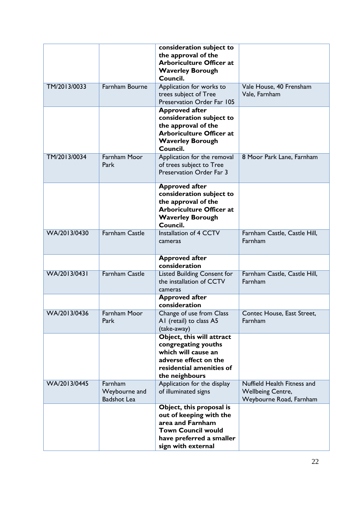|              |                                                | consideration subject to<br>the approval of the<br><b>Arboriculture Officer at</b><br><b>Waverley Borough</b><br>Council.                              |                                                                                    |
|--------------|------------------------------------------------|--------------------------------------------------------------------------------------------------------------------------------------------------------|------------------------------------------------------------------------------------|
| TM/2013/0033 | Farnham Bourne                                 | Application for works to<br>trees subject of Tree<br>Preservation Order Far 105                                                                        | Vale House, 40 Frensham<br>Vale, Farnham                                           |
|              |                                                | <b>Approved after</b><br>consideration subject to<br>the approval of the<br><b>Arboriculture Officer at</b><br><b>Waverley Borough</b><br>Council.     |                                                                                    |
| TM/2013/0034 | Farnham Moor<br>Park                           | Application for the removal<br>of trees subject to Tree<br>Preservation Order Far 3                                                                    | 8 Moor Park Lane, Farnham                                                          |
|              |                                                | <b>Approved after</b><br>consideration subject to<br>the approval of the<br><b>Arboriculture Officer at</b><br><b>Waverley Borough</b><br>Council.     |                                                                                    |
| WA/2013/0430 | <b>Farnham Castle</b>                          | Installation of 4 CCTV<br>cameras                                                                                                                      | Farnham Castle, Castle Hill,<br>Farnham                                            |
|              |                                                | <b>Approved after</b><br>consideration                                                                                                                 |                                                                                    |
| WA/2013/0431 | <b>Farnham Castle</b>                          | <b>Listed Building Consent for</b><br>the installation of CCTV<br>cameras                                                                              | Farnham Castle, Castle Hill,<br>Farnham                                            |
|              |                                                | <b>Approved after</b><br>consideration                                                                                                                 |                                                                                    |
| WA/2013/0436 | Farnham Moor<br>Park                           | Change of use from Class<br>AI (retail) to class A5<br>(take-away)                                                                                     | Contec House, East Street,<br>Farnham                                              |
|              |                                                | Object, this will attract<br>congregating youths<br>which will cause an<br>adverse effect on the<br>residential amenities of<br>the neighbours         |                                                                                    |
| WA/2013/0445 | Farnham<br>Weybourne and<br><b>Badshot Lea</b> | Application for the display<br>of illuminated signs                                                                                                    | Nuffield Health Fitness and<br><b>Wellbeing Centre,</b><br>Weybourne Road, Farnham |
|              |                                                | Object, this proposal is<br>out of keeping with the<br>area and Farnham<br><b>Town Council would</b><br>have preferred a smaller<br>sign with external |                                                                                    |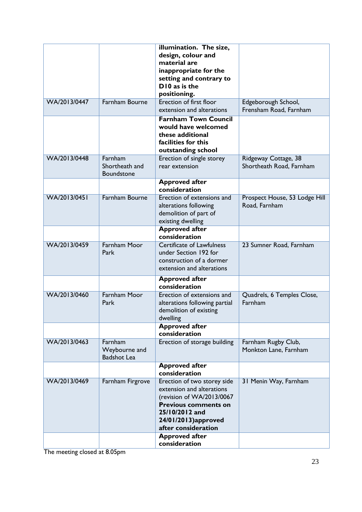|              |                                                | illumination. The size,<br>design, colour and<br>material are<br>inappropriate for the<br>setting and contrary to<br>D10 as is the<br>positioning.                                   |                                                  |
|--------------|------------------------------------------------|--------------------------------------------------------------------------------------------------------------------------------------------------------------------------------------|--------------------------------------------------|
| WA/2013/0447 | <b>Farnham Bourne</b>                          | <b>Erection of first floor</b><br>extension and alterations                                                                                                                          | Edgeborough School,<br>Frensham Road, Farnham    |
|              |                                                | <b>Farnham Town Council</b><br>would have welcomed<br>these additional<br>facilities for this<br>outstanding school                                                                  |                                                  |
| WA/2013/0448 | Farnham<br>Shortheath and<br>Boundstone        | Erection of single storey<br>rear extension                                                                                                                                          | Ridgeway Cottage, 38<br>Shortheath Road, Farnham |
|              |                                                | <b>Approved after</b><br>consideration                                                                                                                                               |                                                  |
| WA/2013/0451 | <b>Farnham Bourne</b>                          | Erection of extensions and<br>alterations following<br>demolition of part of<br>existing dwelling                                                                                    | Prospect House, 53 Lodge Hill<br>Road, Farnham   |
|              |                                                | <b>Approved after</b><br>consideration                                                                                                                                               |                                                  |
| WA/2013/0459 | <b>Farnham Moor</b><br>Park                    | <b>Certificate of Lawfulness</b><br>under Section 192 for<br>construction of a dormer<br>extension and alterations                                                                   | 23 Sumner Road, Farnham                          |
|              |                                                | <b>Approved after</b><br>consideration                                                                                                                                               |                                                  |
| WA/2013/0460 | <b>Farnham Moor</b><br>Park                    | Erection of extensions and<br>alterations following partial<br>demolition of existing<br>dwelling                                                                                    | Quadrels, 6 Temples Close,<br>Farnham            |
|              |                                                | <b>Approved after</b><br>consideration                                                                                                                                               |                                                  |
| WA/2013/0463 | Farnham<br>Weybourne and<br><b>Badshot Lea</b> | Erection of storage building                                                                                                                                                         | Farnham Rugby Club,<br>Monkton Lane, Farnham     |
|              |                                                | <b>Approved after</b><br>consideration                                                                                                                                               |                                                  |
| WA/2013/0469 | Farnham Firgrove                               | Erection of two storey side<br>extension and alterations<br>(revision of WA/2013/0067<br><b>Previous comments on</b><br>25/10/2012 and<br>24/01/2013)approved<br>after consideration | 31 Menin Way, Farnham                            |
|              |                                                | <b>Approved after</b><br>consideration                                                                                                                                               |                                                  |

The meeting closed at 8.05pm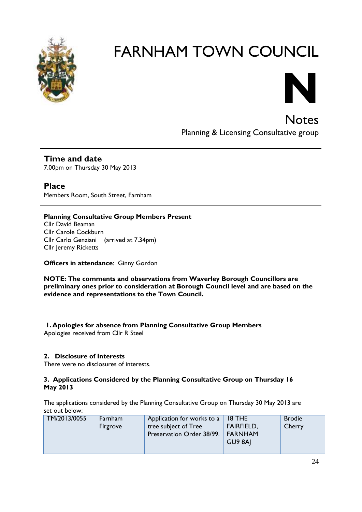



Notes Planning & Licensing Consultative group

**Time and date** 7.00pm on Thursday 30 May 2013

**Place** Members Room, South Street, Farnham

### **Planning Consultative Group Members Present**

Cllr David Beaman Cllr Carole Cockburn Cllr Carlo Genziani (arrived at 7.34pm) Cllr Jeremy Ricketts

**Officers in attendance**: Ginny Gordon

**NOTE: The comments and observations from Waverley Borough Councillors are preliminary ones prior to consideration at Borough Council level and are based on the evidence and representations to the Town Council.**

**1.Apologies for absence from Planning Consultative Group Members**

Apologies received from Cllr R Steel

### **2. Disclosure of Interests**

There were no disclosures of interests.

### **3. Applications Considered by the Planning Consultative Group on Thursday 16 May 2013**

The applications considered by the Planning Consultative Group on Thursday 30 May 2013 are set out below:

| TM/2013/0055 | Farnham<br>Firgrove | Application for works to a<br>tree subject of Tree<br>Preservation Order 38/99.   FARNHAM | <b>18 THE</b><br><b>FAIRFIELD,</b><br>GU9 8AI | <b>Brodie</b><br>Cherry |
|--------------|---------------------|-------------------------------------------------------------------------------------------|-----------------------------------------------|-------------------------|
|--------------|---------------------|-------------------------------------------------------------------------------------------|-----------------------------------------------|-------------------------|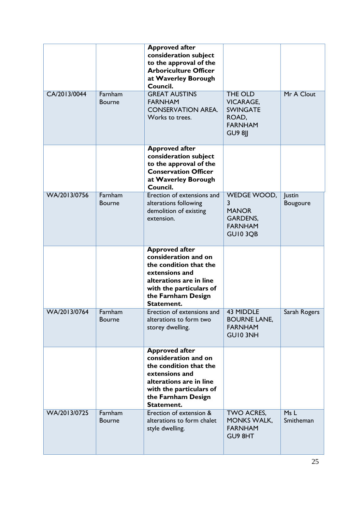|              |                          | <b>Approved after</b><br>consideration subject<br>to the approval of the<br><b>Arboriculture Officer</b><br>at Waverley Borough<br>Council.                                         |                                                                                                    |                           |
|--------------|--------------------------|-------------------------------------------------------------------------------------------------------------------------------------------------------------------------------------|----------------------------------------------------------------------------------------------------|---------------------------|
| CA/2013/0044 | Farnham<br><b>Bourne</b> | <b>GREAT AUSTINS</b><br><b>FARNHAM</b><br><b>CONSERVATION AREA.</b><br>Works to trees.                                                                                              | <b>THE OLD</b><br><b>VICARAGE,</b><br><b>SWINGATE</b><br>ROAD,<br><b>FARNHAM</b><br><b>GU9 8II</b> | Mr A Clout                |
|              |                          | <b>Approved after</b><br>consideration subject<br>to the approval of the<br><b>Conservation Officer</b><br>at Waverley Borough<br>Council.                                          |                                                                                                    |                           |
| WA/2013/0756 | Farnham<br><b>Bourne</b> | Erection of extensions and<br>alterations following<br>demolition of existing<br>extension.                                                                                         | WEDGE WOOD,<br>3<br><b>MANOR</b><br><b>GARDENS,</b><br><b>FARNHAM</b><br>GUI03QB                   | <b>Justin</b><br>Bougoure |
|              |                          | <b>Approved after</b><br>consideration and on<br>the condition that the<br>extensions and<br>alterations are in line<br>with the particulars of<br>the Farnham Design<br>Statement. |                                                                                                    |                           |
| WA/2013/0764 | Farnham<br><b>Bourne</b> | Erection of extensions and<br>alterations to form two<br>storey dwelling.                                                                                                           | <b>43 MIDDLE</b><br><b>BOURNE LANE,</b><br><b>FARNHAM</b><br>GUI0 3NH                              | Sarah Rogers              |
|              |                          | <b>Approved after</b><br>consideration and on<br>the condition that the<br>extensions and<br>alterations are in line<br>with the particulars of<br>the Farnham Design<br>Statement. |                                                                                                    |                           |
| WA/2013/0725 | Farnham<br><b>Bourne</b> | Erection of extension &<br>alterations to form chalet<br>style dwelling.                                                                                                            | TWO ACRES,<br><b>MONKS WALK,</b><br><b>FARNHAM</b><br>GU9 8HT                                      | MsL<br>Smitheman          |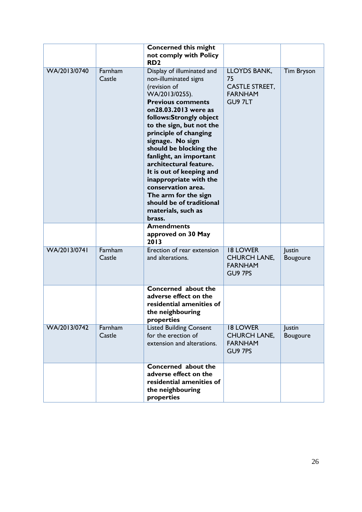|              |                   | <b>Concerned this might</b><br>not comply with Policy                                                                                                                                                                                                                                                                                                                                                                                                                                       |                                                                                 |                           |
|--------------|-------------------|---------------------------------------------------------------------------------------------------------------------------------------------------------------------------------------------------------------------------------------------------------------------------------------------------------------------------------------------------------------------------------------------------------------------------------------------------------------------------------------------|---------------------------------------------------------------------------------|---------------------------|
|              |                   | RD <sub>2</sub>                                                                                                                                                                                                                                                                                                                                                                                                                                                                             |                                                                                 |                           |
| WA/2013/0740 | Farnham<br>Castle | Display of illuminated and<br>non-illuminated signs<br>(revision of<br>WA/2013/0255).<br><b>Previous comments</b><br>on28.03.2013 were as<br>follows:Strongly object<br>to the sign, but not the<br>principle of changing<br>signage. No sign<br>should be blocking the<br>fanlight, an important<br>architectural feature.<br>It is out of keeping and<br>inappropriate with the<br>conservation area.<br>The arm for the sign<br>should be of traditional<br>materials, such as<br>brass. | <b>LLOYDS BANK,</b><br>75<br><b>CASTLE STREET,</b><br><b>FARNHAM</b><br>GU9 7LT | <b>Tim Bryson</b>         |
|              |                   | <b>Amendments</b><br>approved on 30 May<br>2013                                                                                                                                                                                                                                                                                                                                                                                                                                             |                                                                                 |                           |
| WA/2013/0741 | Farnham<br>Castle | Erection of rear extension<br>and alterations.                                                                                                                                                                                                                                                                                                                                                                                                                                              | <b>18 LOWER</b><br><b>CHURCH LANE,</b><br><b>FARNHAM</b><br>GU9 7PS             | Justin<br>Bougoure        |
|              |                   | Concerned about the<br>adverse effect on the<br>residential amenities of<br>the neighbouring<br>properties                                                                                                                                                                                                                                                                                                                                                                                  |                                                                                 |                           |
| WA/2013/0742 | Farnham<br>Castle | <b>Listed Building Consent</b><br>for the erection of<br>extension and alterations.                                                                                                                                                                                                                                                                                                                                                                                                         | <b>18 LOWER</b><br><b>CHURCH LANE,</b><br><b>FARNHAM</b><br>GU9 7PS             | Justin<br><b>Bougoure</b> |
|              |                   | Concerned about the<br>adverse effect on the<br>residential amenities of<br>the neighbouring<br>properties                                                                                                                                                                                                                                                                                                                                                                                  |                                                                                 |                           |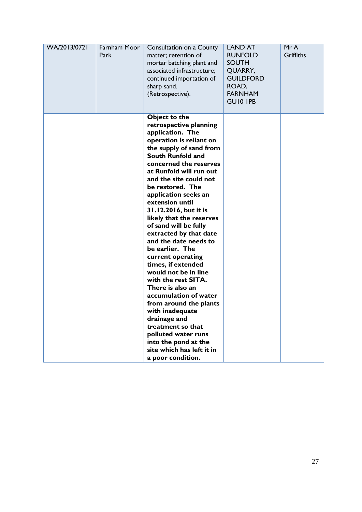| WA/2013/0721 | Farnham Moor<br>Park | Consultation on a County<br>matter; retention of<br>mortar batching plant and<br>associated infrastructure;<br>continued importation of<br>sharp sand.<br>(Retrospective).                                                                                                                                                                                                                                                                                                                                                                                                                                                                                                                                                                                         | <b>LAND AT</b><br><b>RUNFOLD</b><br><b>SOUTH</b><br>QUARRY,<br><b>GUILDFORD</b><br>ROAD,<br><b>FARNHAM</b><br><b>GUIO IPB</b> | Mr A<br><b>Griffiths</b> |
|--------------|----------------------|--------------------------------------------------------------------------------------------------------------------------------------------------------------------------------------------------------------------------------------------------------------------------------------------------------------------------------------------------------------------------------------------------------------------------------------------------------------------------------------------------------------------------------------------------------------------------------------------------------------------------------------------------------------------------------------------------------------------------------------------------------------------|-------------------------------------------------------------------------------------------------------------------------------|--------------------------|
|              |                      | Object to the<br>retrospective planning<br>application. The<br>operation is reliant on<br>the supply of sand from<br>South Runfold and<br>concerned the reserves<br>at Runfold will run out<br>and the site could not<br>be restored. The<br>application seeks an<br>extension until<br>31.12.2016, but it is<br>likely that the reserves<br>of sand will be fully<br>extracted by that date<br>and the date needs to<br>be earlier. The<br>current operating<br>times, if extended<br>would not be in line<br>with the rest SITA.<br>There is also an<br>accumulation of water<br>from around the plants<br>with inadequate<br>drainage and<br>treatment so that<br>polluted water runs<br>into the pond at the<br>site which has left it in<br>a poor condition. |                                                                                                                               |                          |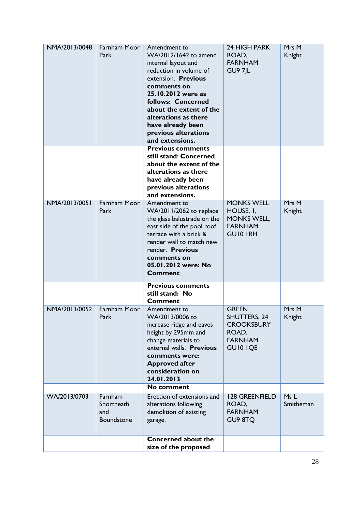| NMA/2013/0048 | Farnham Moor<br>Park                       | Amendment to<br>WA/2012/1642 to amend<br>internal layout and<br>reduction in volume of<br>extension. Previous<br>comments on<br>25.10.2012 were as<br>follows: Concerned<br>about the extent of the<br>alterations as there<br>have already been<br>previous alterations<br>and extensions. | 24 HIGH PARK<br>ROAD,<br><b>FARNHAM</b><br><b>GU9 7JL</b>                                              | Mrs M<br>Knight   |
|---------------|--------------------------------------------|---------------------------------------------------------------------------------------------------------------------------------------------------------------------------------------------------------------------------------------------------------------------------------------------|--------------------------------------------------------------------------------------------------------|-------------------|
|               |                                            | <b>Previous comments</b><br>still stand: Concerned<br>about the extent of the<br>alterations as there<br>have already been<br>previous alterations<br>and extensions.                                                                                                                       |                                                                                                        |                   |
| NMA/2013/0051 | <b>Farnham Moor</b><br>Park                | Amendment to<br>WA/2011/2062 to replace<br>the glass balustrade on the<br>east side of the pool roof<br>terrace with a brick &<br>render wall to match new<br>render. Previous<br>comments on<br>05.01.2012 were: No<br><b>Comment</b>                                                      | <b>MONKS WELL</b><br>HOUSE, I,<br><b>MONKS WELL,</b><br><b>FARNHAM</b><br><b>GUIO IRH</b>              | Mrs M<br>Knight   |
|               |                                            | <b>Previous comments</b><br>still stand: No<br><b>Comment</b>                                                                                                                                                                                                                               |                                                                                                        |                   |
| NMA/2013/0052 | Farnham Moor<br>Park                       | Amendment to<br>WA/2013/0006 to<br>increase ridge and eaves<br>height by 295mm and<br>change materials to<br>external walls. Previous<br>comments were:<br><b>Approved after</b><br>consideration on<br>24.01.2013                                                                          | <b>GREEN</b><br><b>SHUTTERS, 24</b><br><b>CROOKSBURY</b><br>ROAD,<br><b>FARNHAM</b><br><b>GUIO IQE</b> | Mrs M<br>Knight   |
|               |                                            | No comment                                                                                                                                                                                                                                                                                  |                                                                                                        |                   |
| WA/2013/0703  | Farnham<br>Shortheath<br>and<br>Boundstone | Erection of extensions and<br>alterations following<br>demolition of existing<br>garage.                                                                                                                                                                                                    | <b>128 GREENFIELD</b><br>ROAD,<br><b>FARNHAM</b><br>GU9 8TQ                                            | Ms L<br>Smitheman |
|               |                                            | Concerned about the<br>size of the proposed                                                                                                                                                                                                                                                 |                                                                                                        |                   |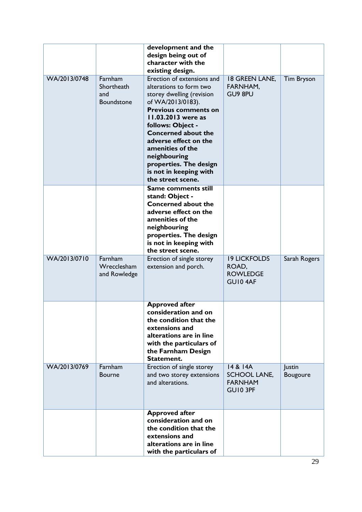| WA/2013/0748 | Farnham<br>Shortheath<br>and<br><b>Boundstone</b> | development and the<br>design being out of<br>character with the<br>existing design.<br>Erection of extensions and<br>alterations to form two<br>storey dwelling (revision<br>of WA/2013/0183).<br><b>Previous comments on</b><br>11.03.2013 were as<br>follows: Object -<br><b>Concerned about the</b><br>adverse effect on the<br>amenities of the<br>neighbouring<br>properties. The design<br>is not in keeping with<br>the street scene. | <b>18 GREEN LANE,</b><br>FARNHAM,<br>GU9 8PU                  | <b>Tim Bryson</b>  |
|--------------|---------------------------------------------------|-----------------------------------------------------------------------------------------------------------------------------------------------------------------------------------------------------------------------------------------------------------------------------------------------------------------------------------------------------------------------------------------------------------------------------------------------|---------------------------------------------------------------|--------------------|
| WA/2013/0710 | Farnham<br>Wrecclesham<br>and Rowledge            | Same comments still<br>stand: Object -<br><b>Concerned about the</b><br>adverse effect on the<br>amenities of the<br>neighbouring<br>properties. The design<br>is not in keeping with<br>the street scene.<br>Erection of single storey<br>extension and porch.                                                                                                                                                                               | <b>19 LICKFOLDS</b><br>ROAD,<br><b>ROWLEDGE</b><br>GUI04AF    | Sarah Rogers       |
|              |                                                   | <b>Approved after</b><br>consideration and on<br>the condition that the<br>extensions and<br>alterations are in line<br>with the particulars of<br>the Farnham Design<br>Statement.                                                                                                                                                                                                                                                           |                                                               |                    |
| WA/2013/0769 | Farnham<br><b>Bourne</b>                          | Erection of single storey<br>and two storey extensions<br>and alterations.                                                                                                                                                                                                                                                                                                                                                                    | 14 & 14A<br><b>SCHOOL LANE,</b><br><b>FARNHAM</b><br>GUI0 3PF | Justin<br>Bougoure |
|              |                                                   | <b>Approved after</b><br>consideration and on<br>the condition that the<br>extensions and<br>alterations are in line<br>with the particulars of                                                                                                                                                                                                                                                                                               |                                                               |                    |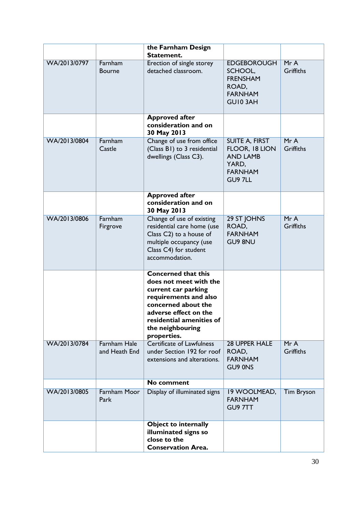|              |                                      | the Farnham Design<br>Statement.                                                                                                                                                                                    |                                                                                                  |                         |
|--------------|--------------------------------------|---------------------------------------------------------------------------------------------------------------------------------------------------------------------------------------------------------------------|--------------------------------------------------------------------------------------------------|-------------------------|
| WA/2013/0797 | Farnham<br><b>Bourne</b>             | Erection of single storey<br>detached classroom.                                                                                                                                                                    | <b>EDGEBOROUGH</b><br>SCHOOL,<br><b>FRENSHAM</b><br>ROAD,<br><b>FARNHAM</b><br>GUI03AH           | MrA<br><b>Griffiths</b> |
|              |                                      | <b>Approved after</b><br>consideration and on<br>30 May 2013                                                                                                                                                        |                                                                                                  |                         |
| WA/2013/0804 | Farnham<br>Castle                    | Change of use from office<br>(Class B1) to 3 residential<br>dwellings (Class C3).                                                                                                                                   | <b>SUITE A, FIRST</b><br>FLOOR, 18 LION<br><b>AND LAMB</b><br>YARD,<br><b>FARNHAM</b><br>GU9 7LL | MrA<br><b>Griffiths</b> |
|              |                                      | <b>Approved after</b><br>consideration and on<br>30 May 2013                                                                                                                                                        |                                                                                                  |                         |
| WA/2013/0806 | Farnham<br>Firgrove                  | Change of use of existing<br>residential care home (use<br>Class C2) to a house of<br>multiple occupancy (use<br>Class C4) for student<br>accommodation.                                                            | 29 ST JOHNS<br>ROAD,<br><b>FARNHAM</b><br><b>GU9 8NU</b>                                         | MrA<br><b>Griffiths</b> |
|              |                                      | <b>Concerned that this</b><br>does not meet with the<br>current car parking<br>requirements and also<br>concerned about the<br>adverse effect on the<br>residential amenities of<br>the neighbouring<br>properties. |                                                                                                  |                         |
| WA/2013/0784 | <b>Farnham Hale</b><br>and Heath End | <b>Certificate of Lawfulness</b><br>under Section 192 for roof<br>extensions and alterations.                                                                                                                       | <b>28 UPPER HALE</b><br>ROAD,<br><b>FARNHAM</b><br>GU9 0NS                                       | MrA<br><b>Griffiths</b> |
|              |                                      | <b>No comment</b>                                                                                                                                                                                                   |                                                                                                  |                         |
| WA/2013/0805 | <b>Farnham Moor</b><br>Park          | Display of illuminated signs                                                                                                                                                                                        | 19 WOOLMEAD,<br><b>FARNHAM</b><br>GU9 7TT                                                        | <b>Tim Bryson</b>       |
|              |                                      | <b>Object to internally</b><br>illuminated signs so<br>close to the<br><b>Conservation Area.</b>                                                                                                                    |                                                                                                  |                         |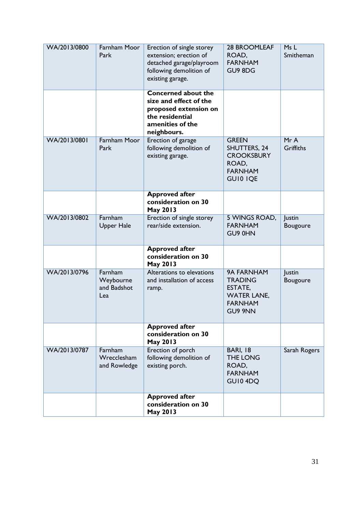| WA/2013/0800 | Farnham Moor<br>Park                       | Erection of single storey<br>extension; erection of<br>detached garage/playroom<br>following demolition of<br>existing garage.      | <b>28 BROOMLEAF</b><br>ROAD,<br><b>FARNHAM</b><br>GU9 8DG                                                | Ms L<br>Smitheman  |
|--------------|--------------------------------------------|-------------------------------------------------------------------------------------------------------------------------------------|----------------------------------------------------------------------------------------------------------|--------------------|
|              |                                            | <b>Concerned about the</b><br>size and effect of the<br>proposed extension on<br>the residential<br>amenities of the<br>neighbours. |                                                                                                          |                    |
| WA/2013/0801 | <b>Farnham Moor</b><br>Park                | Erection of garage<br>following demolition of<br>existing garage.                                                                   | <b>GREEN</b><br><b>SHUTTERS, 24</b><br><b>CROOKSBURY</b><br>ROAD,<br><b>FARNHAM</b><br><b>GUIO IQE</b>   | MrA<br>Griffiths   |
|              |                                            | <b>Approved after</b><br>consideration on 30<br>May 2013                                                                            |                                                                                                          |                    |
| WA/2013/0802 | Farnham<br><b>Upper Hale</b>               | Erection of single storey<br>rear/side extension.                                                                                   | 5 WINGS ROAD,<br><b>FARNHAM</b><br>GU9 0HN                                                               | Justin<br>Bougoure |
|              |                                            | <b>Approved after</b><br>consideration on 30<br>May 2013                                                                            |                                                                                                          |                    |
| WA/2013/0796 | Farnham<br>Weybourne<br>and Badshot<br>Lea | Alterations to elevations<br>and installation of access<br>ramp.                                                                    | <b>9A FARNHAM</b><br><b>TRADING</b><br>ESTATE,<br><b>WATER LANE,</b><br><b>FARNHAM</b><br><b>GU9 9NN</b> | Justin<br>Bougoure |
|              |                                            | <b>Approved after</b><br>consideration on 30<br>May 2013                                                                            |                                                                                                          |                    |
| WA/2013/0787 | Farnham<br>Wrecclesham<br>and Rowledge     | Erection of porch<br>following demolition of<br>existing porch.                                                                     | <b>BARI, 18</b><br><b>THE LONG</b><br>ROAD,<br><b>FARNHAM</b><br>GUI04DQ                                 | Sarah Rogers       |
|              |                                            | <b>Approved after</b><br>consideration on 30<br>May 2013                                                                            |                                                                                                          |                    |